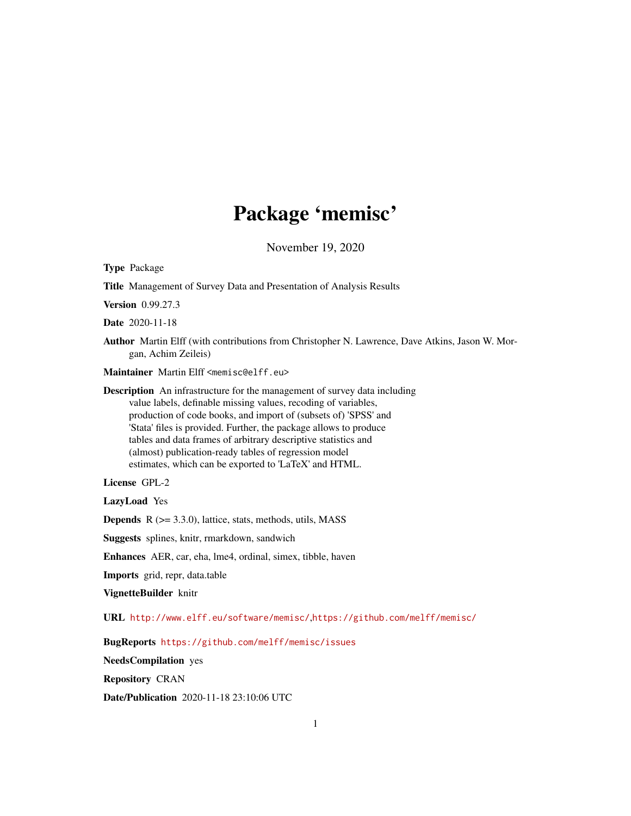# Package 'memisc'

November 19, 2020

<span id="page-0-0"></span>Type Package

Title Management of Survey Data and Presentation of Analysis Results

Version 0.99.27.3

Date 2020-11-18

Author Martin Elff (with contributions from Christopher N. Lawrence, Dave Atkins, Jason W. Morgan, Achim Zeileis)

Maintainer Martin Elff <memisc@elff.eu>

Description An infrastructure for the management of survey data including value labels, definable missing values, recoding of variables, production of code books, and import of (subsets of) 'SPSS' and 'Stata' files is provided. Further, the package allows to produce tables and data frames of arbitrary descriptive statistics and (almost) publication-ready tables of regression model estimates, which can be exported to 'LaTeX' and HTML.

License GPL-2

LazyLoad Yes

**Depends**  $R$  ( $>= 3.3.0$ ), lattice, stats, methods, utils, MASS

Suggests splines, knitr, rmarkdown, sandwich

Enhances AER, car, eha, lme4, ordinal, simex, tibble, haven

Imports grid, repr, data.table

VignetteBuilder knitr

URL <http://www.elff.eu/software/memisc/>,<https://github.com/melff/memisc/>

BugReports <https://github.com/melff/memisc/issues>

NeedsCompilation yes

Repository CRAN

Date/Publication 2020-11-18 23:10:06 UTC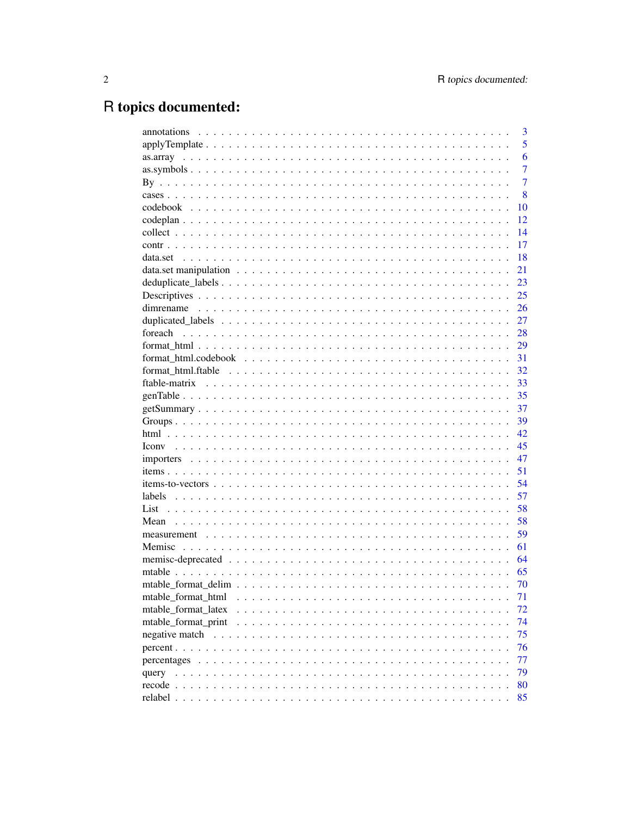# R topics documented:

|                     | 3              |
|---------------------|----------------|
|                     | 5              |
|                     | 6              |
|                     | $\overline{7}$ |
|                     | $\overline{7}$ |
|                     | 8              |
|                     | 10             |
|                     | 12             |
|                     | 14             |
|                     | 17             |
|                     | 18             |
|                     | 21             |
|                     | 23             |
|                     | 25             |
|                     | 26             |
|                     | 27             |
|                     | 28             |
|                     | 29             |
|                     | 31             |
|                     | 32             |
|                     | 33             |
|                     | 35             |
|                     | 37             |
|                     | 39             |
|                     |                |
|                     | 42             |
|                     | 45             |
|                     | 47             |
|                     | 51             |
|                     | 54             |
|                     | 57             |
|                     | 58             |
|                     | 58             |
|                     | 59             |
|                     | 61             |
|                     | 64             |
|                     | 65             |
|                     | 70             |
| mtable_format_html  | 71             |
| mtable_format_latex | 72             |
| mtable_format_print | 74             |
|                     | 75             |
|                     | 76             |
|                     | 77             |
|                     | 79             |
|                     | 80             |
|                     | 85             |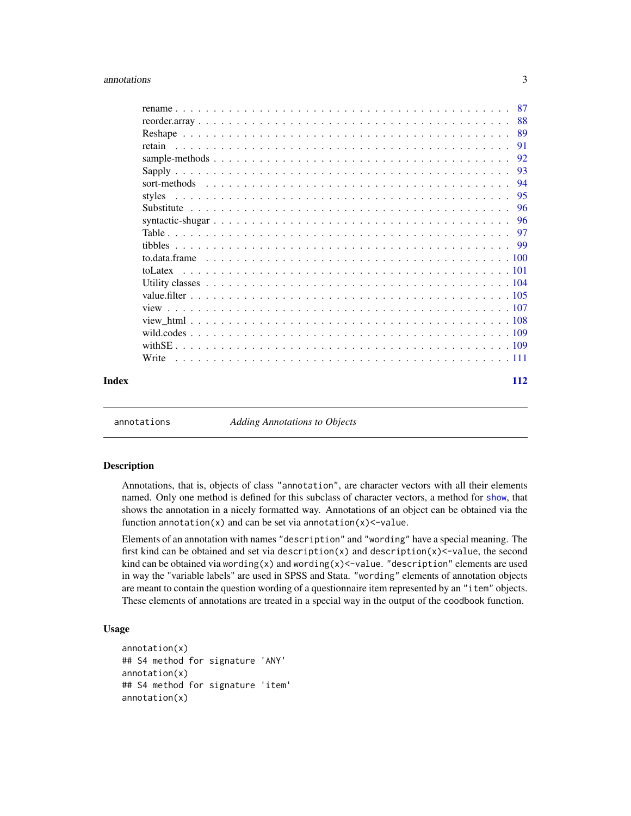#### <span id="page-2-0"></span>annotations 3

|       |        |  |  |  |  |  |  |  |  |  |  |  |  |  |  |  | -93 |
|-------|--------|--|--|--|--|--|--|--|--|--|--|--|--|--|--|--|-----|
|       |        |  |  |  |  |  |  |  |  |  |  |  |  |  |  |  |     |
|       | styles |  |  |  |  |  |  |  |  |  |  |  |  |  |  |  |     |
|       |        |  |  |  |  |  |  |  |  |  |  |  |  |  |  |  |     |
|       |        |  |  |  |  |  |  |  |  |  |  |  |  |  |  |  |     |
|       |        |  |  |  |  |  |  |  |  |  |  |  |  |  |  |  |     |
|       |        |  |  |  |  |  |  |  |  |  |  |  |  |  |  |  |     |
|       |        |  |  |  |  |  |  |  |  |  |  |  |  |  |  |  |     |
|       |        |  |  |  |  |  |  |  |  |  |  |  |  |  |  |  |     |
|       |        |  |  |  |  |  |  |  |  |  |  |  |  |  |  |  |     |
|       |        |  |  |  |  |  |  |  |  |  |  |  |  |  |  |  |     |
|       |        |  |  |  |  |  |  |  |  |  |  |  |  |  |  |  |     |
|       |        |  |  |  |  |  |  |  |  |  |  |  |  |  |  |  |     |
|       |        |  |  |  |  |  |  |  |  |  |  |  |  |  |  |  |     |
|       |        |  |  |  |  |  |  |  |  |  |  |  |  |  |  |  |     |
|       | Write  |  |  |  |  |  |  |  |  |  |  |  |  |  |  |  |     |
| Index |        |  |  |  |  |  |  |  |  |  |  |  |  |  |  |  | 112 |

annotations *Adding Annotations to Objects*

# Description

Annotations, that is, objects of class "annotation", are character vectors with all their elements named. Only one method is defined for this subclass of character vectors, a method for [show](#page-0-0), that shows the annotation in a nicely formatted way. Annotations of an object can be obtained via the function annotation(x) and can be set via annotation(x) $\le$ -value.

Elements of an annotation with names "description" and "wording" have a special meaning. The first kind can be obtained and set via description $(x)$  and description $(x)$  <-value, the second kind can be obtained via wording(x) and wording(x) <-value. "description" elements are used in way the "variable labels" are used in SPSS and Stata. "wording" elements of annotation objects are meant to contain the question wording of a questionnaire item represented by an "item" objects. These elements of annotations are treated in a special way in the output of the coodbook function.

```
annotation(x)
## S4 method for signature 'ANY'
annotation(x)
## S4 method for signature 'item'
annotation(x)
```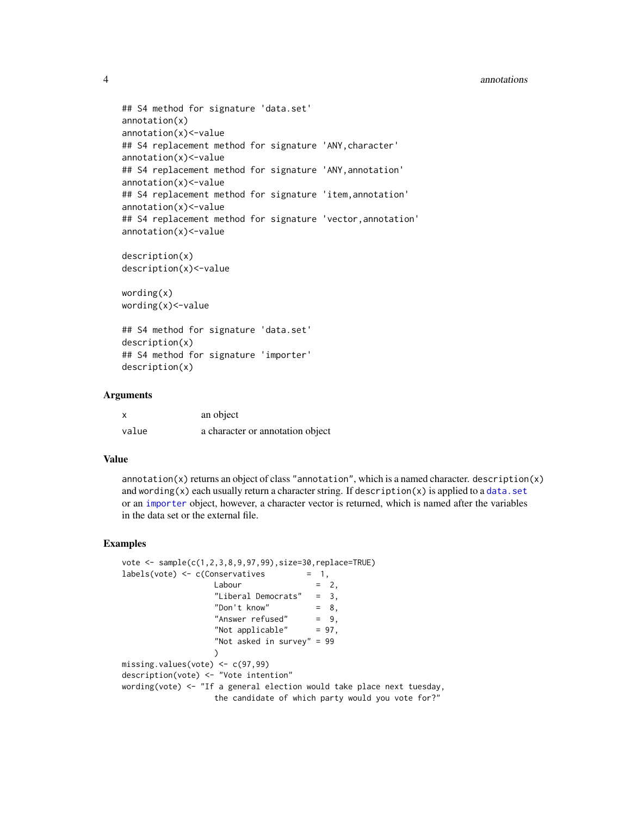#### 4 annotations

```
## S4 method for signature 'data.set'
annotation(x)
annotation(x)<-value
## S4 replacement method for signature 'ANY, character'
annotation(x)<-value
## S4 replacement method for signature 'ANY,annotation'
annotation(x)<-value
## S4 replacement method for signature 'item, annotation'
annotation(x)<-value
## S4 replacement method for signature 'vector,annotation'
annotation(x)<-value
description(x)
description(x)<-value
wording(x)
wording(x)<-value
```
## S4 method for signature 'data.set' description(x) ## S4 method for signature 'importer' description(x)

# Arguments

|       | an object                        |
|-------|----------------------------------|
| value | a character or annotation object |

#### Value

annotation $(x)$  returns an object of class "annotation", which is a named character. description $(x)$ and wording(x) each usually return a character string. If description(x) is applied to a [data.set](#page-17-1) or an [importer](#page-46-1) object, however, a character vector is returned, which is named after the variables in the data set or the external file.

```
vote <- sample(c(1,2,3,8,9,97,99),size=30,replace=TRUE)
labels(vote) \leq c(Conservative) = 1,
                    Labour = 2,
                    "Liberal Democrats" = 3,<br>"Don't know" = 8,
                    "Don't know" = 8,<br>"Answer refused" = 9,
                    "Answer refused"
                    "Not applicable" = 97,
                    "Not asked in survey" = 99
                    )
missing.values(vote) <- c(97,99)
description(vote) <- "Vote intention"
wording(vote) <- "If a general election would take place next tuesday,
                    the candidate of which party would you vote for?"
```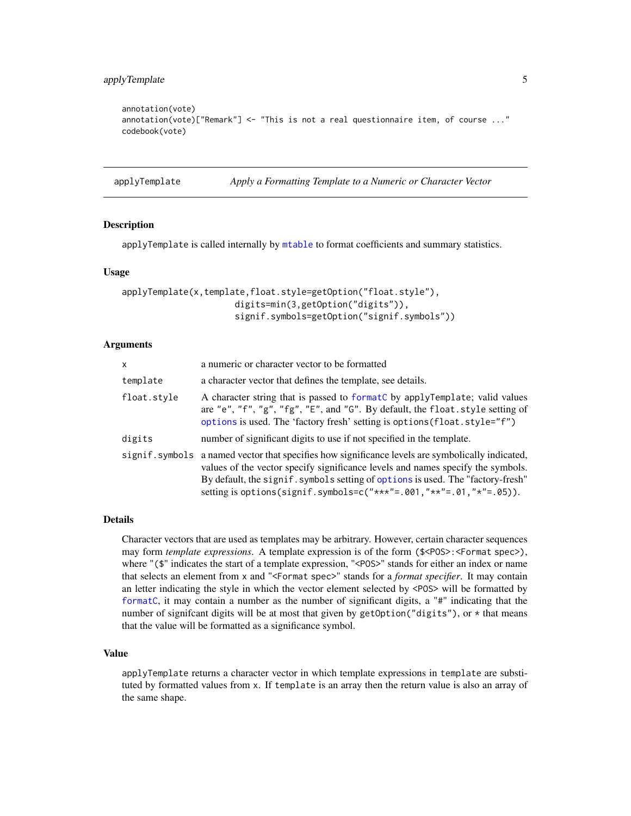```
annotation(vote)
annotation(vote)["Remark"] <- "This is not a real questionnaire item, of course ..."
codebook(vote)
```
applyTemplate *Apply a Formatting Template to a Numeric or Character Vector*

#### Description

applyTemplate is called internally by [mtable](#page-64-1) to format coefficients and summary statistics.

#### Usage

```
applyTemplate(x,template,float.style=getOption("float.style"),
                      digits=min(3,getOption("digits")),
                      signif.symbols=getOption("signif.symbols"))
```
# Arguments

| x              | a numeric or character vector to be formatted                                                                                                                                                                                                                                                                                  |
|----------------|--------------------------------------------------------------------------------------------------------------------------------------------------------------------------------------------------------------------------------------------------------------------------------------------------------------------------------|
| template       | a character vector that defines the template, see details.                                                                                                                                                                                                                                                                     |
| float.style    | A character string that is passed to formatC by applyTemplate; valid values<br>are "e", "f", "g", "fg", "E", and "G". By default, the float style setting of<br>options is used. The 'factory fresh' setting is options (float.style="f")                                                                                      |
| digits         | number of significant digits to use if not specified in the template.                                                                                                                                                                                                                                                          |
| signif.symbols | a named vector that specifies how significance levels are symbolically indicated,<br>values of the vector specify significance levels and names specify the symbols.<br>By default, the signif. symbols setting of options is used. The "factory-fresh"<br>setting is options (signif.symbols=c("***"=.001,"**"=.01,"*"=.05)). |

#### Details

Character vectors that are used as templates may be arbitrary. However, certain character sequences may form *template expressions*. A template expression is of the form (\$<POS>:<Format spec>), where "(\$" indicates the start of a template expression, "<POS>" stands for either an index or name that selects an element from x and "<Format spec>" stands for a *format specifier*. It may contain an letter indicating the style in which the vector element selected by <POS> will be formatted by [formatC](#page-0-0), it may contain a number as the number of significant digits, a "#" indicating that the number of signifcant digits will be at most that given by getOption("digits"), or \* that means that the value will be formatted as a significance symbol.

# Value

applyTemplate returns a character vector in which template expressions in template are substituted by formatted values from x. If template is an array then the return value is also an array of the same shape.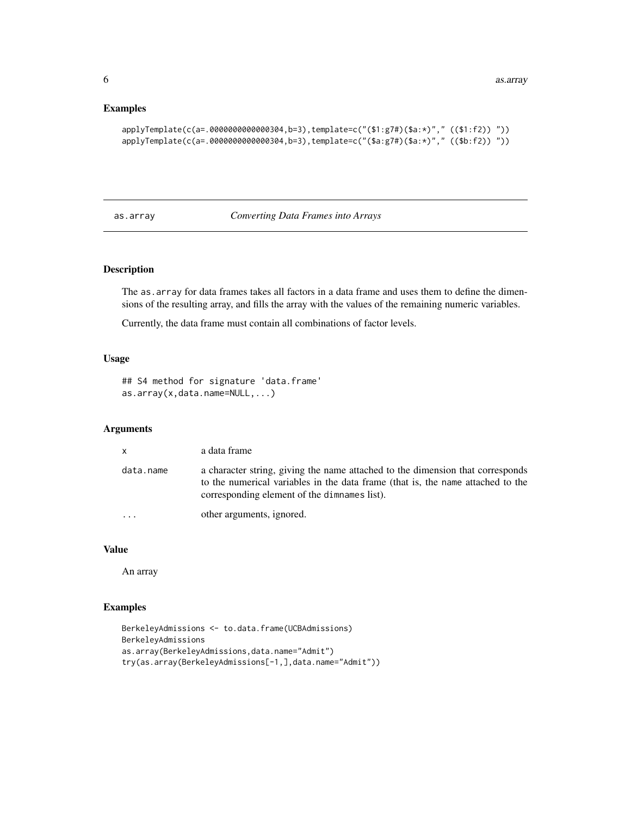# <span id="page-5-0"></span>Examples

```
applyTemplate(c(a=.0000000000000304,b=3),template=c("($1:g7#)($a:*)"," (($1:f2)) "))
applyTemplate(c(a=.0000000000000304,b=3),template=c("($a:g7#)($a:*)"," (($b:f2)) "))
```
# as.array *Converting Data Frames into Arrays*

# Description

The as.array for data frames takes all factors in a data frame and uses them to define the dimensions of the resulting array, and fills the array with the values of the remaining numeric variables.

Currently, the data frame must contain all combinations of factor levels.

#### Usage

```
## S4 method for signature 'data.frame'
as.array(x,data.name=NULL,...)
```
#### Arguments

| $\mathsf{x}$            | a data frame                                                                                                                                                                                                      |
|-------------------------|-------------------------------------------------------------------------------------------------------------------------------------------------------------------------------------------------------------------|
| data.name               | a character string, giving the name attached to the dimension that corresponds<br>to the numerical variables in the data frame (that is, the name attached to the<br>corresponding element of the dimnames list). |
| $\cdot$ $\cdot$ $\cdot$ | other arguments, ignored.                                                                                                                                                                                         |

# Value

An array

```
BerkeleyAdmissions <- to.data.frame(UCBAdmissions)
BerkeleyAdmissions
as.array(BerkeleyAdmissions,data.name="Admit")
try(as.array(BerkeleyAdmissions[-1,],data.name="Admit"))
```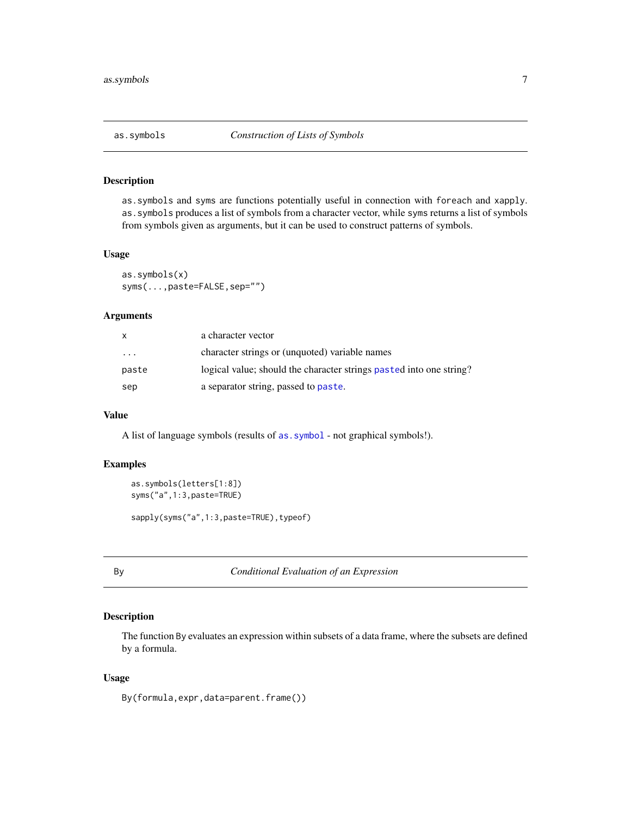# <span id="page-6-0"></span>Description

as.symbols and syms are functions potentially useful in connection with foreach and xapply. as.symbols produces a list of symbols from a character vector, while syms returns a list of symbols from symbols given as arguments, but it can be used to construct patterns of symbols.

# Usage

```
as.symbols(x)
syms(...,paste=FALSE,sep="")
```
# Arguments

| X       | a character vector                                                  |
|---------|---------------------------------------------------------------------|
| $\cdot$ | character strings or (unquoted) variable names                      |
| paste   | logical value; should the character strings pasted into one string? |
| sep     | a separator string, passed to paste.                                |

#### Value

A list of language symbols (results of [as.symbol](#page-0-0) - not graphical symbols!).

# Examples

```
as.symbols(letters[1:8])
syms("a",1:3,paste=TRUE)
```
sapply(syms("a",1:3,paste=TRUE),typeof)

By *Conditional Evaluation of an Expression*

# Description

The function By evaluates an expression within subsets of a data frame, where the subsets are defined by a formula.

## Usage

By(formula,expr,data=parent.frame())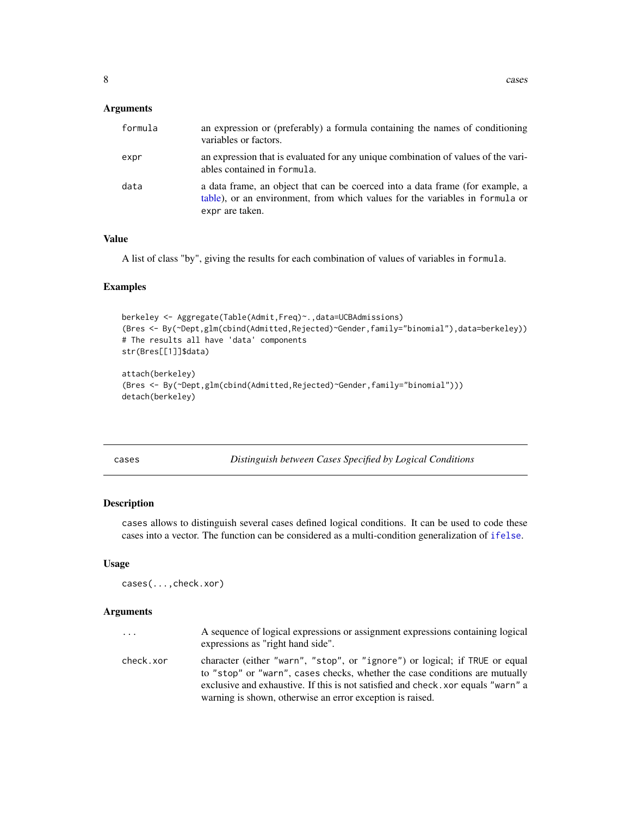<span id="page-7-0"></span>

| formula | an expression or (preferably) a formula containing the names of conditioning<br>variables or factors.                                                                            |
|---------|----------------------------------------------------------------------------------------------------------------------------------------------------------------------------------|
| expr    | an expression that is evaluated for any unique combination of values of the vari-<br>ables contained in formula.                                                                 |
| data    | a data frame, an object that can be coerced into a data frame (for example, a<br>table), or an environment, from which values for the variables in formula or<br>expr are taken. |

# Value

A list of class "by", giving the results for each combination of values of variables in formula.

#### Examples

```
berkeley <- Aggregate(Table(Admit,Freq)~.,data=UCBAdmissions)
(Bres <- By(~Dept,glm(cbind(Admitted,Rejected)~Gender,family="binomial"),data=berkeley))
# The results all have 'data' components
str(Bres[[1]]$data)
attach(berkeley)
(Bres <- By(~Dept,glm(cbind(Admitted,Rejected)~Gender,family="binomial")))
detach(berkeley)
```
cases *Distinguish between Cases Specified by Logical Conditions*

# Description

cases allows to distinguish several cases defined logical conditions. It can be used to code these cases into a vector. The function can be considered as a multi-condition generalization of [ifelse](#page-0-0).

#### Usage

```
cases(...,check.xor)
```
# Arguments

| $\ddots$  | A sequence of logical expressions or assignment expressions containing logical<br>expressions as "right hand side".                                        |
|-----------|------------------------------------------------------------------------------------------------------------------------------------------------------------|
| check.xor | character (either "warn", "stop", or "ignore") or logical; if TRUE or equal<br>to "stop" or "warn", cases checks, whether the case conditions are mutually |
|           | exclusive and exhaustive. If this is not satisfied and check, xor equals "warn" a<br>warning is shown, otherwise an error exception is raised.             |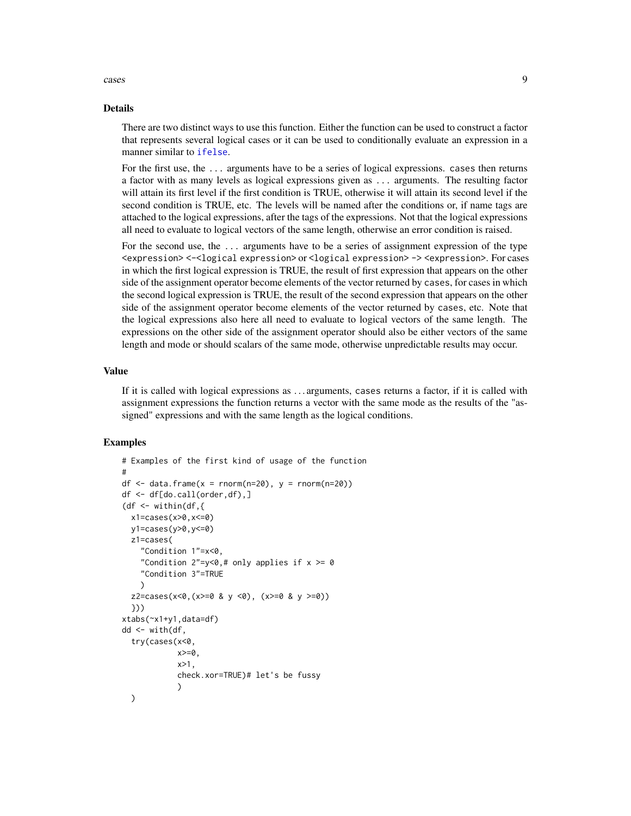cases **9** 

#### Details

There are two distinct ways to use this function. Either the function can be used to construct a factor that represents several logical cases or it can be used to conditionally evaluate an expression in a manner similar to [ifelse](#page-0-0).

For the first use, the ... arguments have to be a series of logical expressions. cases then returns a factor with as many levels as logical expressions given as ... arguments. The resulting factor will attain its first level if the first condition is TRUE, otherwise it will attain its second level if the second condition is TRUE, etc. The levels will be named after the conditions or, if name tags are attached to the logical expressions, after the tags of the expressions. Not that the logical expressions all need to evaluate to logical vectors of the same length, otherwise an error condition is raised.

For the second use, the ... arguments have to be a series of assignment expression of the type <expression> <-<logical expression> or <logical expression> -> <expression>. For cases in which the first logical expression is TRUE, the result of first expression that appears on the other side of the assignment operator become elements of the vector returned by cases, for cases in which the second logical expression is TRUE, the result of the second expression that appears on the other side of the assignment operator become elements of the vector returned by cases, etc. Note that the logical expressions also here all need to evaluate to logical vectors of the same length. The expressions on the other side of the assignment operator should also be either vectors of the same length and mode or should scalars of the same mode, otherwise unpredictable results may occur.

## Value

If it is called with logical expressions as . . . arguments, cases returns a factor, if it is called with assignment expressions the function returns a vector with the same mode as the results of the "assigned" expressions and with the same length as the logical conditions.

```
# Examples of the first kind of usage of the function
#
df \le data.frame(x = rnorm(n=20), y = rnorm(n=20))
df \leftarrow df[do.call(order, df), ](df \le- within(df, {
  x1=cases(x>0,x<=0)
  y1=cases(y>0,y<=0)
  z1=cases(
    "Condition 1"=x<0,
    "Condition 2" = y < 0,# only applies if x \ge 0"Condition 3"=TRUE
    )
  z2=cases(x<0,(x>=0 & y <0), (x>=0 & y >=0))
  }))
xtabs(~x1+y1,data=df)
dd <- with(df,
  try(cases(x<0,
            x>=0,
            x>1.
            check.xor=TRUE)# let's be fussy
            )
  )
```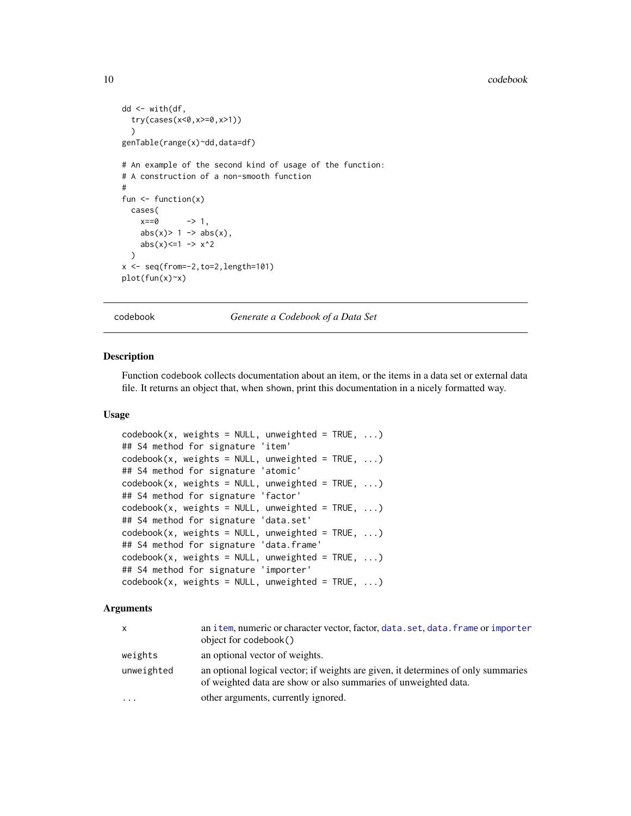#### 10 codebook

```
dd <- with(df,
  try(cases(x<0,x>=0,x>1))
  )
genTable(range(x)~dd,data=df)
# An example of the second kind of usage of the function:
# A construction of a non-smooth function
#
fun \leftarrow function(x)
  cases(
    x == 0 -> 1,
    abs(x) > 1 \rightarrow abs(x),
    abs(x) \leq 1 \rightarrow x^2)
x \leftarrow \text{seq}(\text{from}=-2, \text{to}=2, \text{length}=101)plot(fun(x)~x)
```
<span id="page-9-1"></span>codebook *Generate a Codebook of a Data Set*

# Description

Function codebook collects documentation about an item, or the items in a data set or external data file. It returns an object that, when shown, print this documentation in a nicely formatted way.

#### Usage

```
codebook(x, weights = NULL, unweighted = TRUE, ...)## S4 method for signature 'item'
codebook(x, weights = NULL, unweighted = TRUE, ...)## S4 method for signature 'atomic'
codebook(x, weights = NULL, unweighted = TRUE, ...)## S4 method for signature 'factor'
codebook(x, weights = NULL, unweighted = TRUE, ...)## S4 method for signature 'data.set'
codebook(x, weights = NULL, unweighted = TRUE, ...)## S4 method for signature 'data.frame'
codebook(x, weights = NULL, unweighted = TRUE, ...)## S4 method for signature 'importer'
codebook(x, weights = NULL, unweighted = TRUE, ...)
```
#### Arguments

| x          | an item, numeric or character vector, factor, data. set, data. frame or importer<br>object for codebook()                                            |
|------------|------------------------------------------------------------------------------------------------------------------------------------------------------|
| weights    | an optional vector of weights.                                                                                                                       |
| unweighted | an optional logical vector; if weights are given, it determines of only summaries<br>of weighted data are show or also summaries of unweighted data. |
| $\ddotsc$  | other arguments, currently ignored.                                                                                                                  |

<span id="page-9-0"></span>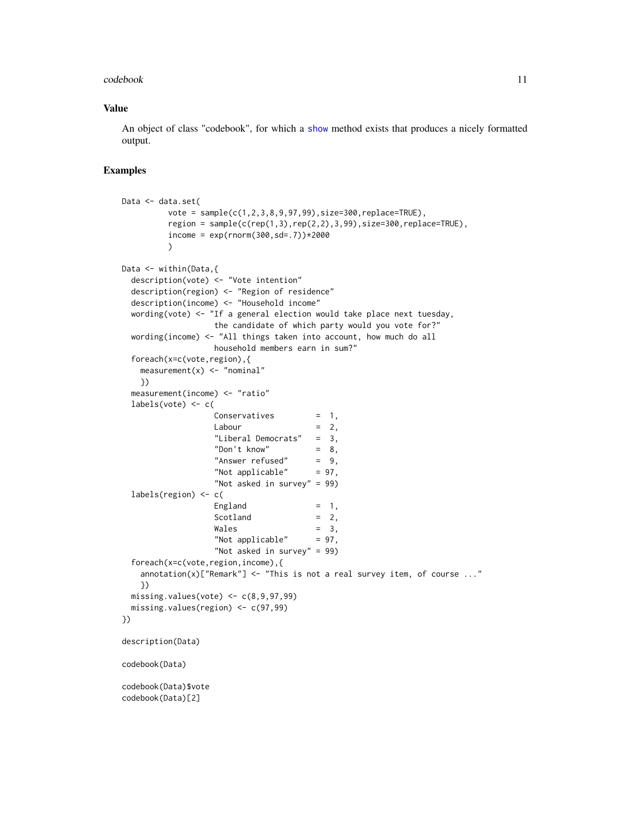#### codebook 11

# Value

An object of class "codebook", for which a [show](#page-0-0) method exists that produces a nicely formatted output.

```
Data <- data.set(
         vote = sample(c(1,2,3,8,9,97,99),size=300,replace=TRUE),
         region = sample(c(rep(1,3),rep(2,2),3,99),size=300,replace=TRUE),income = exp(rnorm(300, sd=.7)) * 2000)
Data <- within(Data,{
 description(vote) <- "Vote intention"
 description(region) <- "Region of residence"
 description(income) <- "Household income"
 wording(vote) <- "If a general election would take place next tuesday,
                   the candidate of which party would you vote for?"
 wording(income) \le "All things taken into account, how much do all
                   household members earn in sum?"
 foreach(x=c(vote,region),{
   measurement(x) < - "nominal"
   })
 measurement(income) <- "ratio"
 labels(vote) <-c(Conservative = 1,
                   Labour = 2,
                   "Liberal Democrats" = 3,
                   "Don't know" = 8,<br>"Answer refused" = 9,
                   "Answer refused"
                   "Not applicable" = 97,
                   "Not asked in survey" = 99)
 labels(region) <- c(
                   England = 1,
                   Scotland = 2,Wales = 3,
                   "Not applicable" = 97,
                   "Not asked in survey" = 99)
 foreach(x=c(vote,region,income),{
   annotation(x)["Remark"] \leftarrow "This is not a real survey item, of course ..."})
 missing.values(vote) \leq c(8, 9, 97, 99)missing.values(region) <- c(97,99)
})
description(Data)
codebook(Data)
codebook(Data)$vote
codebook(Data)[2]
```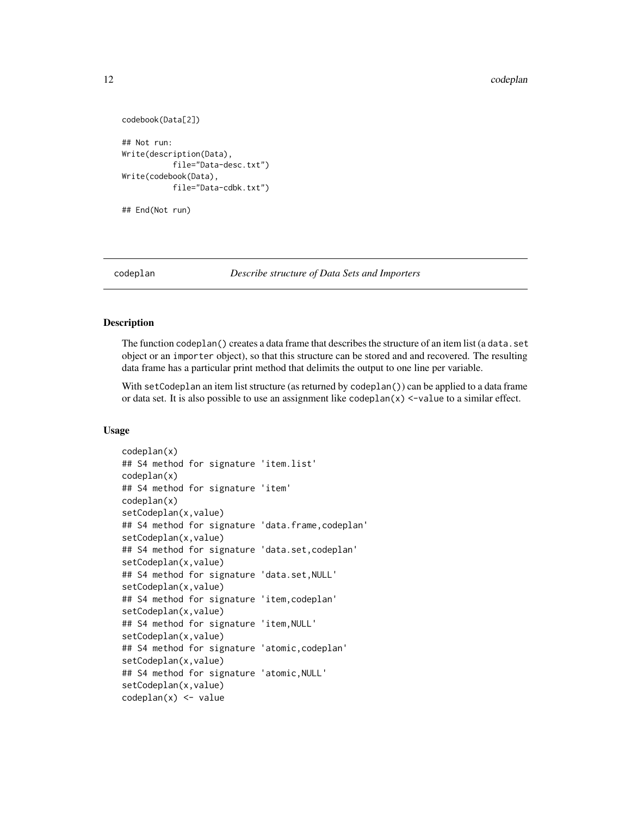```
codebook(Data[2])
## Not run:
Write(description(Data),
           file="Data-desc.txt")
Write(codebook(Data),
           file="Data-cdbk.txt")
```

```
## End(Not run)
```
codeplan *Describe structure of Data Sets and Importers*

# **Description**

The function codeplan() creates a data frame that describes the structure of an item list (a data.set object or an importer object), so that this structure can be stored and and recovered. The resulting data frame has a particular print method that delimits the output to one line per variable.

With setCodeplan an item list structure (as returned by codeplan()) can be applied to a data frame or data set. It is also possible to use an assignment like  $\text{codeplan}(x) \leq \text{value}$  to a similar effect.

```
codeplan(x)
## S4 method for signature 'item.list'
codeplan(x)
## S4 method for signature 'item'
codeplan(x)
setCodeplan(x,value)
## S4 method for signature 'data.frame,codeplan'
setCodeplan(x, value)
## S4 method for signature 'data.set,codeplan'
setCodeplan(x,value)
## S4 method for signature 'data.set,NULL'
setCodeplan(x,value)
## S4 method for signature 'item,codeplan'
setCodeplan(x, value)
## S4 method for signature 'item,NULL'
setCodeplan(x,value)
## S4 method for signature 'atomic,codeplan'
setCodeplan(x,value)
## S4 method for signature 'atomic,NULL'
setCodeplan(x, value)
codeplan(x) <- value
```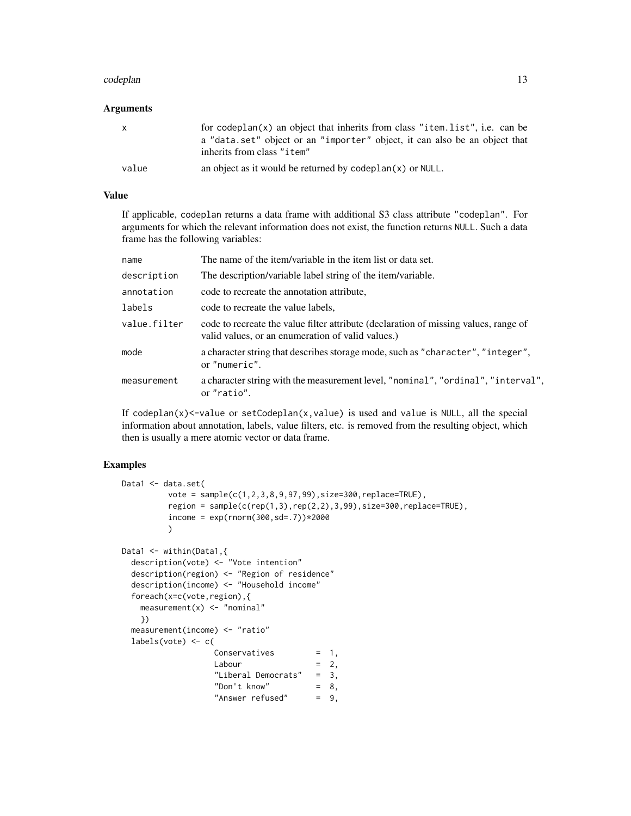#### codeplan and the contract of the contract of the contract of the contract of the contract of the contract of the contract of the contract of the contract of the contract of the contract of the contract of the contract of t

#### Arguments

| $\mathsf{X}$ | for codeplan $(x)$ an object that inherits from class "item. list", i.e. can be<br>a "data set" object or an "importer" object, it can also be an object that<br>inherits from class "item" |
|--------------|---------------------------------------------------------------------------------------------------------------------------------------------------------------------------------------------|
| value        | an object as it would be returned by codeplan $(x)$ or NULL.                                                                                                                                |

# Value

If applicable, codeplan returns a data frame with additional S3 class attribute "codeplan". For arguments for which the relevant information does not exist, the function returns NULL. Such a data frame has the following variables:

| name         | The name of the item/variable in the item list or data set.                                                                               |
|--------------|-------------------------------------------------------------------------------------------------------------------------------------------|
| description  | The description/variable label string of the item/variable.                                                                               |
| annotation   | code to recreate the annotation attribute.                                                                                                |
| labels       | code to recreate the value labels,                                                                                                        |
| value.filter | code to recreate the value filter attribute (declaration of missing values, range of<br>valid values, or an enumeration of valid values.) |
| mode         | a character string that describes storage mode, such as "character", "integer",<br>or "numeric".                                          |
| measurement  | a character string with the measurement level, "nominal", "ordinal", "interval",<br>or "ratio".                                           |

If codeplan $(x)$  <-value or setCodeplan $(x,$ value) is used and value is NULL, all the special information about annotation, labels, value filters, etc. is removed from the resulting object, which then is usually a mere atomic vector or data frame.

```
Data1 <- data.set(
         vote = sample(c(1,2,3,8,9,97,99),size=300,replace=TRUE),
         region = sample(c(rep(1,3),rep(2,2),3,99),size=300,replace=TRUE),
         income = exp(rnorm(300, sd=.7)) * 2000)
Data1 <- within(Data1,{
 description(vote) <- "Vote intention"
 description(region) <- "Region of residence"
 description(income) <- "Household income"
 foreach(x=c(vote,region),{
   measurement(x) <- "nominal"
   })
 measurement(income) <- "ratio"
 labels(vote) <- c(
                  Conservatives = 1,
                  Labour = 2,
                  "Liberal Democrats" = 3,
                  "Don't know" = 8,
                  "Answer refused" = 9,
```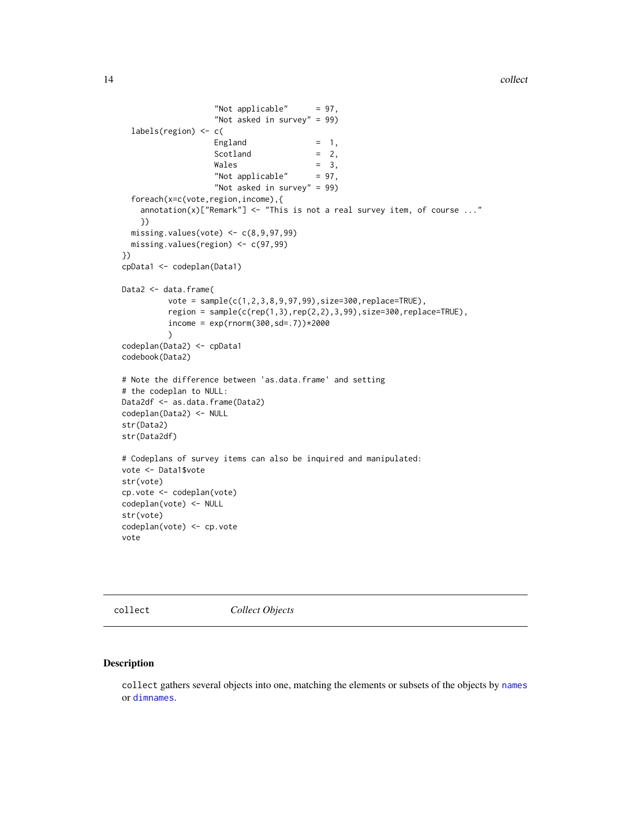```
"Not applicable" = 97,
                   "Not asked in survey" = 99)
 labels(region) <- c(
                   England = 1,
                   Scotland = 2,Wales = 3,
                   "Not applicable" = 97,
                   "Not asked in survey" = 99)
 foreach(x=c(vote,region,income),{
    annotation(x)["Remark"] \leftarrow "This is not a real survey item, of course ..."})
 missing.values(vote) \leq c(8, 9, 97, 99)missing.values(region) <- c(97,99)
})
cpData1 <- codeplan(Data1)
Data2 <- data.frame(
         vote = sample(c(1,2,3,8,9,97,99),size=300,replace=TRUE),
         region = sample(c(rep(1,3),rep(2,2),3,99),size=300,replace=TRUE),income = exp(rnorm(300, sd=.7)) * 2000)
codeplan(Data2) <- cpData1
codebook(Data2)
# Note the difference between 'as.data.frame' and setting
# the codeplan to NULL:
Data2df <- as.data.frame(Data2)
codeplan(Data2) <- NULL
str(Data2)
str(Data2df)
# Codeplans of survey items can also be inquired and manipulated:
vote <- Data1$vote
str(vote)
cp.vote <- codeplan(vote)
codeplan(vote) <- NULL
str(vote)
codeplan(vote) <- cp.vote
vote
```
collect *Collect Objects*

# Description

collect gathers several objects into one, matching the elements or subsets of the objects by [names](#page-0-0) or [dimnames](#page-0-0).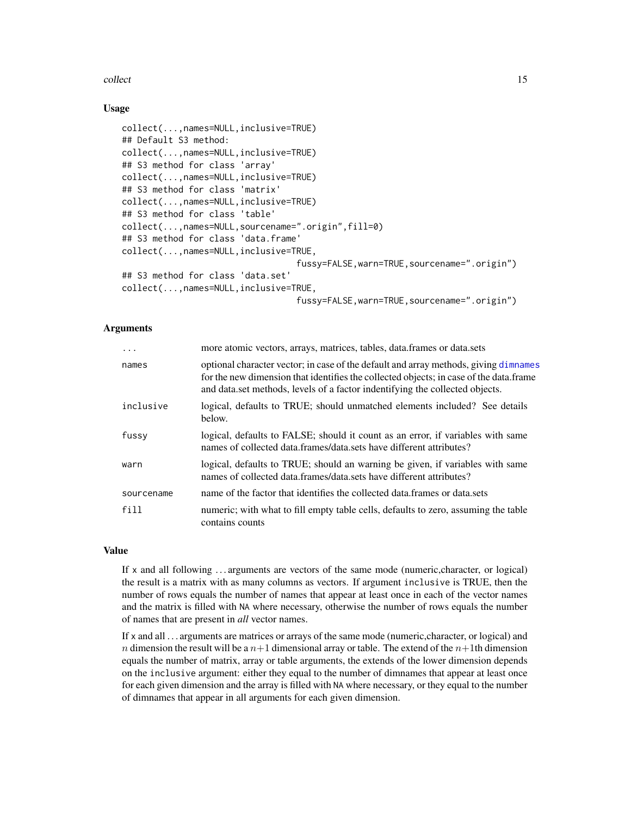#### collect the collect of the collect of the collect of the collect of the collect of the collect of the collect of the collect of the collect of the collect of the collect of the collect of the collect of the collect of the

# Usage

```
collect(...,names=NULL,inclusive=TRUE)
## Default S3 method:
collect(...,names=NULL,inclusive=TRUE)
## S3 method for class 'array'
collect(...,names=NULL,inclusive=TRUE)
## S3 method for class 'matrix'
collect(...,names=NULL,inclusive=TRUE)
## S3 method for class 'table'
collect(...,names=NULL,sourcename=".origin",fill=0)
## S3 method for class 'data.frame'
collect(...,names=NULL,inclusive=TRUE,
                                  fussy=FALSE,warn=TRUE,sourcename=".origin")
## S3 method for class 'data.set'
collect(...,names=NULL,inclusive=TRUE,
                                  fussy=FALSE,warn=TRUE,sourcename=".origin")
```
# Arguments

| $\cdot$    | more atomic vectors, arrays, matrices, tables, data.frames or data.sets                                                                                                                                                                                         |
|------------|-----------------------------------------------------------------------------------------------------------------------------------------------------------------------------------------------------------------------------------------------------------------|
| names      | optional character vector; in case of the default and array methods, giving dimnames<br>for the new dimension that identifies the collected objects; in case of the data.frame<br>and data, set methods, levels of a factor indentifying the collected objects. |
| inclusive  | logical, defaults to TRUE; should unmatched elements included? See details<br>below.                                                                                                                                                                            |
| fussy      | logical, defaults to FALSE; should it count as an error, if variables with same<br>names of collected data.frames/data.sets have different attributes?                                                                                                          |
| warn       | logical, defaults to TRUE; should an warning be given, if variables with same<br>names of collected data.frames/data.sets have different attributes?                                                                                                            |
| sourcename | name of the factor that identifies the collected data.frames or data.sets                                                                                                                                                                                       |
| fill       | numeric; with what to fill empty table cells, defaults to zero, assuming the table<br>contains counts                                                                                                                                                           |

# Value

If x and all following . . . arguments are vectors of the same mode (numeric,character, or logical) the result is a matrix with as many columns as vectors. If argument inclusive is TRUE, then the number of rows equals the number of names that appear at least once in each of the vector names and the matrix is filled with NA where necessary, otherwise the number of rows equals the number of names that are present in *all* vector names.

If x and all . . . arguments are matrices or arrays of the same mode (numeric,character, or logical) and n dimension the result will be a  $n+1$  dimensional array or table. The extend of the  $n+1$ th dimension equals the number of matrix, array or table arguments, the extends of the lower dimension depends on the inclusive argument: either they equal to the number of dimnames that appear at least once for each given dimension and the array is filled with NA where necessary, or they equal to the number of dimnames that appear in all arguments for each given dimension.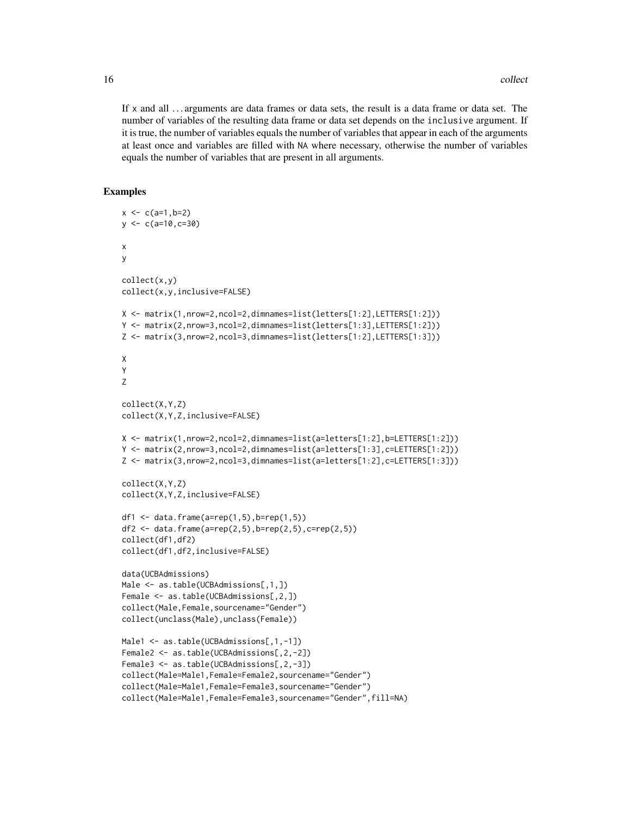If x and all . . . arguments are data frames or data sets, the result is a data frame or data set. The number of variables of the resulting data frame or data set depends on the inclusive argument. If it is true, the number of variables equals the number of variables that appear in each of the arguments at least once and variables are filled with NA where necessary, otherwise the number of variables equals the number of variables that are present in all arguments.

```
x < -c(a=1,b=2)y \leq -c(a=10, c=30)x
y
collect(x,y)
collect(x,y,inclusive=FALSE)
X <- matrix(1,nrow=2,ncol=2,dimnames=list(letters[1:2],LETTERS[1:2]))
Y <- matrix(2,nrow=3,ncol=2,dimnames=list(letters[1:3],LETTERS[1:2]))
Z <- matrix(3,nrow=2,ncol=3,dimnames=list(letters[1:2],LETTERS[1:3]))
X
Y
Z
collect(X,Y,Z)
collect(X,Y,Z,inclusive=FALSE)
X <- matrix(1,nrow=2,ncol=2,dimnames=list(a=letters[1:2],b=LETTERS[1:2]))
Y <- matrix(2,nrow=3,ncol=2,dimnames=list(a=letters[1:3],c=LETTERS[1:2]))
Z <- matrix(3,nrow=2,ncol=3,dimnames=list(a=letters[1:2],c=LETTERS[1:3]))
collect(X,Y,Z)
collect(X,Y,Z,inclusive=FALSE)
df1 <- data.frame(a=rep(1,5),b=rep(1,5))
df2 <- data.frame(a=rep(2,5),b=rep(2,5),c=rep(2,5))
collect(df1,df2)
collect(df1,df2,inclusive=FALSE)
data(UCBAdmissions)
Male <- as.table(UCBAdmissions[,1,])
Female <- as.table(UCBAdmissions[,2,])
collect(Male,Female,sourcename="Gender")
collect(unclass(Male),unclass(Female))
Male1 <- as.table(UCBAdmissions[,1,-1])
Female2 <- as.table(UCBAdmissions[,2,-2])
Female3 <- as.table(UCBAdmissions[,2,-3])
collect(Male=Male1,Female=Female2,sourcename="Gender")
collect(Male=Male1,Female=Female3,sourcename="Gender")
collect(Male=Male1,Female=Female3,sourcename="Gender",fill=NA)
```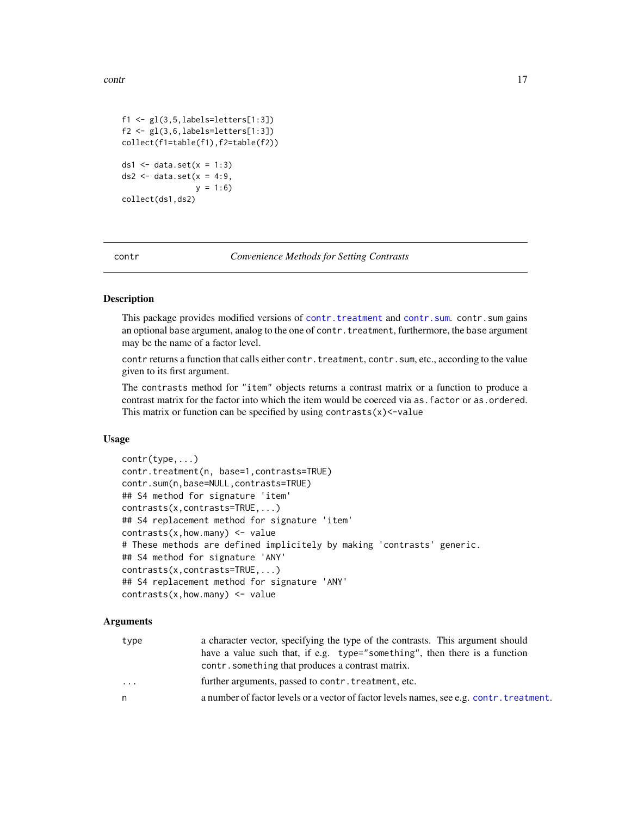<span id="page-16-0"></span>contr and the contract of the contract of the contract of the contract of the contract of the contract of the contract of the contract of the contract of the contract of the contract of the contract of the contract of the

```
f1 \leftarrow gl(3, 5, labels=letters[1:3])f2 \leftarrow gl(3, 6, labels=letters[1:3])collect(f1=table(f1),f2=table(f2))
ds1 \leftarrow data.set(x = 1:3)
ds2 <- data.set(x = 4:9,
                  y = 1:6collect(ds1,ds2)
```
contr *Convenience Methods for Setting Contrasts*

# <span id="page-16-1"></span>Description

This package provides modified versions of [contr.treatment](#page-16-1) and [contr.sum](#page-16-1).contr.sum gains an optional base argument, analog to the one of contr. treatment, furthermore, the base argument may be the name of a factor level.

contr returns a function that calls either contr. treatment, contr. sum, etc., according to the value given to its first argument.

The contrasts method for "item" objects returns a contrast matrix or a function to produce a contrast matrix for the factor into which the item would be coerced via as. factor or as. ordered. This matrix or function can be specified by using  $contrast(x)$  <-value

# Usage

```
contr(type,...)
contr.treatment(n, base=1,contrasts=TRUE)
contr.sum(n,base=NULL,contrasts=TRUE)
## S4 method for signature 'item'
contrasts(x,contrasts=TRUE,...)
## S4 replacement method for signature 'item'
contrast(x,how.max) <- value
# These methods are defined implicitely by making 'contrasts' generic.
## S4 method for signature 'ANY'
contrasts(x,contrasts=TRUE,...)
## S4 replacement method for signature 'ANY'
contrast(x,how.many) < - value
```
#### Arguments

| type | a character vector, specifying the type of the contrasts. This argument should<br>have a value such that, if e.g. type="something", then there is a function<br>contr. something that produces a contrast matrix. |
|------|-------------------------------------------------------------------------------------------------------------------------------------------------------------------------------------------------------------------|
| .    | further arguments, passed to contr. treatment, etc.                                                                                                                                                               |
| n.   | a number of factor levels or a vector of factor levels names, see e.g. contr. treatment.                                                                                                                          |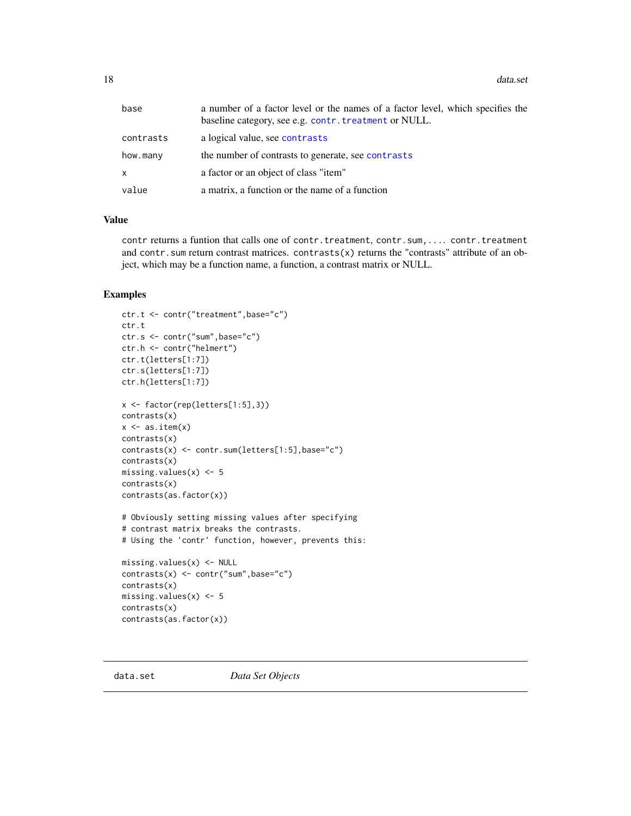<span id="page-17-0"></span>18 data.set

| base         | a number of a factor level or the names of a factor level, which specifies the<br>baseline category, see e.g. contr. treatment or NULL. |
|--------------|-----------------------------------------------------------------------------------------------------------------------------------------|
| contrasts    | a logical value, see contrasts                                                                                                          |
| how.many     | the number of contrasts to generate, see contrasts                                                                                      |
| $\mathsf{x}$ | a factor or an object of class "item"                                                                                                   |
| value        | a matrix, a function or the name of a function                                                                                          |

# Value

contr returns a funtion that calls one of contr.treatment, contr.sum,.... contr.treatment and contr.sum return contrast matrices. contrasts(x) returns the "contrasts" attribute of an object, which may be a function name, a function, a contrast matrix or NULL.

# Examples

```
ctr.t <- contr("treatment",base="c")
ctr.t
ctr.s <- contr("sum",base="c")
ctr.h <- contr("helmert")
ctr.t(letters[1:7])
ctr.s(letters[1:7])
ctr.h(letters[1:7])
x <- factor(rep(letters[1:5],3))
contrasts(x)
x \leftarrow as.itemscontrasts(x)
contrasts(x) <- contr.sum(letters[1:5],base="c")
contrasts(x)
missing.values(x) <- 5
contrasts(x)
contrasts(as.factor(x))
# Obviously setting missing values after specifying
# contrast matrix breaks the contrasts.
# Using the 'contr' function, however, prevents this:
missing.values(x) <- NULL
contrasts(x) <- contr("sum",base="c")
contrasts(x)
missing.values(x) <- 5
contrasts(x)
contrasts(as.factor(x))
```
<span id="page-17-1"></span>data.set *Data Set Objects*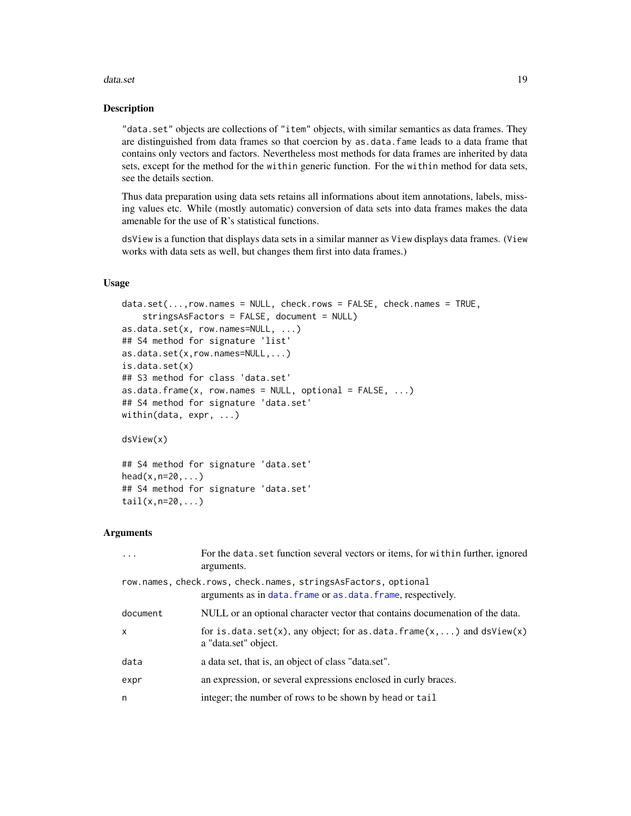#### data.set 19

#### Description

"data.set" objects are collections of "item" objects, with similar semantics as data frames. They are distinguished from data frames so that coercion by as.data.fame leads to a data frame that contains only vectors and factors. Nevertheless most methods for data frames are inherited by data sets, except for the method for the within generic function. For the within method for data sets, see the details section.

Thus data preparation using data sets retains all informations about item annotations, labels, missing values etc. While (mostly automatic) conversion of data sets into data frames makes the data amenable for the use of R's statistical functions.

dsView is a function that displays data sets in a similar manner as View displays data frames. (View works with data sets as well, but changes them first into data frames.)

# Usage

```
data.set(...,row.names = NULL, check rows = FALSE, check.names = TRUE,stringsAsFactors = FALSE, document = NULL)
as.data.set(x, row.names=NULL, ...)
## S4 method for signature 'list'
as.data.set(x,row.names=NULL,...)
is.data.set(x)
## S3 method for class 'data.set'
as.data.frame(x, row.names = NULL, optional = FALSE, ...)
## S4 method for signature 'data.set'
within(data, expr, ...)
```
dsView(x)

## S4 method for signature 'data.set'  $head(x, n=20, \ldots)$ ## S4 method for signature 'data.set' tail(x,n=20,...)

# Arguments

| $\ddots$ | For the data. set function several vectors or items, for within further, ignored<br>arguments.                                  |
|----------|---------------------------------------------------------------------------------------------------------------------------------|
|          | row.names, check.rows, check.names, stringsAsFactors, optional<br>arguments as in data. frame or as. data. frame, respectively. |
| document | NULL or an optional character vector that contains documenation of the data.                                                    |
| X        | for is $data.set(x)$ , any object; for as $data簡$ frame $(x, \ldots)$ and $dsView(x)$<br>a "data.set" object.                   |
| data     | a data set, that is, an object of class "data.set".                                                                             |
| expr     | an expression, or several expressions enclosed in curly braces.                                                                 |
| n        | integer; the number of rows to be shown by head or tail                                                                         |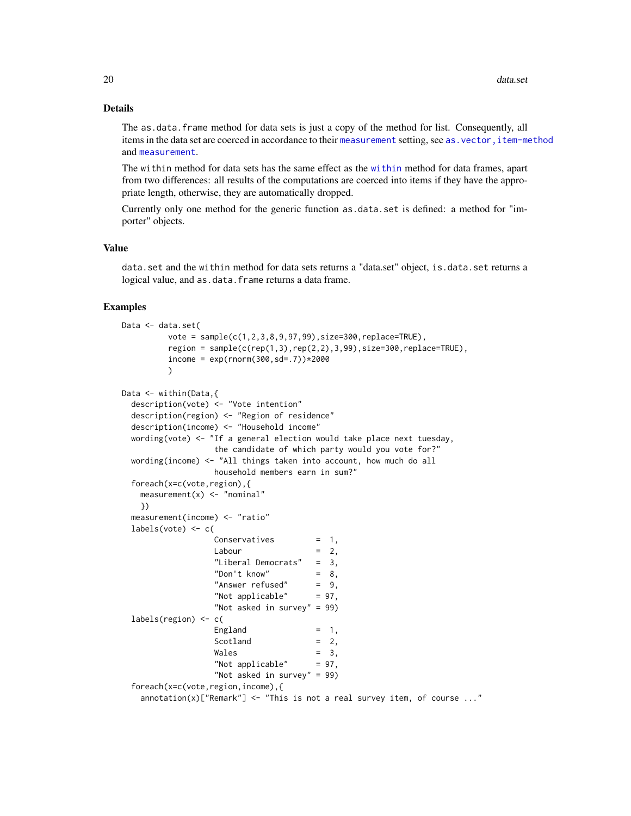# Details

The as.data. frame method for data sets is just a copy of the method for list. Consequently, all items in the data set are coerced in accordance to their [measurement](#page-58-1) setting, see as. vector, item-method and [measurement](#page-58-1).

The within method for data sets has the same effect as the [within](#page-0-0) method for data frames, apart from two differences: all results of the computations are coerced into items if they have the appropriate length, otherwise, they are automatically dropped.

Currently only one method for the generic function as.data.set is defined: a method for "importer" objects.

# Value

data.set and the within method for data sets returns a "data.set" object, is.data.set returns a logical value, and as.data.frame returns a data frame.

```
Data <- data.set(
         vote = sample(c(1, 2, 3, 8, 9, 97, 99), size=300, replace=TRUE),region = sample(c(rep(1,3),rep(2,2),3,99),size=300,replace=TRUE),income = exp(rnorm(300, sd=.7)) * 2000\lambdaData <- within(Data,{
 description(vote) <- "Vote intention"
 description(region) <- "Region of residence"
 description(income) <- "Household income"
 wording(vote) <- "If a general election would take place next tuesday,
                  the candidate of which party would you vote for?"
 wording(income) \le "All things taken into account, how much do all
                  household members earn in sum?"
 foreach(x=c(vote,region),{
   measurement(x) <- "nominal"
   })
 measurement(income) <- "ratio"
 labels(vote) <- c(
                  Conservatives = 1,
                  Labour = 2,
                  "Liberal Democrats" = 3,
                  "Don't know" = 8,
                   "Answer refused" = 9,
                   "Not applicable" = 97,
                  "Not asked in survey" = 99)
 labels(region) <- c(
                  England = 1,
                  Scotland = 2,Wales = 3,
                  "Not applicable" = 97,
                  "Not asked in survey" = 99)
 foreach(x=c(vote,region,income),{
   annotation(x)["Remark"] \leftarrow "This is not a real survey item, of course ..."
```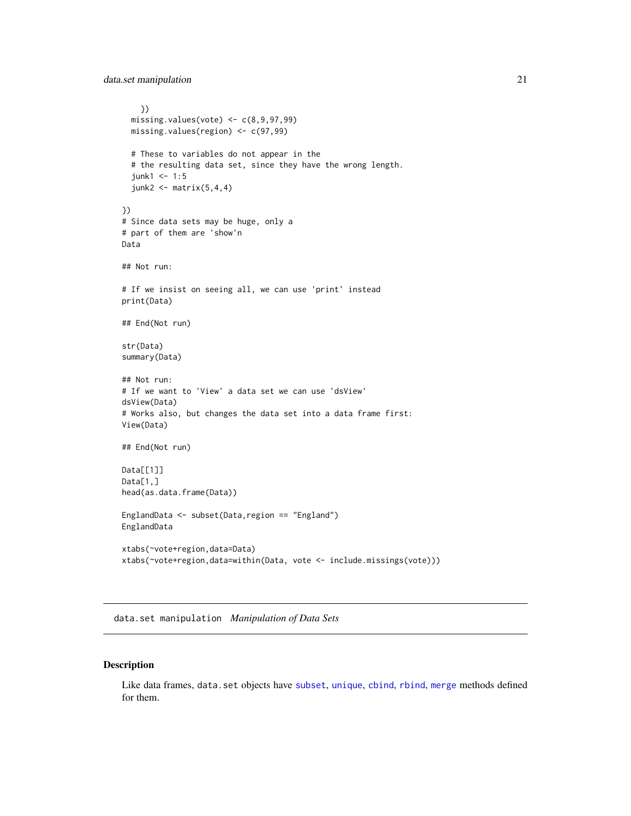<span id="page-20-0"></span>data.set manipulation 21

```
})
  missing.values(vote) \leq c(8, 9, 97, 99)missing.values(region) <- c(97,99)
  # These to variables do not appear in the
  # the resulting data set, since they have the wrong length.
  junk1 < -1:5junk2 < - matrix(5,4,4)})
# Since data sets may be huge, only a
# part of them are 'show'n
Data
## Not run:
# If we insist on seeing all, we can use 'print' instead
print(Data)
## End(Not run)
str(Data)
summary(Data)
## Not run:
# If we want to 'View' a data set we can use 'dsView'
dsView(Data)
# Works also, but changes the data set into a data frame first:
View(Data)
## End(Not run)
Data[[1]]
Data[1,]
head(as.data.frame(Data))
EnglandData <- subset(Data,region == "England")
EnglandData
xtabs(~vote+region,data=Data)
xtabs(~vote+region,data=within(Data, vote <- include.missings(vote)))
```
data.set manipulation *Manipulation of Data Sets*

# Description

Like data frames, data.set objects have [subset](#page-0-0), [unique](#page-0-0), [cbind](#page-0-0), [rbind](#page-0-0), [merge](#page-0-0) methods defined for them.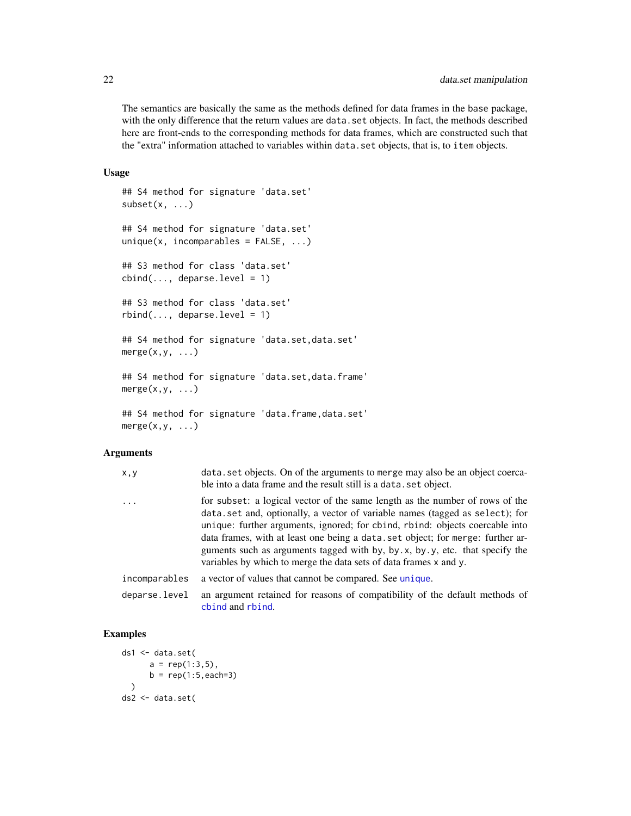The semantics are basically the same as the methods defined for data frames in the base package, with the only difference that the return values are data.set objects. In fact, the methods described here are front-ends to the corresponding methods for data frames, which are constructed such that the "extra" information attached to variables within data.set objects, that is, to item objects.

# Usage

```
## S4 method for signature 'data.set'
subset(x, \ldots)## S4 method for signature 'data.set'
unique(x, incomparables = FALSE, ...)## S3 method for class 'data.set'
cbind(..., deparse.level = 1)## S3 method for class 'data.set'
rbind(..., deparse.level = 1)## S4 method for signature 'data.set,data.set'
merge(x,y, \ldots)## S4 method for signature 'data.set, data.frame'
merge(x,y, \ldots)## S4 method for signature 'data.frame, data.set'
merge(x,y, \ldots)
```
# Arguments

| x,y           | data set objects. On of the arguments to merge may also be an object coerca-<br>ble into a data frame and the result still is a data, set object.                                                                                                                                                                                                                                                                                                                                  |
|---------------|------------------------------------------------------------------------------------------------------------------------------------------------------------------------------------------------------------------------------------------------------------------------------------------------------------------------------------------------------------------------------------------------------------------------------------------------------------------------------------|
| $\cdots$      | for subset: a logical vector of the same length as the number of rows of the<br>data.set and, optionally, a vector of variable names (tagged as select); for<br>unique: further arguments, ignored; for cbind, rbind: objects coercable into<br>data frames, with at least one being a data set object; for merge: further ar-<br>guments such as arguments tagged with by, by.x, by.y, etc. that specify the<br>variables by which to merge the data sets of data frames x and y. |
| incomparables | a vector of values that cannot be compared. See unique.                                                                                                                                                                                                                                                                                                                                                                                                                            |
| deparse.level | an argument retained for reasons of compatibility of the default methods of<br>chind and rhind.                                                                                                                                                                                                                                                                                                                                                                                    |

```
ds1 <- data.set(
      a = rep(1:3,5),b = rep(1:5, each=3)\lambdads2 <- data.set(
```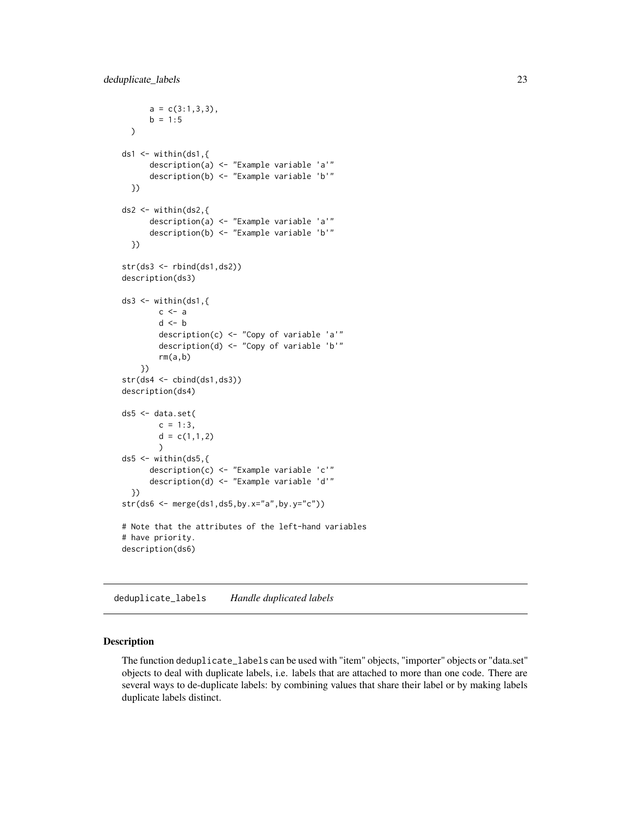```
a = c(3:1,3,3),
      b = 1:5\mathcal{L}ds1 \leftarrow within(ds1,{
      description(a) <- "Example variable 'a'"
      description(b) <- "Example variable 'b'"
 })
ds2 < - within(ds2,{
      description(a) <- "Example variable 'a'"
      description(b) <- "Example variable 'b'"
 })
str(ds3 <- rbind(ds1,ds2))
description(ds3)
ds3 \leq within(ds1,\{c \leq -ad <- b
        description(c) <- "Copy of variable 'a'"
        description(d) <- "Copy of variable 'b'"
        rm(a,b)
    })
str(ds4 <- cbind(ds1,ds3))
description(ds4)
ds5 <- data.set(
        c = 1:3,
        d = c(1,1,2))
ds5 \leftarrow within(ds5,{
      description(c) <- "Example variable 'c'"
      description(d) <- "Example variable 'd'"
 })
str(ds6 <- merge(ds1,ds5,by.x="a",by.y="c"))
# Note that the attributes of the left-hand variables
# have priority.
description(ds6)
```
deduplicate\_labels *Handle duplicated labels*

# **Description**

The function deduplicate\_labels can be used with "item" objects, "importer" objects or "data.set" objects to deal with duplicate labels, i.e. labels that are attached to more than one code. There are several ways to de-duplicate labels: by combining values that share their label or by making labels duplicate labels distinct.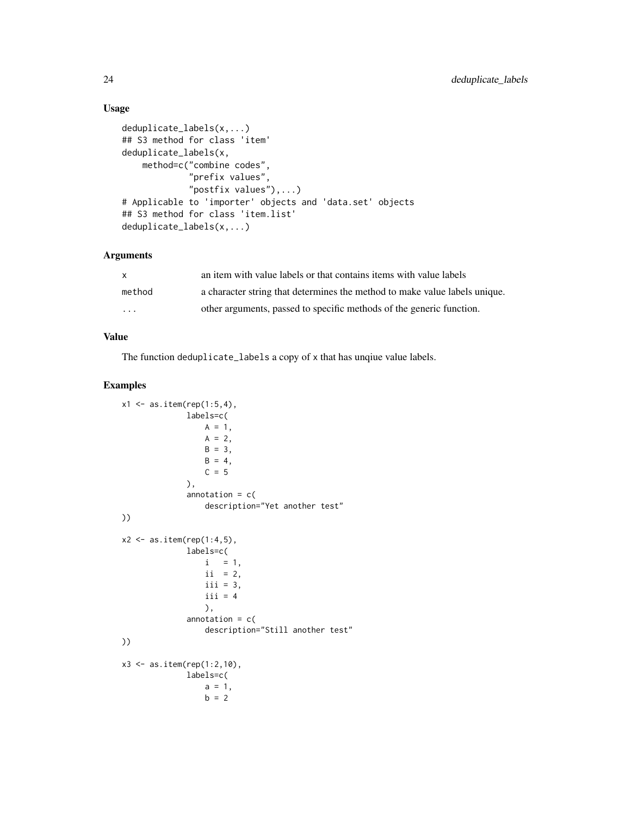# Usage

```
deduplicate_labels(x,...)
## S3 method for class 'item'
deduplicate_labels(x,
   method=c("combine codes",
             "prefix values",
             "postfix values"),...)
# Applicable to 'importer' objects and 'data.set' objects
## S3 method for class 'item.list'
deduplicate_labels(x,...)
```
# Arguments

| $\mathsf{x}$ | an item with value labels or that contains items with value labels         |
|--------------|----------------------------------------------------------------------------|
| method       | a character string that determines the method to make value labels unique. |
| $\cdot$      | other arguments, passed to specific methods of the generic function.       |

# Value

The function deduplicate\_labels a copy of x that has unqiue value labels.

```
x1 \leq -as.item(rep(1:5,4)),labels=c(
                 A = 1,
                  A = 2,
                  B = 3,B = 4,C = 5),
              annotation = c(description="Yet another test"
))
x2 \leftarrow astem(rep(1:4,5),
             labels=c(
                 i = 1,
                  ii = 2,
                  iii = 3,
                  iii = 4),
              annotation = c(description="Still another test"
))
x3 \le - as.item(rep(1:2,10),
             labels=c(
                 a = 1,b = 2
```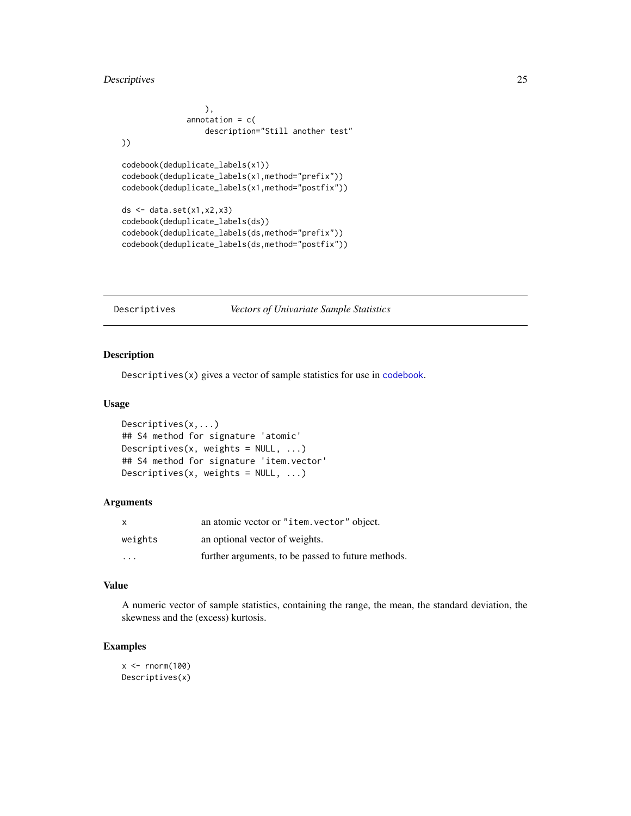# <span id="page-24-0"></span>Descriptives 25

```
),
               \text{annotation} = \text{c}(
                   description="Still another test"
))
codebook(deduplicate_labels(x1))
codebook(deduplicate_labels(x1,method="prefix"))
codebook(deduplicate_labels(x1,method="postfix"))
ds <- data.set(x1,x2,x3)
codebook(deduplicate_labels(ds))
codebook(deduplicate_labels(ds,method="prefix"))
codebook(deduplicate_labels(ds,method="postfix"))
```
# Descriptives *Vectors of Univariate Sample Statistics*

# Description

Descriptives(x) gives a vector of sample statistics for use in [codebook](#page-9-1).

# Usage

```
Descriptives(x,...)
## S4 method for signature 'atomic'
Descriptives(x, weights = NULL, ...)## S4 method for signature 'item.vector'
Descriptives(x, weights = NULL, ...)
```
# Arguments

| X                       | an atomic vector or "item. vector" object.         |
|-------------------------|----------------------------------------------------|
| weights                 | an optional vector of weights.                     |
| $\cdot$ $\cdot$ $\cdot$ | further arguments, to be passed to future methods. |

# Value

A numeric vector of sample statistics, containing the range, the mean, the standard deviation, the skewness and the (excess) kurtosis.

```
x < - rnorm(100)
Descriptives(x)
```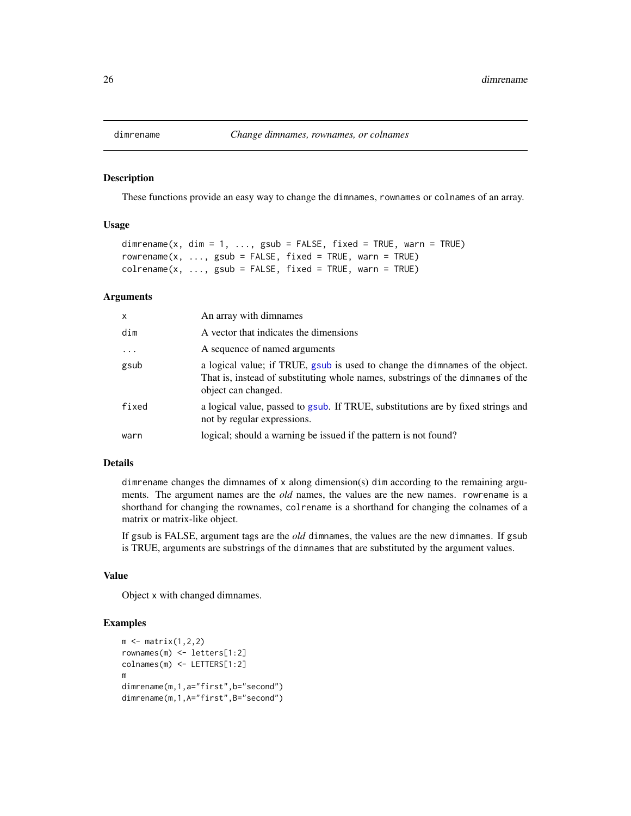<span id="page-25-0"></span>

#### Description

These functions provide an easy way to change the dimnames, rownames or colnames of an array.

# Usage

```
dimrename(x, dim = 1, ..., gsub = FALSE, fixed = TRUE, warn = TRUE)
rowrename(x, ..., gsub = FALSE, fixed = TRUE, warn = TRUE)
colrename(x, ..., gsub = FALSE, fixed = TRUE, warn = TRUE)
```
#### Arguments

| x          | An array with dimnames                                                                                                                                                                 |
|------------|----------------------------------------------------------------------------------------------------------------------------------------------------------------------------------------|
| dim        | A vector that indicates the dimensions                                                                                                                                                 |
| $\ddots$ . | A sequence of named arguments                                                                                                                                                          |
| gsub       | a logical value; if TRUE, gsub is used to change the dimnames of the object.<br>That is, instead of substituting whole names, substrings of the dimnames of the<br>object can changed. |
| fixed      | a logical value, passed to gsub. If TRUE, substitutions are by fixed strings and<br>not by regular expressions.                                                                        |
| warn       | logical; should a warning be issued if the pattern is not found?                                                                                                                       |

# Details

dimrename changes the dimnames of x along dimension(s) dim according to the remaining arguments. The argument names are the *old* names, the values are the new names. rowrename is a shorthand for changing the rownames, colrename is a shorthand for changing the colnames of a matrix or matrix-like object.

If gsub is FALSE, argument tags are the *old* dimnames, the values are the new dimnames. If gsub is TRUE, arguments are substrings of the dimnames that are substituted by the argument values.

#### Value

Object x with changed dimnames.

```
m \leftarrow matrix(1,2,2)rownames(m) <- letters[1:2]
colnames(m) <- LETTERS[1:2]
m
dimrename(m,1,a="first",b="second")
dimrename(m,1,A="first",B="second")
```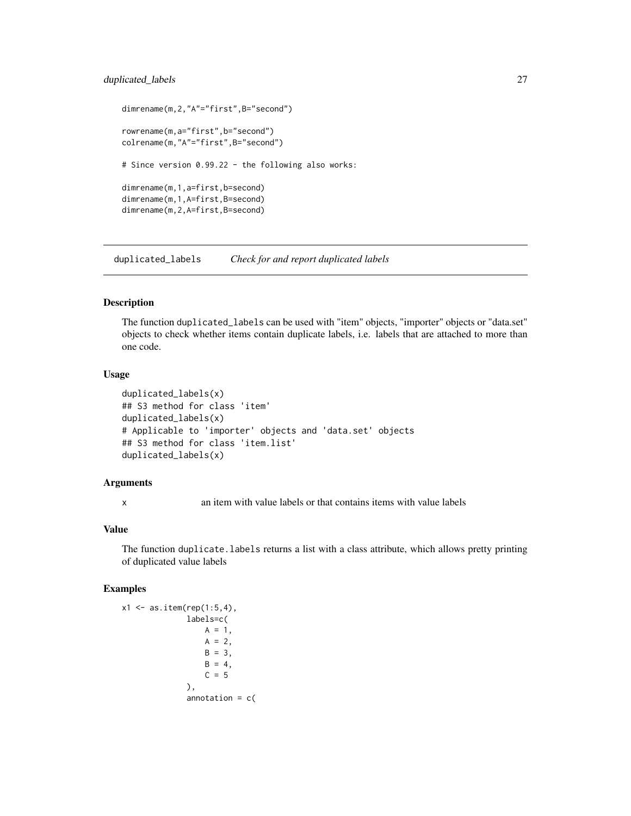# <span id="page-26-0"></span>duplicated\_labels 27

```
dimrename(m,2,"A"="first",B="second")
rowrename(m,a="first",b="second")
colrename(m,"A"="first",B="second")
# Since version 0.99.22 - the following also works:
dimrename(m,1,a=first,b=second)
dimrename(m,1,A=first,B=second)
dimrename(m,2,A=first,B=second)
```
duplicated\_labels *Check for and report duplicated labels*

#### Description

The function duplicated\_labels can be used with "item" objects, "importer" objects or "data.set" objects to check whether items contain duplicate labels, i.e. labels that are attached to more than one code.

# Usage

```
duplicated_labels(x)
## S3 method for class 'item'
duplicated_labels(x)
# Applicable to 'importer' objects and 'data.set' objects
## S3 method for class 'item.list'
duplicated_labels(x)
```
#### Arguments

x an item with value labels or that contains items with value labels

# Value

The function duplicate.labels returns a list with a class attribute, which allows pretty printing of duplicated value labels

```
x1 \leq -as.item(rep(1:5,4)),labels=c(
                  A = 1,
                  A = 2,B = 3,B = 4,
                  C = 5),
              annotation = c(
```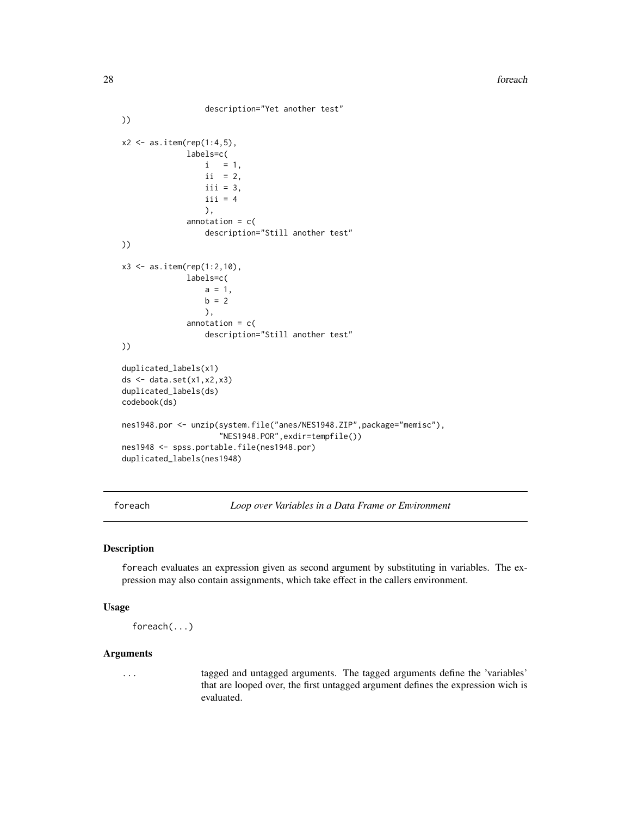```
description="Yet another test"
))
x2 \le - as.item(rep(1:4,5),
              labels=c(
                 i = 1,ii = 2,
                  iii = 3,iii = 4),
              annotation = c(
                  description="Still another test"
))
x3 \le - as.item(rep(1:2,10),
              labels=c(
                  a = 1,b = 2),
              annotation = c(description="Still another test"
))
duplicated_labels(x1)
ds <- data.set(x1,x2,x3)
duplicated_labels(ds)
codebook(ds)
nes1948.por <- unzip(system.file("anes/NES1948.ZIP",package="memisc"),
                     "NES1948.POR",exdir=tempfile())
nes1948 <- spss.portable.file(nes1948.por)
duplicated_labels(nes1948)
```
foreach *Loop over Variables in a Data Frame or Environment*

### Description

foreach evaluates an expression given as second argument by substituting in variables. The expression may also contain assignments, which take effect in the callers environment.

# Usage

```
foreach(...)
```
# Arguments

... tagged and untagged arguments. The tagged arguments define the 'variables' that are looped over, the first untagged argument defines the expression wich is evaluated.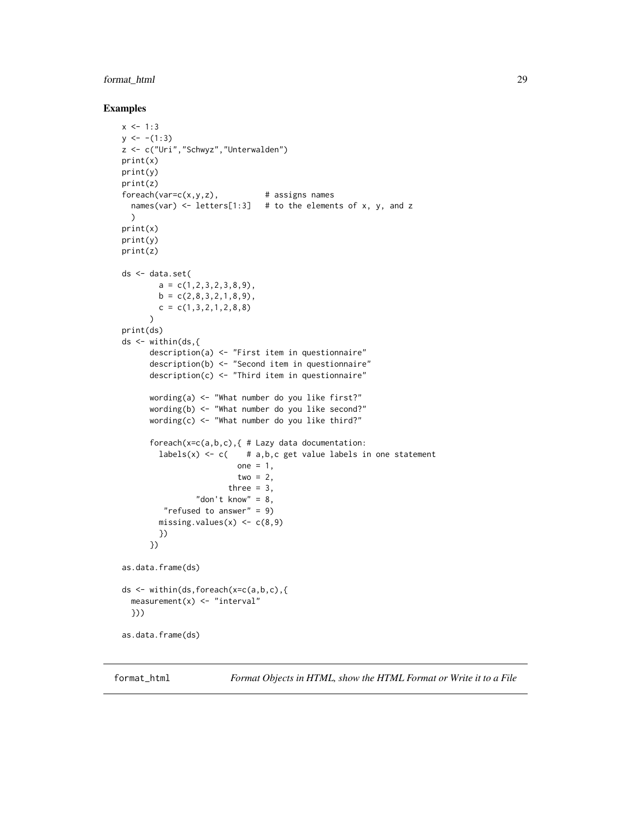# <span id="page-28-0"></span>format\_html 29

# Examples

```
x < -1:3y \leftarrow -(1:3)z <- c("Uri","Schwyz","Unterwalden")
print(x)
print(y)
print(z)
fored(x, y, z), # assigns names
  names(var) \le letters[1:3] # to the elements of x, y, and z
  )
print(x)
print(y)
print(z)
ds <- data.set(
        a = c(1, 2, 3, 2, 3, 8, 9),
        b = c(2,8,3,2,1,8,9),
        c = c(1, 3, 2, 1, 2, 8, 8)\lambdaprint(ds)
ds <- within(ds,{
      description(a) <- "First item in questionnaire"
      description(b) <- "Second item in questionnaire"
      description(c) <- "Third item in questionnaire"
      wording(a) <- "What number do you like first?"
      wording(b) <- "What number do you like second?"
      wording(c) <- "What number do you like third?"
      foreach(x=c(a,b,c),{ # Lazy data documentation:
        labels(x) \leftarrow c( # a,b,c get value labels in one statement
                         one = 1,
                         two = 2,
                       three = 3,
                "don't know" = 8,
         "refused to answer" = 9)
        missing.values(x) \leq c(8,9)
        })
      })
as.data.frame(ds)
ds <- within(ds,foreach(x=c(a,b,c),{
  measurement(x) <- "interval"
  }))
as.data.frame(ds)
```
<span id="page-28-2"></span>

<span id="page-28-1"></span>format\_html *Format Objects in HTML, show the HTML Format or Write it to a File*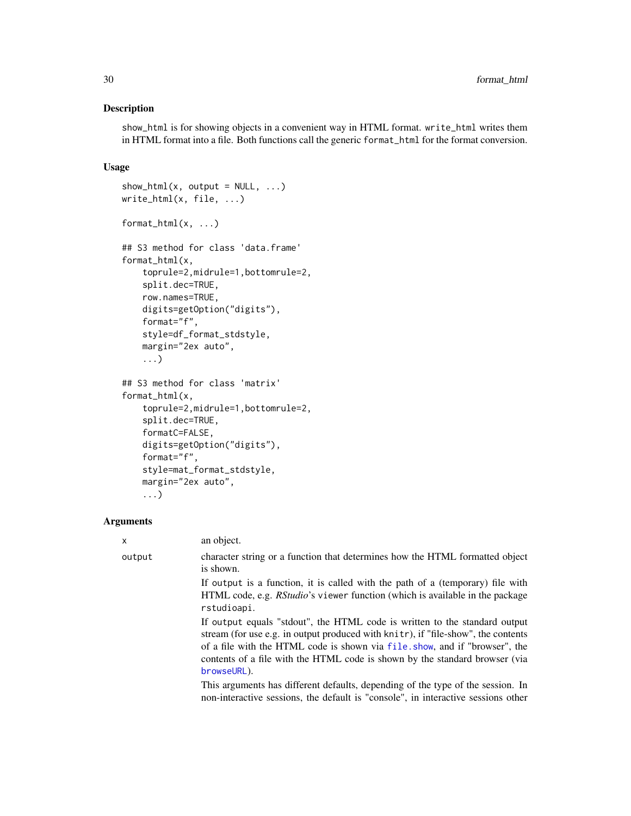# Description

show\_html is for showing objects in a convenient way in HTML format. write\_html writes them in HTML format into a file. Both functions call the generic format\_html for the format conversion.

#### Usage

```
show\_html(x, output = NULL, ...)write_html(x, file, ...)
format_html(x, ...)
## S3 method for class 'data.frame'
format_html(x,
    toprule=2,midrule=1,bottomrule=2,
    split.dec=TRUE,
    row.names=TRUE,
    digits=getOption("digits"),
    format="f",
    style=df_format_stdstyle,
    margin="2ex auto",
    ...)
## S3 method for class 'matrix'
format_html(x,
    toprule=2,midrule=1,bottomrule=2,
    split.dec=TRUE,
    formatC=FALSE,
    digits=getOption("digits"),
    format="f",
    style=mat_format_stdstyle,
    margin="2ex auto",
    ...)
```
#### Arguments

|  | x      | an object.                                                                                                                                                                                                                                                                                                                                  |
|--|--------|---------------------------------------------------------------------------------------------------------------------------------------------------------------------------------------------------------------------------------------------------------------------------------------------------------------------------------------------|
|  | output | character string or a function that determines how the HTML formatted object<br>is shown.                                                                                                                                                                                                                                                   |
|  |        | If output is a function, it is called with the path of a (temporary) file with<br>HTML code, e.g. <i>RStudio</i> 's viewer function (which is available in the package<br>rstudioapi.                                                                                                                                                       |
|  |        | If output equals "stdout", the HTML code is written to the standard output<br>stream (for use e.g. in output produced with knitr), if "file-show", the contents<br>of a file with the HTML code is shown via file show, and if "browser", the<br>contents of a file with the HTML code is shown by the standard browser (via<br>browseURL). |
|  |        | This arguments has different defaults, depending of the type of the session. In                                                                                                                                                                                                                                                             |

This arguments has different defaults, depending of the type of the session. In non-interactive sessions, the default is "console", in interactive sessions other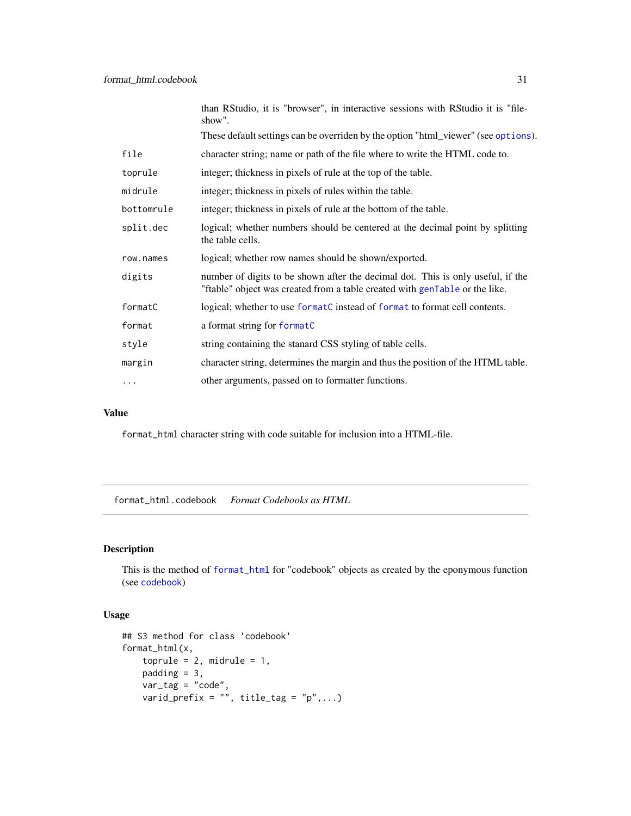<span id="page-30-0"></span>

|            | than RStudio, it is "browser", in interactive sessions with RStudio it is "file-<br>show".                                                                     |
|------------|----------------------------------------------------------------------------------------------------------------------------------------------------------------|
|            | These default settings can be overriden by the option "html_viewer" (see options).                                                                             |
| file       | character string; name or path of the file where to write the HTML code to.                                                                                    |
| toprule    | integer; thickness in pixels of rule at the top of the table.                                                                                                  |
| midrule    | integer; thickness in pixels of rules within the table.                                                                                                        |
| bottomrule | integer; thickness in pixels of rule at the bottom of the table.                                                                                               |
| split.dec  | logical; whether numbers should be centered at the decimal point by splitting<br>the table cells.                                                              |
| row.names  | logical; whether row names should be shown/exported.                                                                                                           |
| digits     | number of digits to be shown after the decimal dot. This is only useful, if the<br>"ftable" object was created from a table created with genTable or the like. |
| formatC    | logical; whether to use format C instead of format to format cell contents.                                                                                    |
| format     | a format string for formatC                                                                                                                                    |
| style      | string containing the stanard CSS styling of table cells.                                                                                                      |
| margin     | character string, determines the margin and thus the position of the HTML table.                                                                               |
| $\cdots$   | other arguments, passed on to formatter functions.                                                                                                             |

# Value

format\_html character string with code suitable for inclusion into a HTML-file.

format\_html.codebook *Format Codebooks as HTML*

# Description

This is the method of [format\\_html](#page-28-1) for "codebook" objects as created by the eponymous function (see [codebook](#page-9-1))

```
## S3 method for class 'codebook'
format_html(x,
   toprule = 2, midrule = 1,
    padding = 3,
   var\_tag = "code",varid_prefix = ", title_tag = "p", \ldots)
```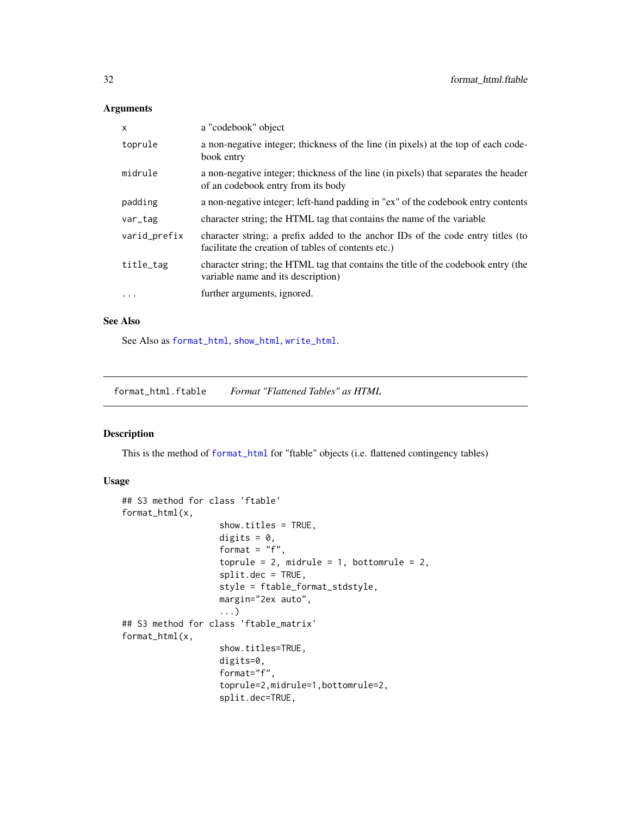<span id="page-31-0"></span>

| $\times$     | a "codebook" object                                                                                                                    |
|--------------|----------------------------------------------------------------------------------------------------------------------------------------|
| toprule      | a non-negative integer; thickness of the line (in pixels) at the top of each code-<br>book entry                                       |
| midrule      | a non-negative integer; thickness of the line (in pixels) that separates the header<br>of an codebook entry from its body              |
| padding      | a non-negative integer; left-hand padding in "ex" of the codebook entry contents                                                       |
| var_tag      | character string; the HTML tag that contains the name of the variable                                                                  |
| varid_prefix | character string; a prefix added to the anchor IDs of the code entry titles (to<br>facilitate the creation of tables of contents etc.) |
| title_tag    | character string; the HTML tag that contains the title of the codebook entry (the<br>variable name and its description)                |
| $\cdot$      | further arguments, ignored.                                                                                                            |

# See Also

See Also as [format\\_html](#page-28-1), [show\\_html](#page-28-2), [write\\_html](#page-28-2).

format\_html.ftable *Format "Flattened Tables" as HTML*

# Description

This is the method of [format\\_html](#page-28-1) for "ftable" objects (i.e. flattened contingency tables)

```
## S3 method for class 'ftable'
format_html(x,
                   show.titles = TRUE,
                   digits = 0,
                   format = "f",toprule = 2, midrule = 1, bottomrule = 2,
                   split.dec = TRUE,
                   style = ftable_format_stdstyle,
                   margin="2ex auto",
                   ...)
## S3 method for class 'ftable_matrix'
format_html(x,
                   show.titles=TRUE,
                   digits=0,
                   format="f",
                   toprule=2,midrule=1,bottomrule=2,
                   split.dec=TRUE,
```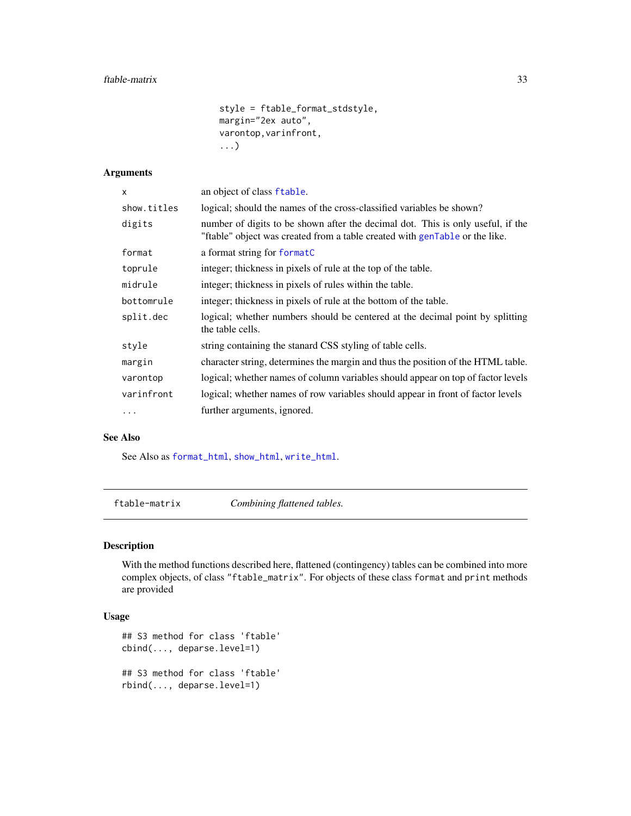```
style = ftable_format_stdstyle,
margin="2ex auto",
varontop,varinfront,
...)
```
<span id="page-32-0"></span>

| an object of class ftable.                                                                                                                                     |
|----------------------------------------------------------------------------------------------------------------------------------------------------------------|
| logical; should the names of the cross-classified variables be shown?                                                                                          |
| number of digits to be shown after the decimal dot. This is only useful, if the<br>"ftable" object was created from a table created with genTable or the like. |
| a format string for formatC                                                                                                                                    |
| integer; thickness in pixels of rule at the top of the table.                                                                                                  |
| integer; thickness in pixels of rules within the table.                                                                                                        |
| integer; thickness in pixels of rule at the bottom of the table.                                                                                               |
| logical; whether numbers should be centered at the decimal point by splitting<br>the table cells.                                                              |
| string containing the stanard CSS styling of table cells.                                                                                                      |
| character string, determines the margin and thus the position of the HTML table.                                                                               |
| logical; whether names of column variables should appear on top of factor levels                                                                               |
| logical; whether names of row variables should appear in front of factor levels                                                                                |
| further arguments, ignored.                                                                                                                                    |
|                                                                                                                                                                |

# See Also

See Also as [format\\_html](#page-28-1), [show\\_html](#page-28-2), [write\\_html](#page-28-2).

ftable-matrix *Combining flattened tables.*

# Description

With the method functions described here, flattened (contingency) tables can be combined into more complex objects, of class "ftable\_matrix". For objects of these class format and print methods are provided

```
## S3 method for class 'ftable'
cbind(..., deparse.level=1)
## S3 method for class 'ftable'
rbind(..., deparse.level=1)
```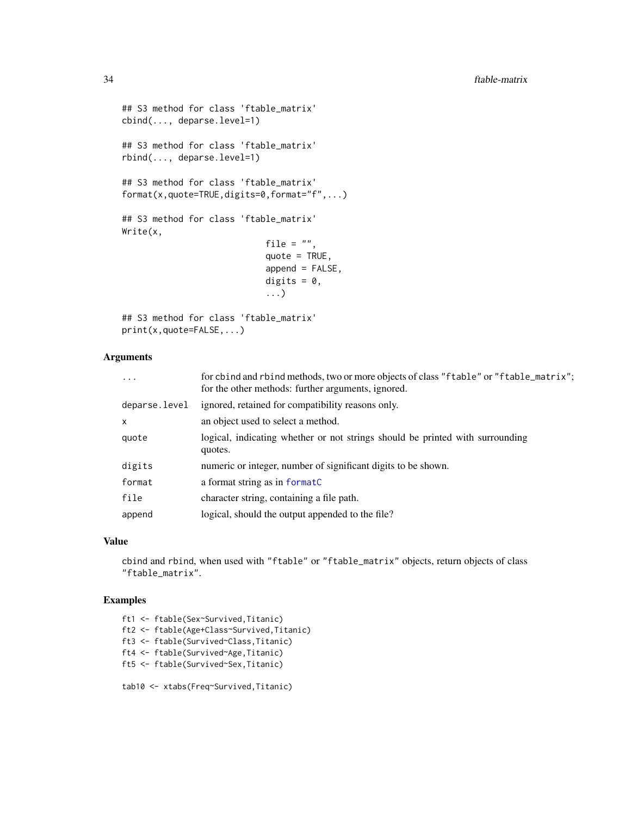```
## S3 method for class 'ftable_matrix'
cbind(..., deparse.level=1)
## S3 method for class 'ftable_matrix'
rbind(..., deparse.level=1)
## S3 method for class 'ftable_matrix'
format(x,quote=TRUE,digits=0,format="f",...)
## S3 method for class 'ftable_matrix'
Write(x,
                            file = ",
                            quote = TRUE,append = FALSE,digits = 0,
                            ...)
## S3 method for class 'ftable_matrix'
```

```
print(x,quote=FALSE,...)
```

| $\cdots$      | for cbind and rbind methods, two or more objects of class "ftable" or "ftable_matrix";<br>for the other methods: further arguments, ignored. |
|---------------|----------------------------------------------------------------------------------------------------------------------------------------------|
| deparse.level | ignored, retained for compatibility reasons only.                                                                                            |
| X.            | an object used to select a method.                                                                                                           |
| quote         | logical, indicating whether or not strings should be printed with surrounding<br>quotes.                                                     |
| digits        | numeric or integer, number of significant digits to be shown.                                                                                |
| format        | a format string as in formatC                                                                                                                |
| file          | character string, containing a file path.                                                                                                    |
| append        | logical, should the output appended to the file?                                                                                             |

#### Value

cbind and rbind, when used with "ftable" or "ftable\_matrix" objects, return objects of class "ftable\_matrix".

# Examples

ft1 <- ftable(Sex~Survived,Titanic) ft2 <- ftable(Age+Class~Survived,Titanic) ft3 <- ftable(Survived~Class,Titanic) ft4 <- ftable(Survived~Age,Titanic) ft5 <- ftable(Survived~Sex,Titanic)

tab10 <- xtabs(Freq~Survived,Titanic)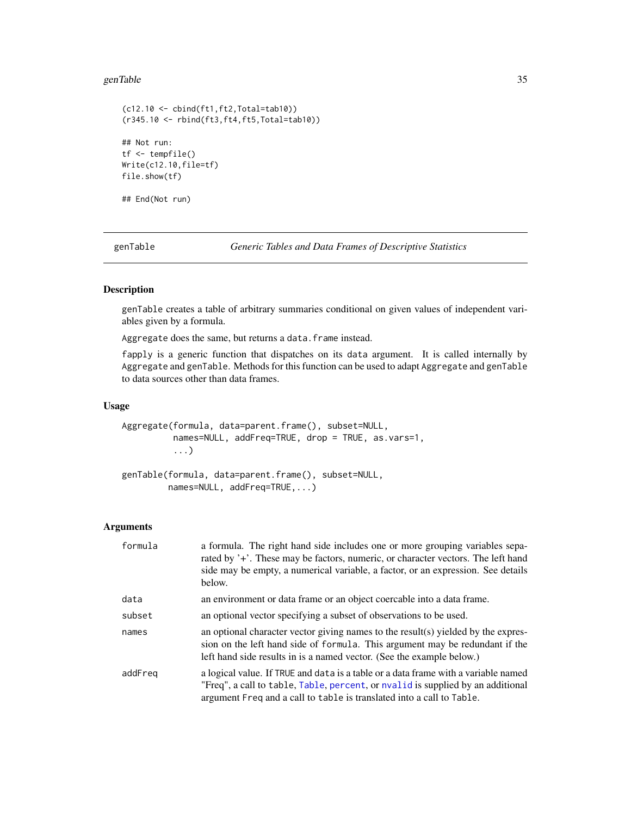#### <span id="page-34-0"></span>genTable 35

```
(c12.10 <- cbind(ft1,ft2,Total=tab10))
(r345.10 <- rbind(ft3,ft4,ft5,Total=tab10))
## Not run:
tf <- tempfile()
Write(c12.10,file=tf)
file.show(tf)
```
## End(Not run)

<span id="page-34-1"></span>genTable *Generic Tables and Data Frames of Descriptive Statistics*

# Description

genTable creates a table of arbitrary summaries conditional on given values of independent variables given by a formula.

Aggregate does the same, but returns a data. frame instead.

fapply is a generic function that dispatches on its data argument. It is called internally by Aggregate and genTable. Methods for this function can be used to adapt Aggregate and genTable to data sources other than data frames.

# Usage

```
Aggregate(formula, data=parent.frame(), subset=NULL,
          names=NULL, addFreq=TRUE, drop = TRUE, as.vars=1,
          ...)
genTable(formula, data=parent.frame(), subset=NULL,
```

```
names=NULL, addFreq=TRUE,...)
```
#### Arguments

| formula | a formula. The right hand side includes one or more grouping variables sepa-<br>rated by '+'. These may be factors, numeric, or character vectors. The left hand<br>side may be empty, a numerical variable, a factor, or an expression. See details<br>below. |
|---------|----------------------------------------------------------------------------------------------------------------------------------------------------------------------------------------------------------------------------------------------------------------|
| data    | an environment or data frame or an object coercable into a data frame.                                                                                                                                                                                         |
| subset  | an optional vector specifying a subset of observations to be used.                                                                                                                                                                                             |
| names   | an optional character vector giving names to the result(s) yielded by the expres-<br>sion on the left hand side of formula. This argument may be redundant if the<br>left hand side results in is a named vector. (See the example below.)                     |
| addFreg | a logical value. If TRUE and data is a table or a data frame with a variable named<br>"Freq", a call to table, Table, percent, or nvalid is supplied by an additional<br>argument Freq and a call to table is translated into a call to Table.                 |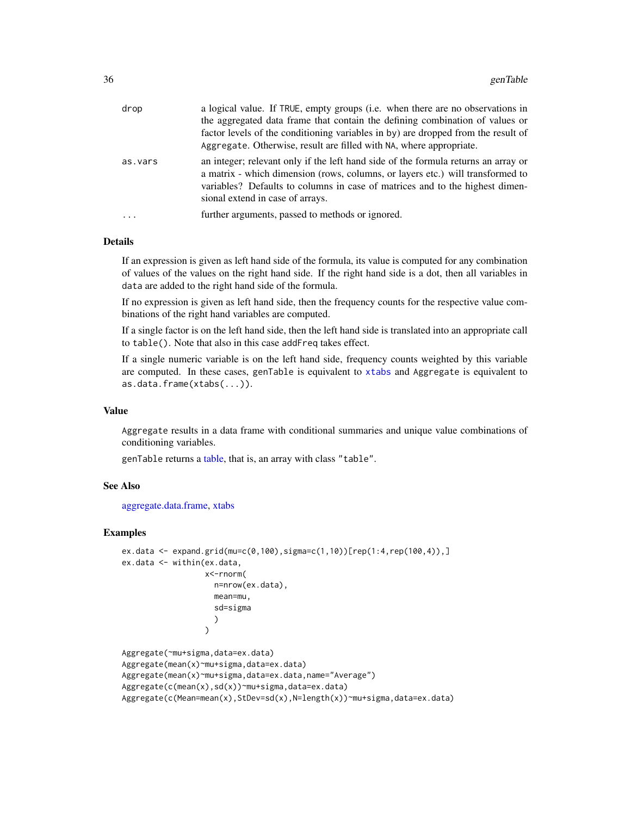| drop     | a logical value. If TRUE, empty groups (i.e. when there are no observations in<br>the aggregated data frame that contain the defining combination of values or<br>factor levels of the conditioning variables in by) are dropped from the result of<br>Aggregate. Otherwise, result are filled with NA, where appropriate. |
|----------|----------------------------------------------------------------------------------------------------------------------------------------------------------------------------------------------------------------------------------------------------------------------------------------------------------------------------|
| as.vars  | an integer; relevant only if the left hand side of the formula returns an array or<br>a matrix - which dimension (rows, columns, or layers etc.) will transformed to<br>variables? Defaults to columns in case of matrices and to the highest dimen-<br>sional extend in case of arrays.                                   |
| $\cdots$ | further arguments, passed to methods or ignored.                                                                                                                                                                                                                                                                           |

# Details

If an expression is given as left hand side of the formula, its value is computed for any combination of values of the values on the right hand side. If the right hand side is a dot, then all variables in data are added to the right hand side of the formula.

If no expression is given as left hand side, then the frequency counts for the respective value combinations of the right hand variables are computed.

If a single factor is on the left hand side, then the left hand side is translated into an appropriate call to table(). Note that also in this case addFreq takes effect.

If a single numeric variable is on the left hand side, frequency counts weighted by this variable are computed. In these cases, genTable is equivalent to [xtabs](#page-0-0) and Aggregate is equivalent to as.data.frame(xtabs(...)).

# Value

Aggregate results in a data frame with conditional summaries and unique value combinations of conditioning variables.

genTable returns a [table,](#page-0-0) that is, an array with class "table".

### See Also

#### [aggregate.data.frame,](#page-0-0) [xtabs](#page-0-0)

```
ex.data <- expand.grid(mu=c(0,100),sigma=c(1,10))[rep(1:4,rep(100,4)),]
ex.data <- within(ex.data,
                  x<-rnorm(
                    n=nrow(ex.data),
                    mean=mu,
                    sd=sigma
                    )
                  )
Aggregate(~mu+sigma,data=ex.data)
Aggregate(mean(x)~mu+sigma,data=ex.data)
```

```
Aggregate(mean(x)~mu+sigma,data=ex.data,name="Average")
```

```
Aggregate(c(mean(x),sd(x))~mu+sigma,data=ex.data)
```

```
Aggregate(c(Mean=mean(x),StDev=sd(x),N=length(x))~mu+sigma,data=ex.data)
```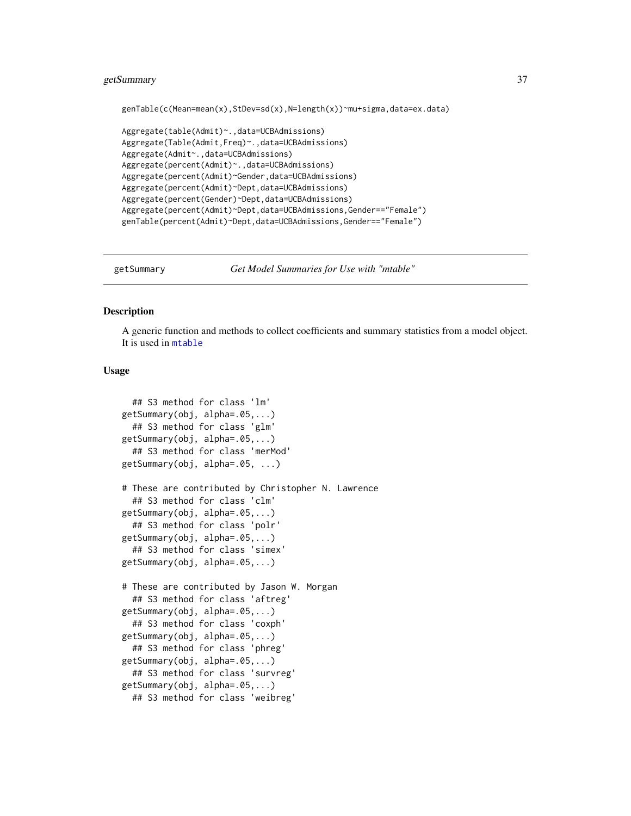# getSummary 37

```
genTable(c(Mean=mean(x),StDev=sd(x),N=length(x))~mu+sigma,data=ex.data)
```

```
Aggregate(table(Admit)~.,data=UCBAdmissions)
Aggregate(Table(Admit,Freq)~.,data=UCBAdmissions)
Aggregate(Admit~.,data=UCBAdmissions)
Aggregate(percent(Admit)~.,data=UCBAdmissions)
Aggregate(percent(Admit)~Gender,data=UCBAdmissions)
Aggregate(percent(Admit)~Dept,data=UCBAdmissions)
Aggregate(percent(Gender)~Dept,data=UCBAdmissions)
Aggregate(percent(Admit)~Dept,data=UCBAdmissions,Gender=="Female")
genTable(percent(Admit)~Dept,data=UCBAdmissions,Gender=="Female")
```
<span id="page-36-0"></span>

getSummary *Get Model Summaries for Use with "mtable"*

### Description

A generic function and methods to collect coefficients and summary statistics from a model object. It is used in [mtable](#page-64-0)

```
## S3 method for class 'lm'
getSummary(obj, alpha=.05,...)
  ## S3 method for class 'glm'
getSummary(obj, alpha=.05,...)
  ## S3 method for class 'merMod'
getSummary(obj, alpha=.05, ...)
# These are contributed by Christopher N. Lawrence
  ## S3 method for class 'clm'
getSummary(obj, alpha=.05,...)
  ## S3 method for class 'polr'
getSummary(obj, alpha=.05,...)
  ## S3 method for class 'simex'
getSummary(obj, alpha=.05,...)
# These are contributed by Jason W. Morgan
  ## S3 method for class 'aftreg'
getSummary(obj, alpha=.05,...)
  ## S3 method for class 'coxph'
getSummary(obj, alpha=.05,...)
  ## S3 method for class 'phreg'
getSummary(obj, alpha=.05,...)
  ## S3 method for class 'survreg'
getSummary(obj, alpha=.05,...)
  ## S3 method for class 'weibreg'
```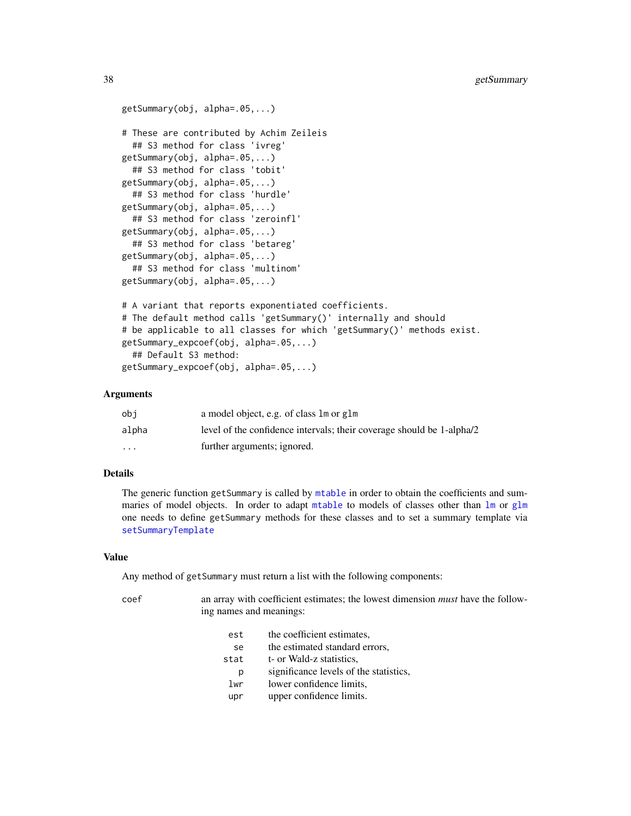```
getSummary(obj, alpha=.05,...)
# These are contributed by Achim Zeileis
  ## S3 method for class 'ivreg'
getSummary(obj, alpha=.05,...)
  ## S3 method for class 'tobit'
getSummary(obj, alpha=.05,...)
  ## S3 method for class 'hurdle'
getSummary(obj, alpha=.05,...)
  ## S3 method for class 'zeroinfl'
getSummary(obj, alpha=.05,...)
  ## S3 method for class 'betareg'
getSummary(obj, alpha=.05,...)
  ## S3 method for class 'multinom'
getSummary(obj, alpha=.05,...)
# A variant that reports exponentiated coefficients.
# The default method calls 'getSummary()' internally and should
# be applicable to all classes for which 'getSummary()' methods exist.
getSummary_expcoef(obj, alpha=.05,...)
  ## Default S3 method:
getSummary_expcoef(obj, alpha=.05,...)
```
### Arguments

| obi                     | a model object, e.g. of class 1 m or g1 m                             |
|-------------------------|-----------------------------------------------------------------------|
| alpha                   | level of the confidence intervals; their coverage should be 1-alpha/2 |
| $\cdot$ $\cdot$ $\cdot$ | further arguments; ignored.                                           |

### Details

The generic function getSummary is called by [mtable](#page-64-0) in order to obtain the coefficients and summaries of model objects. In order to adapt [mtable](#page-64-0) to models of classes other than  $\text{lm}$  $\text{lm}$  $\text{lm}$  or [glm](#page-0-0) one needs to define getSummary methods for these classes and to set a summary template via [setSummaryTemplate](#page-94-0)

#### Value

Any method of getSummary must return a list with the following components:

| coef | ing names and meanings: | an array with coefficient estimates; the lowest dimension <i>must</i> have the follow- |
|------|-------------------------|----------------------------------------------------------------------------------------|
|      | est                     | the coefficient estimates.                                                             |
|      | se                      | the estimated standard errors.                                                         |
|      | stat                    | t- or Wald-z statistics.                                                               |
|      | р                       | significance levels of the statistics,                                                 |
|      | lwr                     | lower confidence limits.                                                               |
|      | upr                     | upper confidence limits.                                                               |
|      |                         |                                                                                        |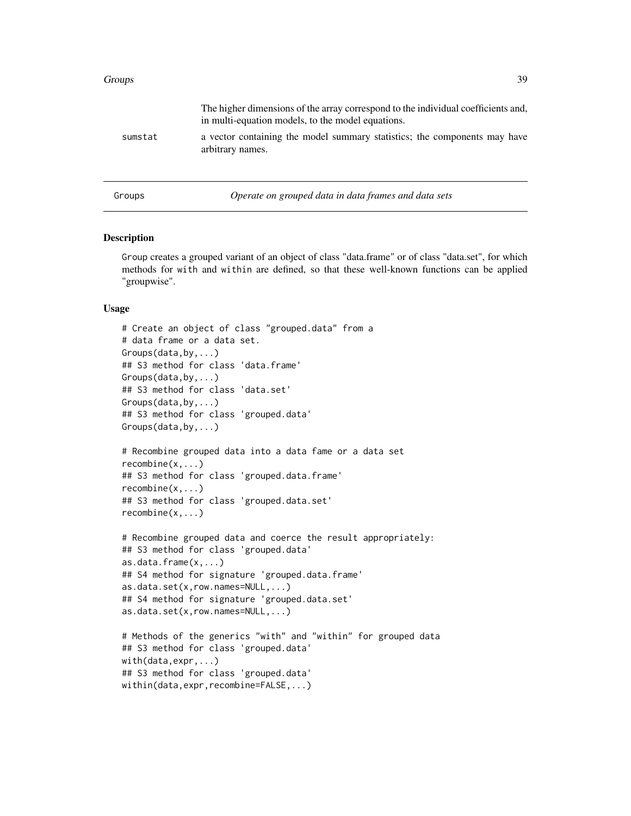### Groups 39

|         | The higher dimensions of the array correspond to the individual coefficients and,<br>in multi-equation models, to the model equations. |
|---------|----------------------------------------------------------------------------------------------------------------------------------------|
| sumstat | a vector containing the model summary statistics; the components may have<br>arbitrary names.                                          |
| Groups  | Operate on grouped data in data frames and data sets                                                                                   |

### Description

Group creates a grouped variant of an object of class "data.frame" or of class "data.set", for which methods for with and within are defined, so that these well-known functions can be applied "groupwise".

```
# Create an object of class "grouped.data" from a
# data frame or a data set.
Groups(data,by,...)
## S3 method for class 'data.frame'
Groups(data,by,...)
## S3 method for class 'data.set'
Groups(data,by,...)
## S3 method for class 'grouped.data'
Groups(data,by,...)
# Recombine grouped data into a data fame or a data set
recombine(x,...)
## S3 method for class 'grouped.data.frame'
recombine(x,...)
## S3 method for class 'grouped.data.set'
recombine(x,...)
# Recombine grouped data and coerce the result appropriately:
## S3 method for class 'grouped.data'
as.data.frame(x,...)
## S4 method for signature 'grouped.data.frame'
as.data.set(x,row.names=NULL,...)
## S4 method for signature 'grouped.data.set'
as.data.set(x,row.names=NULL,...)
# Methods of the generics "with" and "within" for grouped data
## S3 method for class 'grouped.data'
with(data,expr,...)
## S3 method for class 'grouped.data'
within(data,expr,recombine=FALSE,...)
```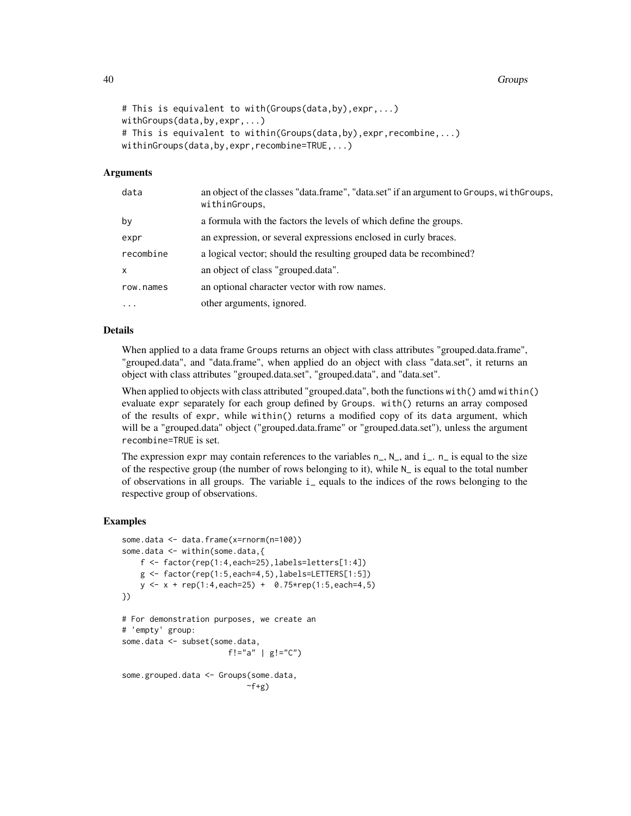40 Groups

```
# This is equivalent to with(Groups(data,by),expr,...)
withGroups(data,by,expr,...)
# This is equivalent to within(Groups(data,by),expr,recombine,...)
withinGroups(data,by,expr,recombine=TRUE,...)
```
### Arguments

| data      | an object of the classes "data.frame", "data.set" if an argument to Groups, with Groups,<br>withinGroups, |
|-----------|-----------------------------------------------------------------------------------------------------------|
| bν        | a formula with the factors the levels of which define the groups.                                         |
| expr      | an expression, or several expressions enclosed in curly braces.                                           |
| recombine | a logical vector; should the resulting grouped data be recombined?                                        |
| x         | an object of class "grouped.data".                                                                        |
| row.names | an optional character vector with row names.                                                              |
| .         | other arguments, ignored.                                                                                 |
|           |                                                                                                           |

# Details

When applied to a data frame Groups returns an object with class attributes "grouped.data.frame", "grouped.data", and "data.frame", when applied do an object with class "data.set", it returns an object with class attributes "grouped.data.set", "grouped.data", and "data.set".

When applied to objects with class attributed "grouped.data", both the functions with() amd within() evaluate expr separately for each group defined by Groups. with() returns an array composed of the results of expr, while within() returns a modified copy of its data argument, which will be a "grouped.data" object ("grouped.data.frame" or "grouped.data.set"), unless the argument recombine=TRUE is set.

The expression expr may contain references to the variables  $n_$ ,  $N_$ , and  $i_$ .  $n_$  is equal to the size of the respective group (the number of rows belonging to it), while  $N_{\perp}$  is equal to the total number of observations in all groups. The variable i\_ equals to the indices of the rows belonging to the respective group of observations.

### Examples

```
some.data <- data.frame(x=rnorm(n=100))
some.data <- within(some.data,{
    f <- factor(rep(1:4,each=25),labels=letters[1:4])
    g \leftarrow factor(rep(1:5,each=4,5),labels=LETTERS[1:5])
    y \le -x + rep(1:4, each=25) + 0.75*rep(1:5, each=4, 5)})
# For demonstration purposes, we create an
# 'empty' group:
some.data <- subset(some.data,
                       f!="a" | g!="C")
some.grouped.data <- Groups(some.data,
                            \simf+g)
```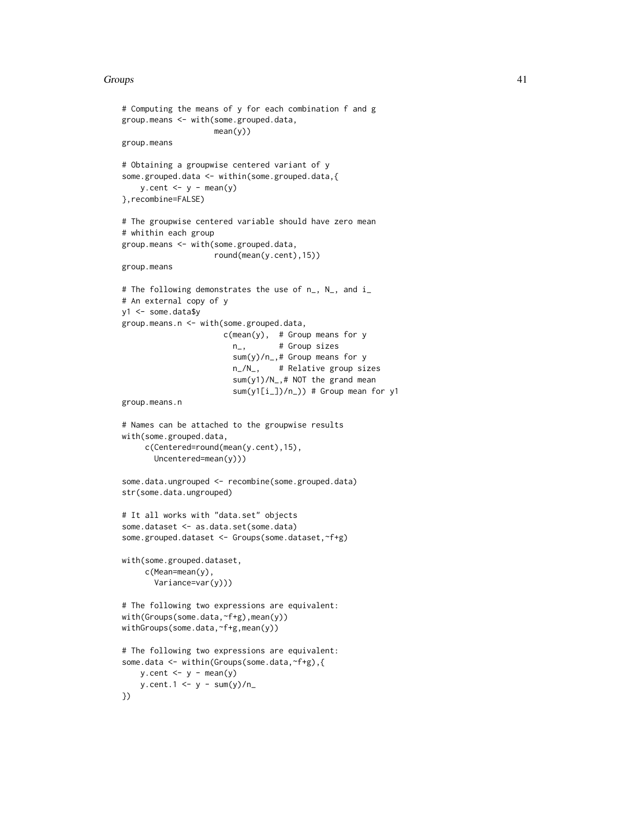### Groups **41**

```
# Computing the means of y for each combination f and g
group.means <- with(some.grouped.data,
                   mean(y))
group.means
# Obtaining a groupwise centered variant of y
some.grouped.data <- within(some.grouped.data,{
   y.cent < -y - mean(y)},recombine=FALSE)
# The groupwise centered variable should have zero mean
# whithin each group
group.means <- with(some.grouped.data,
                    round(mean(y.cent),15))
group.means
# The following demonstrates the use of n_, N_, and i_
# An external copy of y
y1 <- some.data$y
group.means.n <- with(some.grouped.data,
                     c(mean(y), # Group means for y
                       n_, # Group sizes
                        sum(y)/n_,# Group means for y
                       n_/N_, # Relative group sizes
                        sum(y1)/N_,# NOT the grand mean
                        sum(y1[i_])/n]) # Group mean for y1
group.means.n
# Names can be attached to the groupwise results
with(some.grouped.data,
    c(Centered=round(mean(y.cent),15),
      Uncentered=mean(y)))
some.data.ungrouped <- recombine(some.grouped.data)
str(some.data.ungrouped)
# It all works with "data.set" objects
some.dataset <- as.data.set(some.data)
some.grouped.dataset <- Groups(some.dataset,~f+g)
with(some.grouped.dataset,
     c(Mean=mean(y),
      Variance=var(y)))
# The following two expressions are equivalent:
with(Groups(some.data,~f+g),mean(y))
withGroups(some.data,~f+g,mean(y))
# The following two expressions are equivalent:
some.data <- within(Groups(some.data,~f+g),{
   y.cent < -y - mean(y)y.cent.1 \le y - sum(y)/n})
```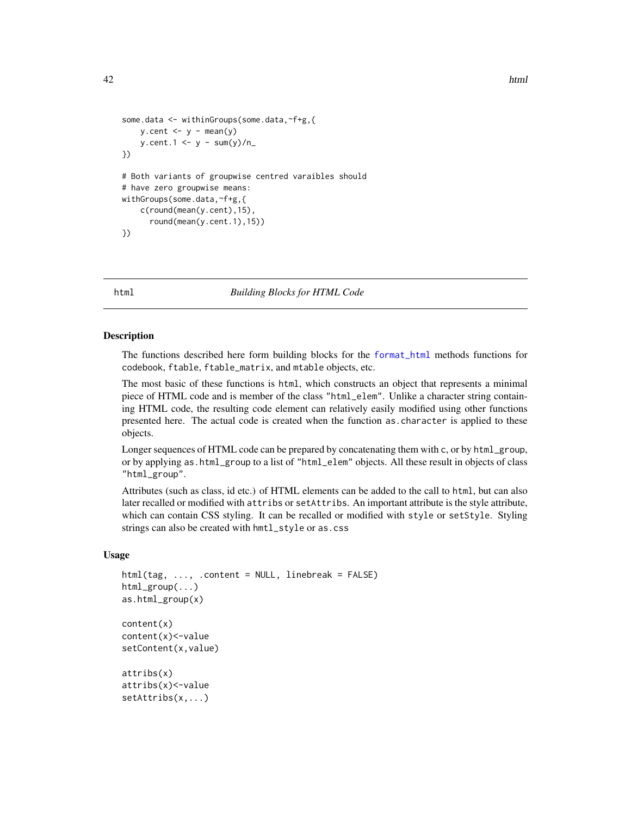```
42 html html html html html html html html html html html html html html html html html html html html html html html html html html html html html html html ht
```

```
some.data <- withinGroups(some.data,~f+g,{
   y.cent < -y - mean(y)y.cent.1 \leftarrow y - sum(y)/n})
# Both variants of groupwise centred varaibles should
# have zero groupwise means:
withGroups(some.data,~f+g,{
    c(round(mean(y.cent),15),
      round(mean(y.cent.1),15))
})
```
html *Building Blocks for HTML Code*

### **Description**

The functions described here form building blocks for the [format\\_html](#page-28-0) methods functions for codebook, ftable, ftable\_matrix, and mtable objects, etc.

The most basic of these functions is html, which constructs an object that represents a minimal piece of HTML code and is member of the class "html\_elem". Unlike a character string containing HTML code, the resulting code element can relatively easily modified using other functions presented here. The actual code is created when the function as.character is applied to these objects.

Longer sequences of HTML code can be prepared by concatenating them with c, or by html\_group, or by applying as.html\_group to a list of "html\_elem" objects. All these result in objects of class "html\_group".

Attributes (such as class, id etc.) of HTML elements can be added to the call to html, but can also later recalled or modified with attribs or setAttribs. An important attribute is the style attribute, which can contain CSS styling. It can be recalled or modified with style or setStyle. Styling strings can also be created with hmtl\_style or as.css

```
html(tag, ..., .content = NULL, linebreak = FALSE)
html_group(...)
as.html_group(x)
content(x)
content(x)<-value
setContent(x,value)
attribs(x)
attribs(x)<-value
setAttribs(x,...)
```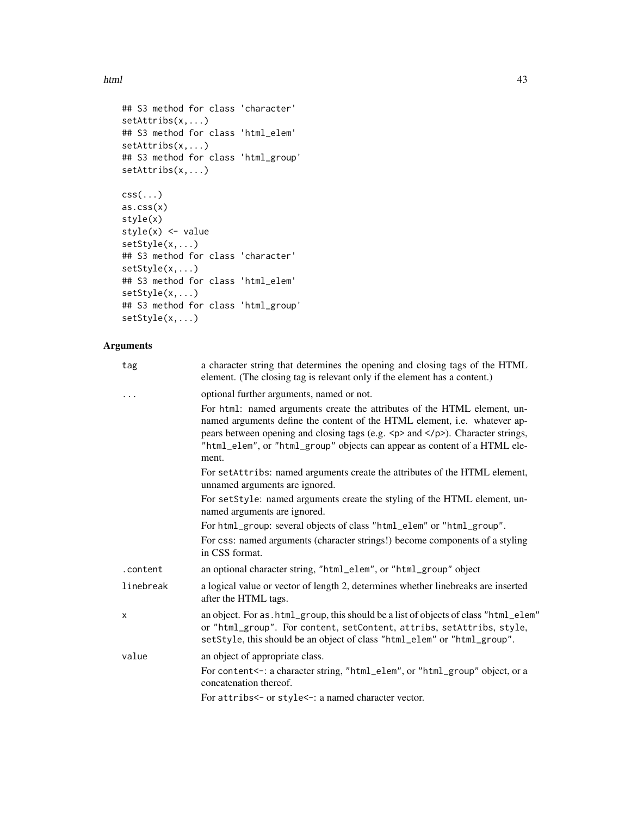html and the contract of the contract of the contract of the contract of the contract of the contract of the contract of the contract of the contract of the contract of the contract of the contract of the contract of the c

```
## S3 method for class 'character'
setAttribs(x,...)
## S3 method for class 'html_elem'
setAttribs(x,...)
## S3 method for class 'html_group'
setAttribs(x,...)
\text{css}(\ldots)as.css(x)
style(x)
style(x) <- value
setStyle(x,...)
## S3 method for class 'character'
setStyle(x,...)
## S3 method for class 'html_elem'
setStyle(x,...)
## S3 method for class 'html_group'
setStyle(x,...)
```
# Arguments

| tag       | a character string that determines the opening and closing tags of the HTML<br>element. (The closing tag is relevant only if the element has a content.)                                                                                                                                                                                                      |
|-----------|---------------------------------------------------------------------------------------------------------------------------------------------------------------------------------------------------------------------------------------------------------------------------------------------------------------------------------------------------------------|
| .         | optional further arguments, named or not.                                                                                                                                                                                                                                                                                                                     |
|           | For html: named arguments create the attributes of the HTML element, un-<br>named arguments define the content of the HTML element, i.e. whatever ap-<br>pears between opening and closing tags (e.g. $\langle p \rangle$ and $\langle p \rangle$ ). Character strings,<br>"html_elem", or "html_group" objects can appear as content of a HTML ele-<br>ment. |
|           | For setAttribs: named arguments create the attributes of the HTML element,<br>unnamed arguments are ignored.                                                                                                                                                                                                                                                  |
|           | For setStyle: named arguments create the styling of the HTML element, un-<br>named arguments are ignored.                                                                                                                                                                                                                                                     |
|           | For html_group: several objects of class "html_elem" or "html_group".                                                                                                                                                                                                                                                                                         |
|           | For css: named arguments (character strings!) become components of a styling<br>in CSS format.                                                                                                                                                                                                                                                                |
| .content  | an optional character string, "html_elem", or "html_group" object                                                                                                                                                                                                                                                                                             |
| linebreak | a logical value or vector of length 2, determines whether linebreaks are inserted<br>after the HTML tags.                                                                                                                                                                                                                                                     |
| X         | an object. For as . html_group, this should be a list of objects of class "html_elem"<br>or "html_group". For content, setContent, attribs, setAttribs, style,<br>setStyle, this should be an object of class "html_elem" or "html_group".                                                                                                                    |
| value     | an object of appropriate class.                                                                                                                                                                                                                                                                                                                               |
|           | For content<-: a character string, "html_elem", or "html_group" object, or a<br>concatenation thereof.                                                                                                                                                                                                                                                        |
|           | For attribs<- or style<-: a named character vector.                                                                                                                                                                                                                                                                                                           |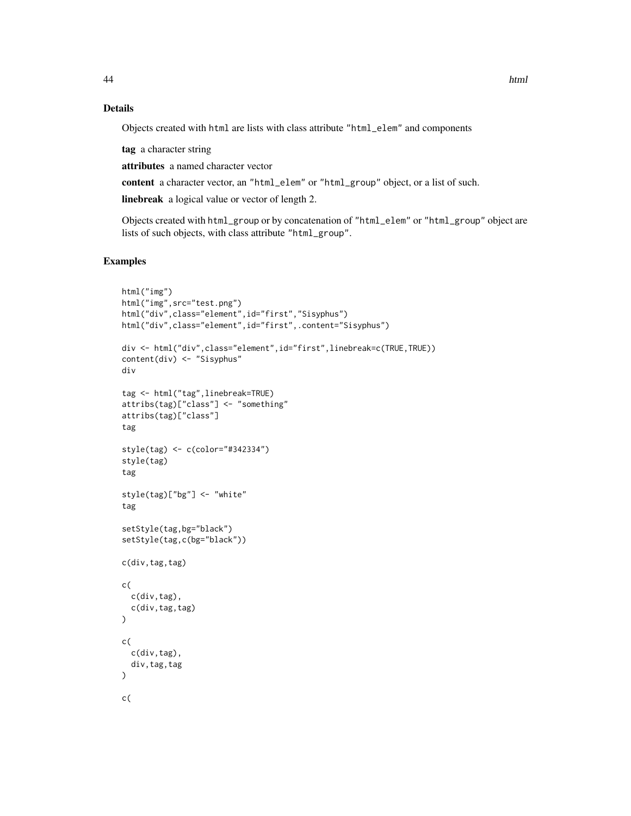## Details

Objects created with html are lists with class attribute "html\_elem" and components

tag a character string

attributes a named character vector

content a character vector, an "html\_elem" or "html\_group" object, or a list of such.

linebreak a logical value or vector of length 2.

Objects created with html\_group or by concatenation of "html\_elem" or "html\_group" object are lists of such objects, with class attribute "html\_group".

# Examples

```
html("img")
html("img",src="test.png")
html("div",class="element",id="first","Sisyphus")
html("div",class="element",id="first",.content="Sisyphus")
div <- html("div",class="element",id="first",linebreak=c(TRUE,TRUE))
content(div) <- "Sisyphus"
div
tag <- html("tag",linebreak=TRUE)
attribs(tag)["class"] <- "something"
attribs(tag)["class"]
tag
style(tag) <- c(color="#342334")
style(tag)
tag
style(tag)["bg"] <- "white"
tag
setStyle(tag,bg="black")
setStyle(tag,c(bg="black"))
c(div,tag,tag)
c(
  c(div,tag),
  c(div,tag,tag)
\mathcal{L}c(
  c(div,tag),
  div,tag,tag
\mathcal{L}c(
```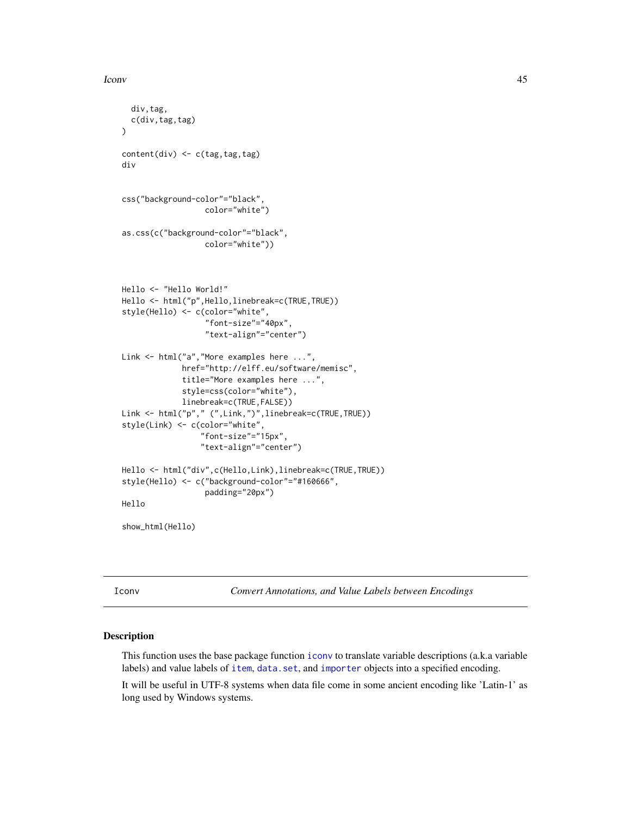### Iconv 45

```
div,tag,
  c(div,tag,tag)
)
content(div) \leftarrow c(tag, tag, tag)div
css("background-color"="black",
                  color="white")
as.css(c("background-color"="black",
                  color="white"))
Hello <- "Hello World!"
Hello <- html("p",Hello,linebreak=c(TRUE,TRUE))
style(Hello) <- c(color="white",
                  "font-size"="40px",
                  "text-align"="center")
Link <- html("a","More examples here ...",
             href="http://elff.eu/software/memisc",
             title="More examples here ...",
             style=css(color="white"),
             linebreak=c(TRUE,FALSE))
Link <- html("p"," (",Link,")",linebreak=c(TRUE,TRUE))
style(Link) <- c(color="white",
                 "font-size"="15px",
                 "text-align"="center")
Hello <- html("div",c(Hello,Link),linebreak=c(TRUE,TRUE))
style(Hello) <- c("background-color"="#160666",
                  padding="20px")
Hello
show_html(Hello)
```
Iconv *Convert Annotations, and Value Labels between Encodings*

#### Description

This function uses the base package function [iconv](#page-0-0) to translate variable descriptions (a.k.a variable labels) and value labels of [item](#page-50-0), [data.set](#page-17-0), and [importer](#page-46-0) objects into a specified encoding.

It will be useful in UTF-8 systems when data file come in some ancient encoding like 'Latin-1' as long used by Windows systems.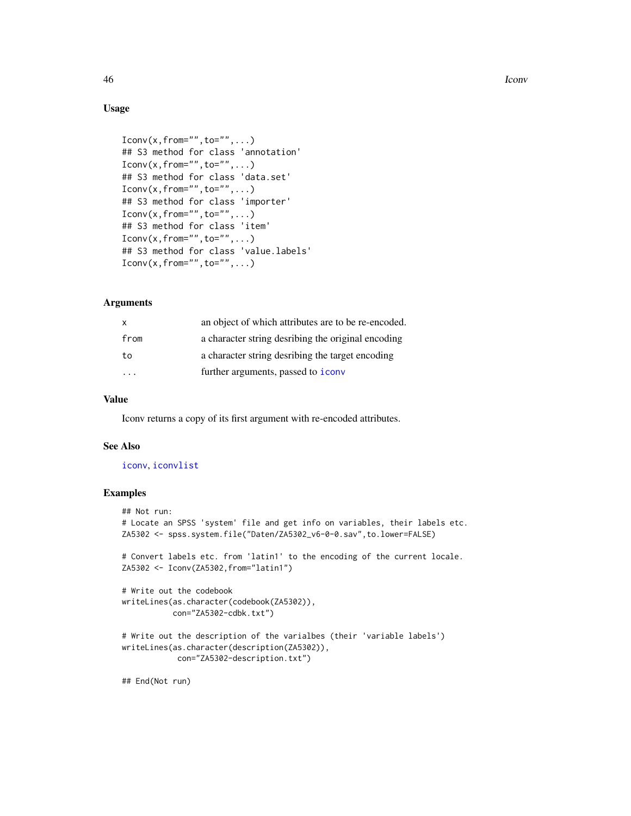46 **Iconv** Iconv **Iconv** Iconv **Iconv** Iconv **Iconv** Iconv **Iconv** Iconv **Iconv** Iconv **Iconv** Iconv **Iconv** Iconv **Iconv** Iconv **Iconv** Iconv **Iconv** Iconv **Iconv** Iconv **Iconv** Iconv **Iconv** Iconv **Iconv** Iconv **Iconv** I

## Usage

```
Iconv(x, from="", to="", ...)## S3 method for class 'annotation'
Iconv(x, from="", to="", ...)## S3 method for class 'data.set'
Iconv(x, from="", to="", ...)## S3 method for class 'importer'
Iconv(x, from="", to="", ...)## S3 method for class 'item'
Iconv(x, from="", to="", ...)## S3 method for class 'value.labels'
Iconv(x, from="", to="", ...)
```
## Arguments

| X    | an object of which attributes are to be re-encoded. |
|------|-----------------------------------------------------|
| from | a character string desribing the original encoding  |
| to   | a character string desribing the target encoding    |
|      | further arguments, passed to <i>iconv</i>           |

### Value

Iconv returns a copy of its first argument with re-encoded attributes.

# See Also

#### [iconv](#page-0-0), [iconvlist](#page-0-0)

## Examples

```
## Not run:
# Locate an SPSS 'system' file and get info on variables, their labels etc.
ZA5302 <- spss.system.file("Daten/ZA5302_v6-0-0.sav",to.lower=FALSE)
# Convert labels etc. from 'latin1' to the encoding of the current locale.
ZA5302 <- Iconv(ZA5302,from="latin1")
# Write out the codebook
writeLines(as.character(codebook(ZA5302)),
           con="ZA5302-cdbk.txt")
# Write out the description of the varialbes (their 'variable labels')
writeLines(as.character(description(ZA5302)),
            con="ZA5302-description.txt")
```
## End(Not run)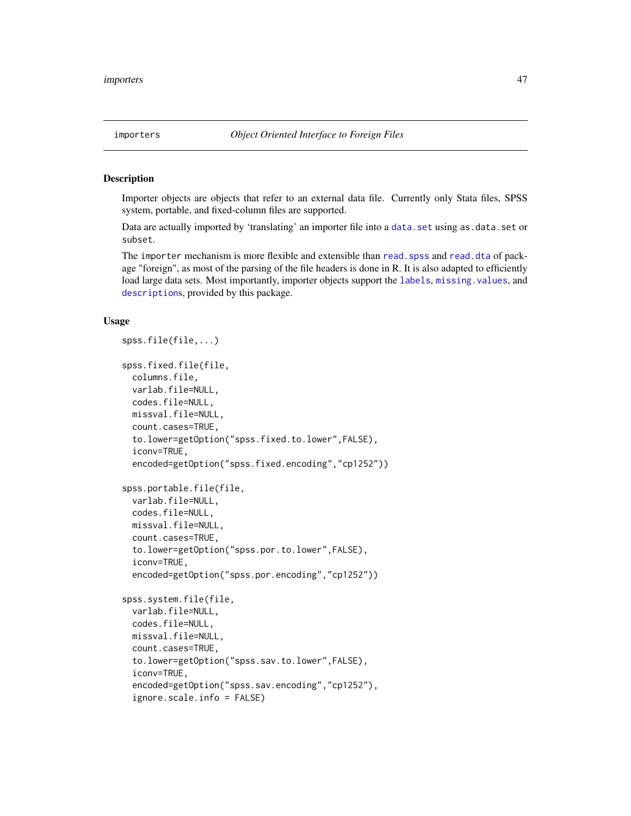### <span id="page-46-0"></span>Description

Importer objects are objects that refer to an external data file. Currently only Stata files, SPSS system, portable, and fixed-column files are supported.

Data are actually imported by 'translating' an importer file into a [data.set](#page-17-0) using as.data.set or subset.

The importer mechanism is more flexible and extensible than read. spss and [read.dta](#page-0-0) of package "foreign", as most of the parsing of the file headers is done in R. It is also adapted to efficiently load large data sets. Most importantly, importer objects support the [labels](#page-56-0), [missing.values](#page-104-0), and [description](#page-2-0)s, provided by this package.

```
spss.file(file,...)
spss.fixed.file(file,
  columns.file,
  varlab.file=NULL,
  codes.file=NULL,
 missval.file=NULL,
  count.cases=TRUE,
  to.lower=getOption("spss.fixed.to.lower",FALSE),
  iconv=TRUE,
  encoded=getOption("spss.fixed.encoding","cp1252"))
spss.portable.file(file,
  varlab.file=NULL,
  codes.file=NULL,
 missval.file=NULL,
  count.cases=TRUE,
  to.lower=getOption("spss.por.to.lower",FALSE),
  iconv=TRUE,
  encoded=getOption("spss.por.encoding","cp1252"))
spss.system.file(file,
  varlab.file=NULL,
  codes.file=NULL,
 missval.file=NULL,
  count.cases=TRUE,
  to.lower=getOption("spss.sav.to.lower",FALSE),
  iconv=TRUE,
  encoded=getOption("spss.sav.encoding","cp1252"),
  ignore.scale.info = FALSE)
```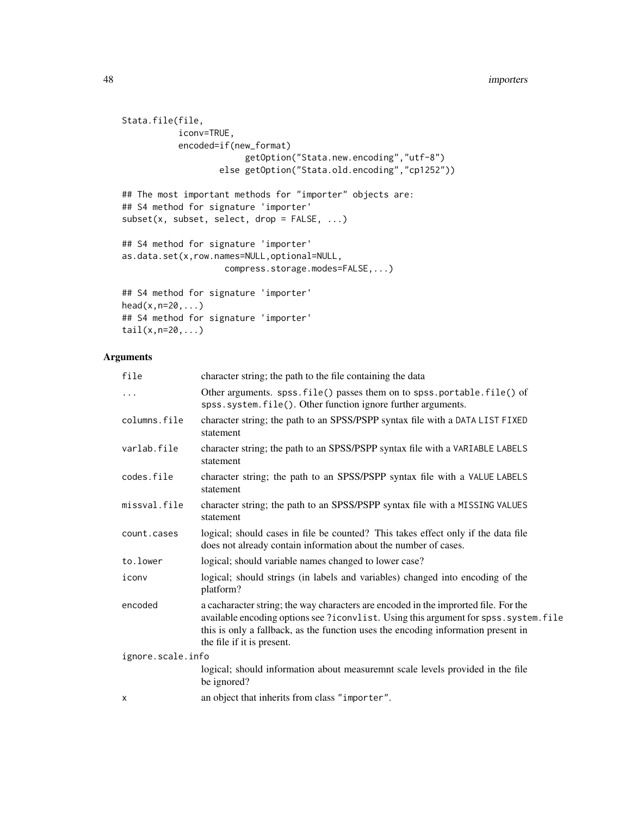### **48** importers and the contract of the contract of the contract of the contract of the contract of the contract of the contract of the contract of the contract of the contract of the contract of the contract of the contrac

```
Stata.file(file,
           iconv=TRUE,
           encoded=if(new_format)
                        getOption("Stata.new.encoding","utf-8")
                   else getOption("Stata.old.encoding","cp1252"))
## The most important methods for "importer" objects are:
## S4 method for signature 'importer'
subset(x, subset, select, drop = FALSE, ...)
## S4 method for signature 'importer'
as.data.set(x,row.names=NULL,optional=NULL,
                    compress.storage.modes=FALSE,...)
## S4 method for signature 'importer'
head(x, n=20, \ldots)## S4 method for signature 'importer'
```
# Arguments

 $tail(x,n=20,...)$ 

| file              | character string; the path to the file containing the data                                                                                                                                                                                                                                      |
|-------------------|-------------------------------------------------------------------------------------------------------------------------------------------------------------------------------------------------------------------------------------------------------------------------------------------------|
| $\cdots$          | Other arguments. spss.file() passes them on to spss.portable.file() of<br>spss.system.file(). Other function ignore further arguments.                                                                                                                                                          |
| columns.file      | character string; the path to an SPSS/PSPP syntax file with a DATA LIST FIXED<br>statement                                                                                                                                                                                                      |
| varlab.file       | character string; the path to an SPSS/PSPP syntax file with a VARIABLE LABELS<br>statement                                                                                                                                                                                                      |
| codes.file        | character string; the path to an SPSS/PSPP syntax file with a VALUE LABELS<br>statement                                                                                                                                                                                                         |
| missval.file      | character string; the path to an SPSS/PSPP syntax file with a MISSING VALUES<br>statement                                                                                                                                                                                                       |
| count.cases       | logical; should cases in file be counted? This takes effect only if the data file<br>does not already contain information about the number of cases.                                                                                                                                            |
| to.lower          | logical; should variable names changed to lower case?                                                                                                                                                                                                                                           |
| iconv             | logical; should strings (in labels and variables) changed into encoding of the<br>platform?                                                                                                                                                                                                     |
| encoded           | a cacharacter string; the way characters are encoded in the improrted file. For the<br>available encoding options see ?iconvlist. Using this argument for spss. system. file<br>this is only a fallback, as the function uses the encoding information present in<br>the file if it is present. |
| ignore.scale.info |                                                                                                                                                                                                                                                                                                 |
|                   | logical; should information about measuremnt scale levels provided in the file<br>be ignored?                                                                                                                                                                                                   |
| X                 | an object that inherits from class "importer".                                                                                                                                                                                                                                                  |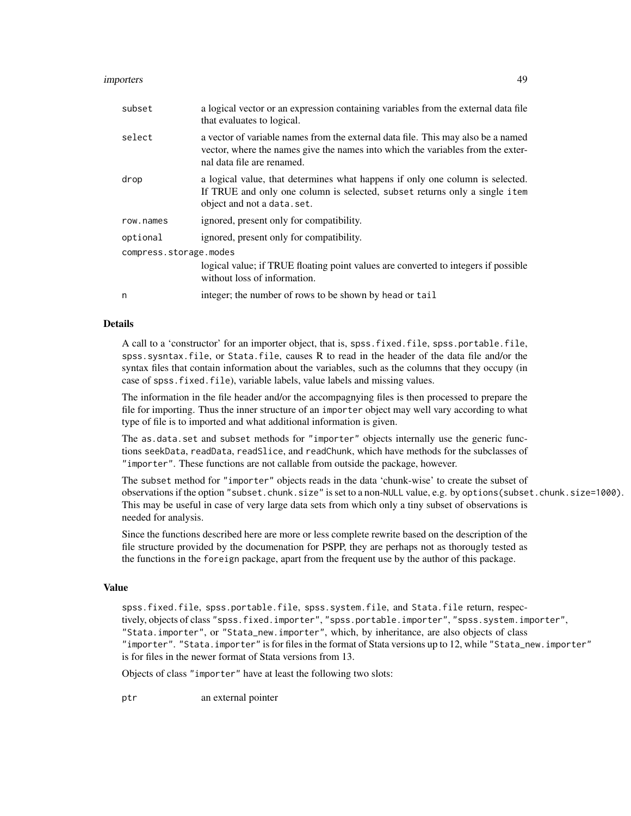### importers 49

| subset                 | a logical vector or an expression containing variables from the external data file<br>that evaluates to logical.                                                                                  |
|------------------------|---------------------------------------------------------------------------------------------------------------------------------------------------------------------------------------------------|
| select                 | a vector of variable names from the external data file. This may also be a named<br>vector, where the names give the names into which the variables from the exter-<br>nal data file are renamed. |
| drop                   | a logical value, that determines what happens if only one column is selected.<br>If TRUE and only one column is selected, subset returns only a single item<br>object and not a data.set.         |
| row.names              | ignored, present only for compatibility.                                                                                                                                                          |
| optional               | ignored, present only for compatibility.                                                                                                                                                          |
| compress.storage.modes |                                                                                                                                                                                                   |
|                        | logical value; if TRUE floating point values are converted to integers if possible<br>without loss of information.                                                                                |
| n                      | integer; the number of rows to be shown by head or tail                                                                                                                                           |

### Details

A call to a 'constructor' for an importer object, that is, spss.fixed.file, spss.portable.file, spss.sysntax.file, or Stata.file, causes R to read in the header of the data file and/or the syntax files that contain information about the variables, such as the columns that they occupy (in case of spss.fixed.file), variable labels, value labels and missing values.

The information in the file header and/or the accompagnying files is then processed to prepare the file for importing. Thus the inner structure of an importer object may well vary according to what type of file is to imported and what additional information is given.

The as.data.set and subset methods for "importer" objects internally use the generic functions seekData, readData, readSlice, and readChunk, which have methods for the subclasses of "importer". These functions are not callable from outside the package, however.

The subset method for "importer" objects reads in the data 'chunk-wise' to create the subset of observations if the option "subset.chunk.size" is set to a non-NULL value, e.g. by options(subset.chunk.size=1000). This may be useful in case of very large data sets from which only a tiny subset of observations is needed for analysis.

Since the functions described here are more or less complete rewrite based on the description of the file structure provided by the documenation for PSPP, they are perhaps not as thorougly tested as the functions in the foreign package, apart from the frequent use by the author of this package.

#### Value

spss.fixed.file, spss.portable.file, spss.system.file, and Stata.file return, respectively, objects of class "spss.fixed.importer", "spss.portable.importer", "spss.system.importer", "Stata.importer", or "Stata\_new.importer", which, by inheritance, are also objects of class "importer". "Stata.importer" is for files in the format of Stata versions up to 12, while "Stata\_new.importer" is for files in the newer format of Stata versions from 13.

Objects of class "importer" have at least the following two slots:

ptr an external pointer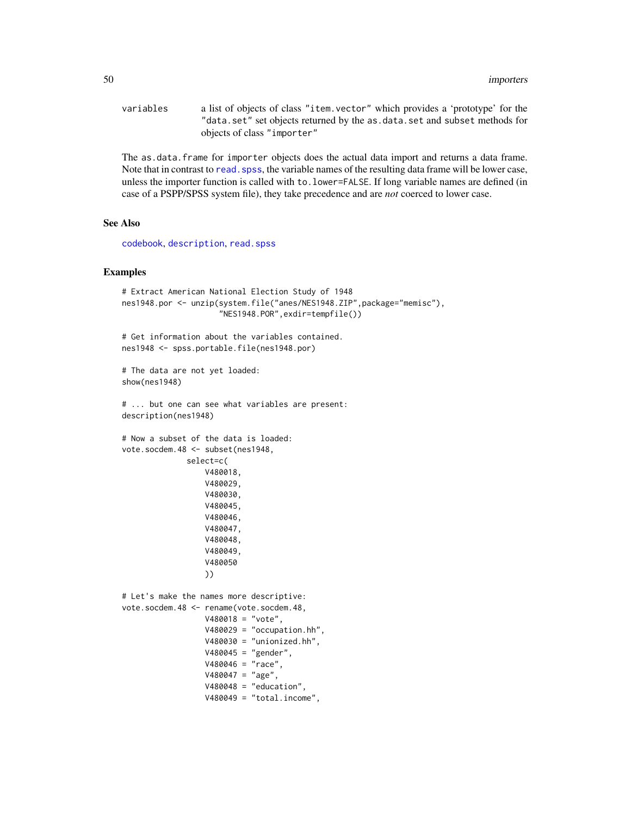variables a list of objects of class "item.vector" which provides a 'prototype' for the "data.set" set objects returned by the as.data.set and subset methods for objects of class "importer"

The as.data.frame for importer objects does the actual data import and returns a data frame. Note that in contrast to read. spss, the variable names of the resulting data frame will be lower case, unless the importer function is called with to.lower=FALSE. If long variable names are defined (in case of a PSPP/SPSS system file), they take precedence and are *not* coerced to lower case.

#### See Also

[codebook](#page-9-0), [description](#page-2-0), [read.spss](#page-0-0)

### Examples

```
# Extract American National Election Study of 1948
nes1948.por <- unzip(system.file("anes/NES1948.ZIP",package="memisc"),
                     "NES1948.POR",exdir=tempfile())
# Get information about the variables contained.
nes1948 <- spss.portable.file(nes1948.por)
# The data are not yet loaded:
show(nes1948)
# ... but one can see what variables are present:
description(nes1948)
# Now a subset of the data is loaded:
vote.socdem.48 <- subset(nes1948,
             select=c(
                  V480018,
                  V480029,
                  V480030,
                  V480045,
                  V480046,
                  V480047,
                  V480048,
                  V480049,
                  V480050
                  ))
# Let's make the names more descriptive:
vote.socdem.48 <- rename(vote.socdem.48,
                  V480018 = "vote",V480029 = "occupation.hh",V480030 = "unionized.hh",V480045 = "gender",
                  V480046 = "race",V480047 = "age",V480048 = "education",V480049 = "total.income",
```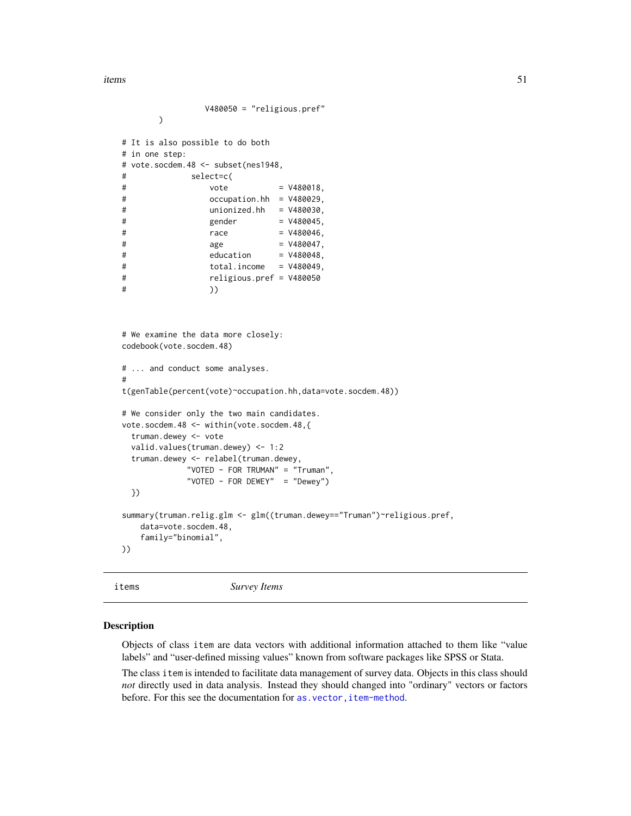items 51

```
V480050 = "religious.pref"
      \lambda# It is also possible to do both
# in one step:
# vote.socdem.48 <- subset(nes1948,
# select=c(
# vote = V480018,
# occupation.hh = V480029,
# unionized.hh = V480030,
# gender = V480045,
# race = V480046,# age = V480047,# education = V480048,
# total.income = V480049,
# religious.pref = V480050
# ))
# We examine the data more closely:
codebook(vote.socdem.48)
# ... and conduct some analyses.
#
t(genTable(percent(vote)~occupation.hh,data=vote.socdem.48))
# We consider only the two main candidates.
vote.socdem.48 <- within(vote.socdem.48,{
 truman.dewey <- vote
 valid.values(truman.dewey) <- 1:2
 truman.dewey <- relabel(truman.dewey,
           "VOTED - FOR TRUMAN" = "Truman",
           "VOTED - FOR DEWEY" = "Dewey")
 })
summary(truman.relig.glm <- glm((truman.dewey=="Truman")~religious.pref,
   data=vote.socdem.48,
   family="binomial",
))
```
<span id="page-50-1"></span>items *Survey Items*

#### <span id="page-50-0"></span>**Description**

Objects of class item are data vectors with additional information attached to them like "value labels" and "user-defined missing values" known from software packages like SPSS or Stata.

The class item is intended to facilitate data management of survey data. Objects in this class should *not* directly used in data analysis. Instead they should changed into "ordinary" vectors or factors before. For this see the documentation for as. vector, item-method.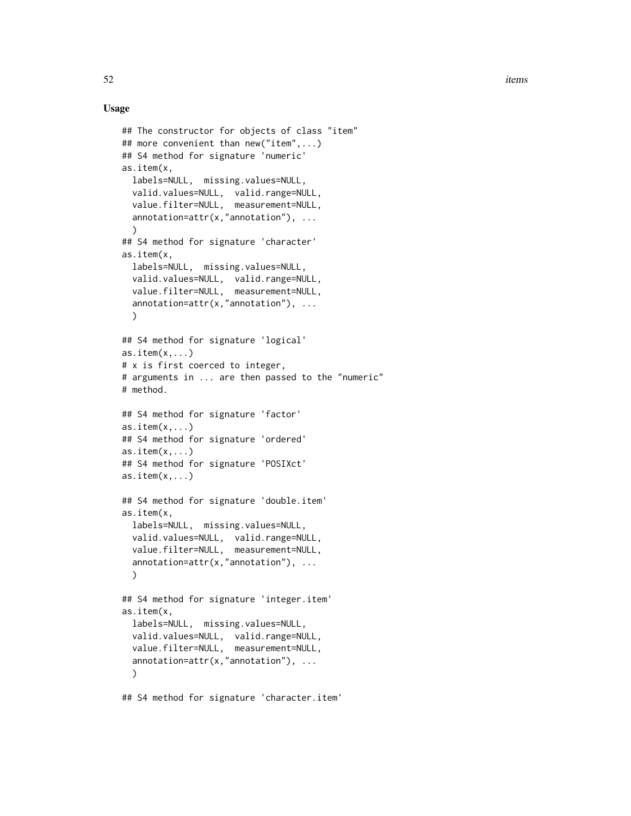$52$  items

```
## The constructor for objects of class "item"
## more convenient than new("item",...)
## S4 method for signature 'numeric'
as.item(x,
  labels=NULL, missing.values=NULL,
  valid.values=NULL, valid.range=NULL,
  value.filter=NULL, measurement=NULL,
  annotation=attr(x,"annotation"), ...
  )
## S4 method for signature 'character'
as.item(x,
  labels=NULL, missing.values=NULL,
  valid.values=NULL, valid.range=NULL,
 value.filter=NULL, measurement=NULL,
  annotation=attr(x, "annotation"), ...)
## S4 method for signature 'logical'
as.item(x, \ldots)# x is first coerced to integer,
# arguments in ... are then passed to the "numeric"
# method.
## S4 method for signature 'factor'
as.item(x, \ldots)## S4 method for signature 'ordered'
as.item(x, \ldots)## S4 method for signature 'POSIXct'
as.item(x, \ldots)## S4 method for signature 'double.item'
as.item(x,
  labels=NULL, missing.values=NULL,
  valid.values=NULL, valid.range=NULL,
  value.filter=NULL, measurement=NULL,
  annotation=attr(x, "annotation"), ...)
## S4 method for signature 'integer.item'
as.item(x,
  labels=NULL, missing.values=NULL,
  valid.values=NULL, valid.range=NULL,
  value.filter=NULL, measurement=NULL,
  annotation=attr(x, "annotation"), ...)
## S4 method for signature 'character.item'
```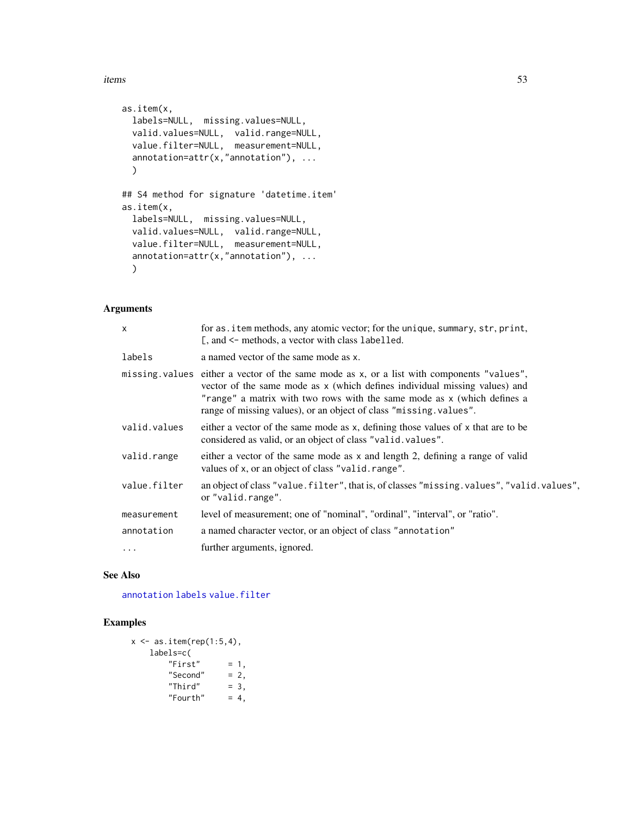### items 53

```
as.item(x,
  labels=NULL, missing.values=NULL,
 valid.values=NULL, valid.range=NULL,
 value.filter=NULL, measurement=NULL,
  annotation=attr(x, "annotation"), ...)
## S4 method for signature 'datetime.item'
as.item(x,
 labels=NULL, missing.values=NULL,
 valid.values=NULL, valid.range=NULL,
  value.filter=NULL, measurement=NULL,
  annotation=attr(x,"annotation"), ...
  )
```
# Arguments

| $\times$     | for as. item methods, any atomic vector; for the unique, summary, str, print,<br>[, and <- methods, a vector with class labelled.                                                                                                                                                                                       |
|--------------|-------------------------------------------------------------------------------------------------------------------------------------------------------------------------------------------------------------------------------------------------------------------------------------------------------------------------|
| labels       | a named vector of the same mode as x.                                                                                                                                                                                                                                                                                   |
|              | missing values either a vector of the same mode as x, or a list with components "values",<br>vector of the same mode as x (which defines individual missing values) and<br>"range" a matrix with two rows with the same mode as x (which defines a<br>range of missing values), or an object of class "missing values". |
| valid.values | either a vector of the same mode as x, defining those values of x that are to be<br>considered as valid, or an object of class "valid. values".                                                                                                                                                                         |
| valid.range  | either a vector of the same mode as x and length 2, defining a range of valid<br>values of x, or an object of class "valid. range".                                                                                                                                                                                     |
| value.filter | an object of class "value. filter", that is, of classes "missing. values", "valid. values",<br>or "valid.range".                                                                                                                                                                                                        |
| measurement  | level of measurement; one of "nominal", "ordinal", "interval", or "ratio".                                                                                                                                                                                                                                              |
| annotation   | a named character vector, or an object of class "annotation"                                                                                                                                                                                                                                                            |
|              | further arguments, ignored.                                                                                                                                                                                                                                                                                             |

# See Also

[annotation](#page-2-0) [labels](#page-56-0) [value.filter](#page-104-1)

## Examples

```
x \leftarrow as.items: item(rep(1:5,4),
     labels=c(
           "First" = 1,<br>"Second" = 2,
            "Second" = 2,<br>"Third" = 3,
            "Third" = 3,<br>"Fourth" = 4,
            "Fourth"
```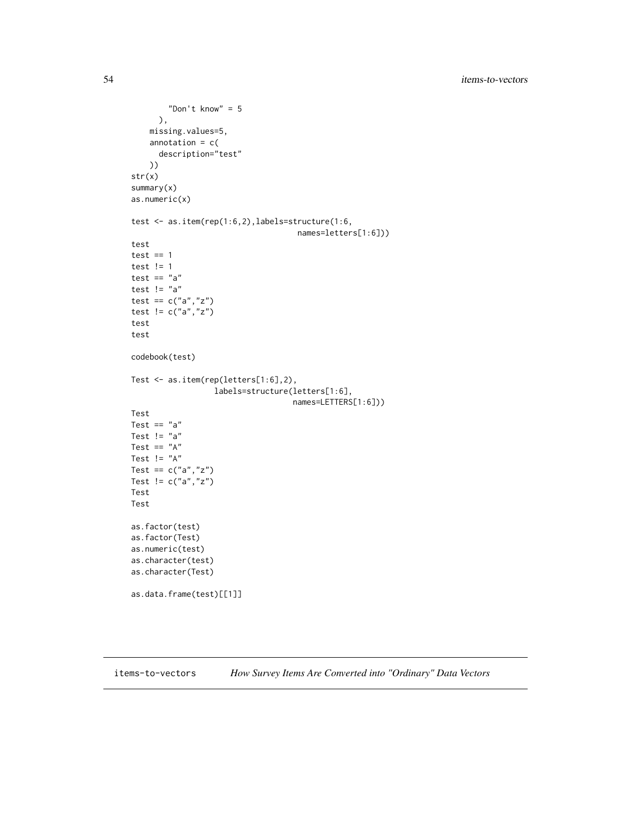```
"Don't know" = 5
     ),
    missing.values=5,
    annotation = c(description="test"
    ))
str(x)
summary(x)
as.numeric(x)
test <- as.item(rep(1:6,2),labels=structure(1:6,
                                    names=letters[1:6]))
test
test == 1test != 1
test == "a"
test != "a"
test == c("a", "z")test != c("a", "z")test
test
codebook(test)
Test <- as.item(rep(letters[1:6],2),
                  labels=structure(letters[1:6],
                                   names=LETTERS[1:6]))
Test
Test == "a"
Test != "a"
Test == "A"
Test != "A"
Test == c("a", "z")Test != c("a","z")
Test
Test
as.factor(test)
as.factor(Test)
as.numeric(test)
as.character(test)
as.character(Test)
as.data.frame(test)[[1]]
```
items-to-vectors *How Survey Items Are Converted into "Ordinary" Data Vectors*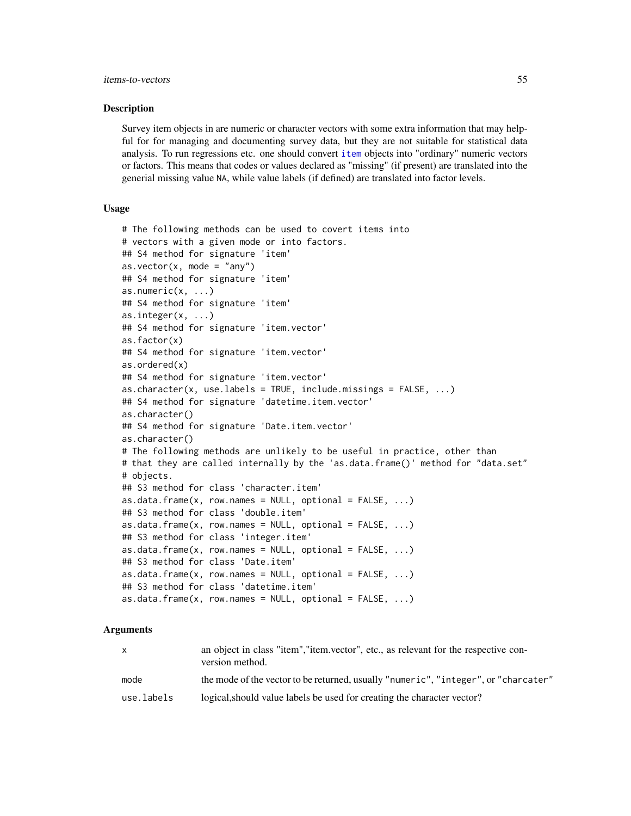### Description

Survey item objects in are numeric or character vectors with some extra information that may helpful for for managing and documenting survey data, but they are not suitable for statistical data analysis. To run regressions etc. one should convert [item](#page-50-0) objects into "ordinary" numeric vectors or factors. This means that codes or values declared as "missing" (if present) are translated into the generial missing value NA, while value labels (if defined) are translated into factor levels.

# Usage

```
# The following methods can be used to covert items into
# vectors with a given mode or into factors.
## S4 method for signature 'item'
as.vector(x, mode = "any")## S4 method for signature 'item'
as.numeric(x, ...)
## S4 method for signature 'item'
as.integer(x, ...)## S4 method for signature 'item.vector'
as.factor(x)
## S4 method for signature 'item.vector'
as.ordered(x)
## S4 method for signature 'item.vector'
as.character(x, use.labels = TRUE, include.missings = FALSE, ...)
## S4 method for signature 'datetime.item.vector'
as.character()
## S4 method for signature 'Date.item.vector'
as.character()
# The following methods are unlikely to be useful in practice, other than
# that they are called internally by the 'as.data.frame()' method for "data.set"
# objects.
## S3 method for class 'character.item'
as.data.frame(x, row.names = NULL, optional = FALSE, ...)
## S3 method for class 'double.item'
as.data frame(x, row, names = NULL, optional = FALSE, ...)## S3 method for class 'integer.item'
as.data frame(x, row.name = NULL, optional = FALSE, ...)## S3 method for class 'Date.item'
as.data.frame(x, row.names = NULL, optional = FALSE, ...)
## S3 method for class 'datetime.item'
as.data.frame(x, row.name = NULL, optional = FALSE, ...)
```
### Arguments

| $\mathsf{x}$ | an object in class "item", "item. vector", etc., as relevant for the respective con-<br>version method. |
|--------------|---------------------------------------------------------------------------------------------------------|
| mode         | the mode of the vector to be returned, usually "numeric", "integer", or "charcater"                     |
| use.labels   | logical, should value labels be used for creating the character vector?                                 |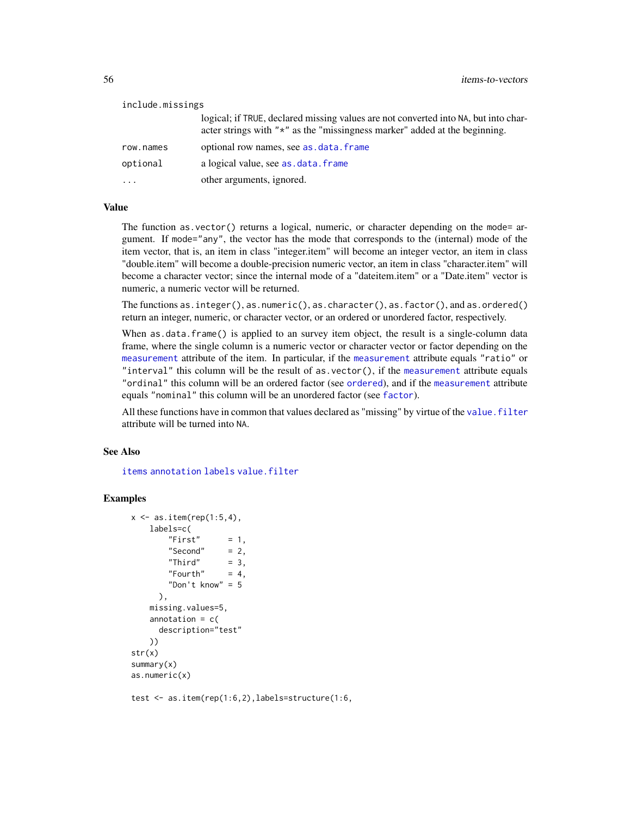| include.missings |                                                                                                                                                                           |
|------------------|---------------------------------------------------------------------------------------------------------------------------------------------------------------------------|
|                  | logical; if TRUE, declared missing values are not converted into NA, but into char-<br>acter strings with " $\star$ " as the "missingness marker" added at the beginning. |
| row.names        | optional row names, see as . data. frame                                                                                                                                  |
| optional         | a logical value, see as data. frame                                                                                                                                       |
|                  | other arguments, ignored.                                                                                                                                                 |

# Value

The function as.vector() returns a logical, numeric, or character depending on the mode= argument. If mode="any", the vector has the mode that corresponds to the (internal) mode of the item vector, that is, an item in class "integer.item" will become an integer vector, an item in class "double.item" will become a double-precision numeric vector, an item in class "character.item" will become a character vector; since the internal mode of a "dateitem.item" or a "Date.item" vector is numeric, a numeric vector will be returned.

The functions as.integer(), as.numeric(), as.character(), as.factor(), and as.ordered() return an integer, numeric, or character vector, or an ordered or unordered factor, respectively.

When as.data.frame() is applied to an survey item object, the result is a single-column data frame, where the single column is a numeric vector or character vector or factor depending on the [measurement](#page-58-0) attribute of the item. In particular, if the [measurement](#page-58-0) attribute equals "ratio" or "interval" this column will be the result of as.vector(), if the [measurement](#page-58-0) attribute equals "ordinal" this column will be an ordered factor (see [ordered](#page-0-0)), and if the [measurement](#page-58-0) attribute equals "nominal" this column will be an unordered factor (see [factor](#page-0-0)).

All these functions have in common that values declared as "missing" by virtue of the value. filter attribute will be turned into NA.

### See Also

[items](#page-50-1) [annotation](#page-2-0) [labels](#page-56-0) [value.filter](#page-104-1)

# Examples

```
x \le - as.item(rep(1:5,4),
   labels=c(
       "First" = 1,
       "Second" = 2,
       "Third" = 3,
       "Fourth" = 4,
       "Don't know" = 5
     ),
   missing.values=5,
   annotation = c(description="test"
   ))
str(x)
summary(x)
as.numeric(x)
```
test <- as.item(rep(1:6,2),labels=structure(1:6,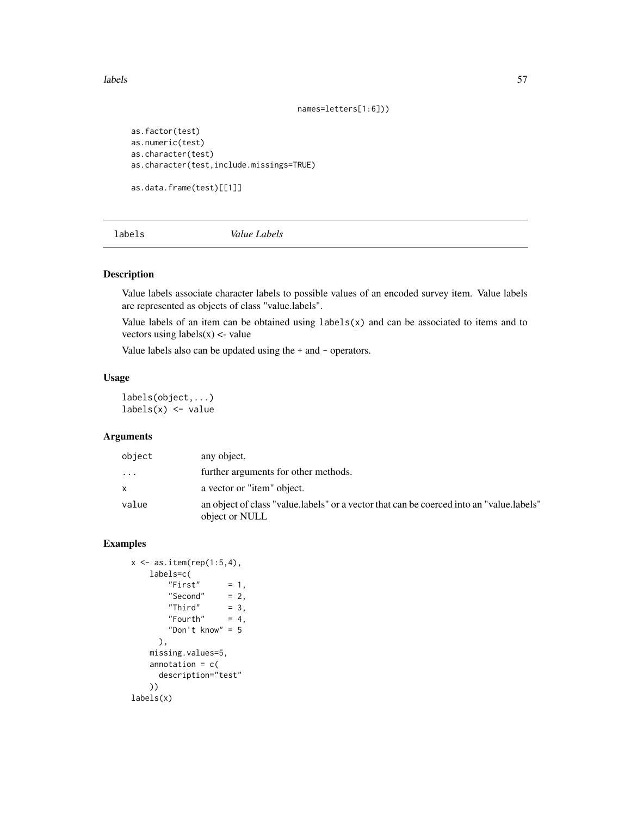labels 57

```
names=letters[1:6]))
```

```
as.factor(test)
as.numeric(test)
as.character(test)
as.character(test,include.missings=TRUE)
```

```
as.data.frame(test)[[1]]
```
<span id="page-56-0"></span>labels *Value Labels*

## Description

Value labels associate character labels to possible values of an encoded survey item. Value labels are represented as objects of class "value.labels".

Value labels of an item can be obtained using  $labels(x)$  and can be associated to items and to vectors using  $labels(x) <$ -value

Value labels also can be updated using the + and - operators.

### Usage

labels(object,...)  $labels(x) \leftarrow value$ 

# Arguments

| object   | any object.                                                                                                |
|----------|------------------------------------------------------------------------------------------------------------|
| $\cdots$ | further arguments for other methods.                                                                       |
| X        | a vector or "item" object.                                                                                 |
| value    | an object of class "value.labels" or a vector that can be coerced into an "value.labels"<br>object or NULL |

# Examples

```
x \leftarrow as.items: item(rep(1:5,4),
    labels=c(
         "First" = 1,
         "Second" = 2,<br>"Third" = 3,
         "Third" = 3,<br>"Fourth" = 4,
         "Fourth""Don't know" = 5
       ),
    missing.values=5,
    annotation = c(description="test"
    ))
labels(x)
```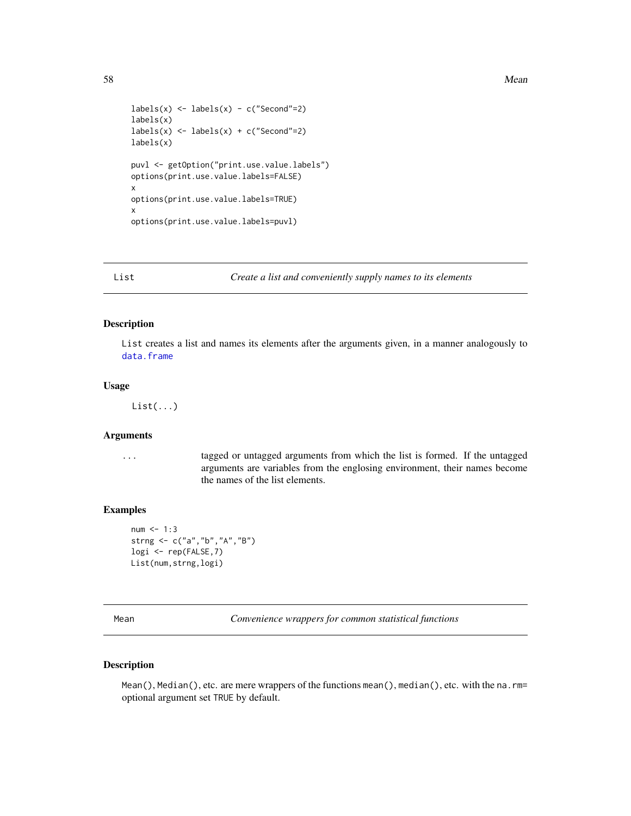```
labels(x) \leftarrow labels(x) - c("Second"=2)labels(x)
labels(x) \leftarrow labels(x) + c("Second"=2)labels(x)
puvl <- getOption("print.use.value.labels")
options(print.use.value.labels=FALSE)
x
options(print.use.value.labels=TRUE)
x
options(print.use.value.labels=puvl)
```
List *Create a list and conveniently supply names to its elements*

# Description

List creates a list and names its elements after the arguments given, in a manner analogously to [data.frame](#page-0-0)

## Usage

List(...)

# Arguments

... tagged or untagged arguments from which the list is formed. If the untagged arguments are variables from the englosing environment, their names become the names of the list elements.

### Examples

```
num < - 1:3strng <- c("a","b","A","B")
logi <- rep(FALSE,7)
List(num,strng,logi)
```
Mean *Convenience wrappers for common statistical functions*

# Description

Mean(), Median(), etc. are mere wrappers of the functions mean(), median(), etc. with the na.rm= optional argument set TRUE by default.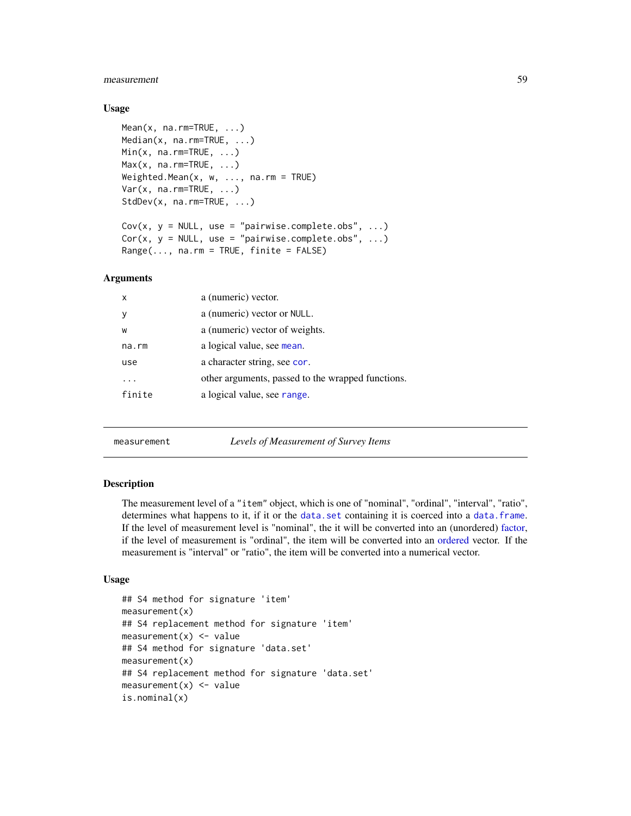### measurement 59

### Usage

```
Mean(x, na.rm=TRUE, ...)
Median(x, na.rm=TRUE, ...)
Min(x, na.rm=TRUE, ...)Max(x, na.rm=TRUE, ...)Weighted.Mean(x, w, \ldots, na.rm = TRUE)Var(x, na.rm=TRUE, ...)
StdDev(x, na.rm=TRUE, ...)
Cov(x, y = NULL, use = "pairwise.compile.e.obs", ...)Cor(x, y = NULL, use = "pairwise.compile.e.obs", ...)
```
 $Range(\ldots, na.rm = TRUE, finite = FALSE)$ 

# Arguments

| $\mathsf{x}$ | a (numeric) vector.                               |
|--------------|---------------------------------------------------|
| <sub>V</sub> | a (numeric) vector or NULL.                       |
| W            | a (numeric) vector of weights.                    |
| na.rm        | a logical value, see mean.                        |
| use          | a character string, see cor.                      |
| $\ddotsc$    | other arguments, passed to the wrapped functions. |
| finite       | a logical value, see range.                       |

<span id="page-58-0"></span>measurement *Levels of Measurement of Survey Items*

### Description

The measurement level of a "item" object, which is one of "nominal", "ordinal", "interval", "ratio", determines what happens to it, if it or the [data.set](#page-17-0) containing it is coerced into a [data.frame](#page-0-0). If the level of measurement level is "nominal", the it will be converted into an (unordered) [factor,](#page-0-0) if the level of measurement is "ordinal", the item will be converted into an [ordered](#page-0-0) vector. If the measurement is "interval" or "ratio", the item will be converted into a numerical vector.

```
## S4 method for signature 'item'
measurement(x)
## S4 replacement method for signature 'item'
measurement(x) < - value## S4 method for signature 'data.set'
measurement(x)
## S4 replacement method for signature 'data.set'
measurement(x) <- value
is.nominal(x)
```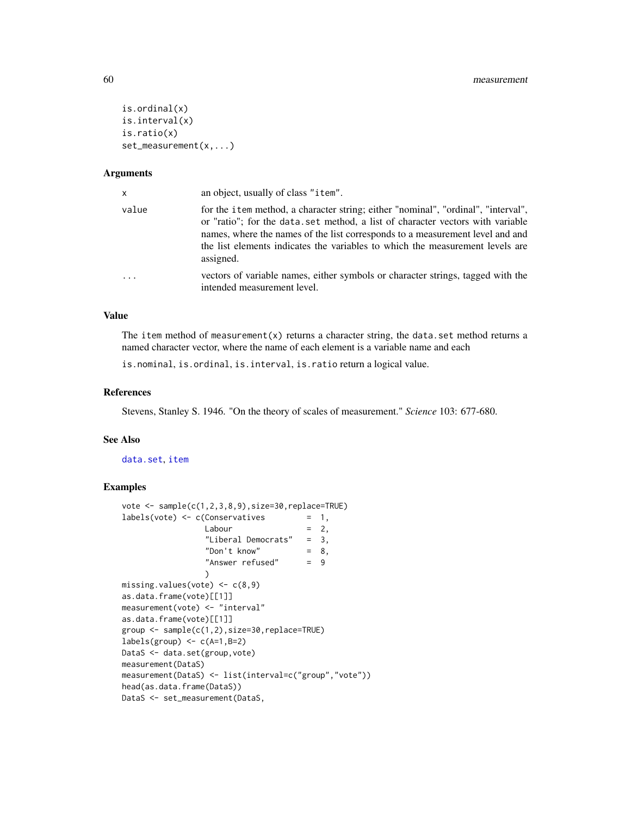```
is.ordinal(x)
is.interval(x)
is.ratio(x)
set_measurement(x,...)
```
### Arguments

| x     | an object, usually of class "item".                                                                                                                                                                                                                                                                                                                |
|-------|----------------------------------------------------------------------------------------------------------------------------------------------------------------------------------------------------------------------------------------------------------------------------------------------------------------------------------------------------|
| value | for the item method, a character string; either "nominal", "ordinal", "interval",<br>or "ratio"; for the data.set method, a list of character vectors with variable<br>names, where the names of the list corresponds to a measurement level and and<br>the list elements indicates the variables to which the measurement levels are<br>assigned. |
| .     | vectors of variable names, either symbols or character strings, tagged with the<br>intended measurement level.                                                                                                                                                                                                                                     |

### Value

The item method of measurement $(x)$  returns a character string, the data.set method returns a named character vector, where the name of each element is a variable name and each

is.nominal, is.ordinal, is.interval, is.ratio return a logical value.

### References

Stevens, Stanley S. 1946. "On the theory of scales of measurement." *Science* 103: 677-680.

## See Also

### [data.set](#page-17-0), [item](#page-50-0)

# Examples

```
vote \leq sample(c(1,2,3,8,9),size=30,replace=TRUE)
labels(vote) <- c(Conservatives = 1,
                Labour = 2,
                "Liberal Democrats" = 3,
                 "Don't know" = 8,
                 "Answer refused" = 9
                )
missing.values(vote) \leq c(8,9)
as.data.frame(vote)[[1]]
measurement(vote) <- "interval"
as.data.frame(vote)[[1]]
group <- sample(c(1,2),size=30,replace=TRUE)
labels(group) < -c(A=1,B=2)DataS <- data.set(group, vote)
measurement(DataS)
measurement(DataS) <- list(interval=c("group","vote"))
head(as.data.frame(DataS))
DataS <- set_measurement(DataS,
```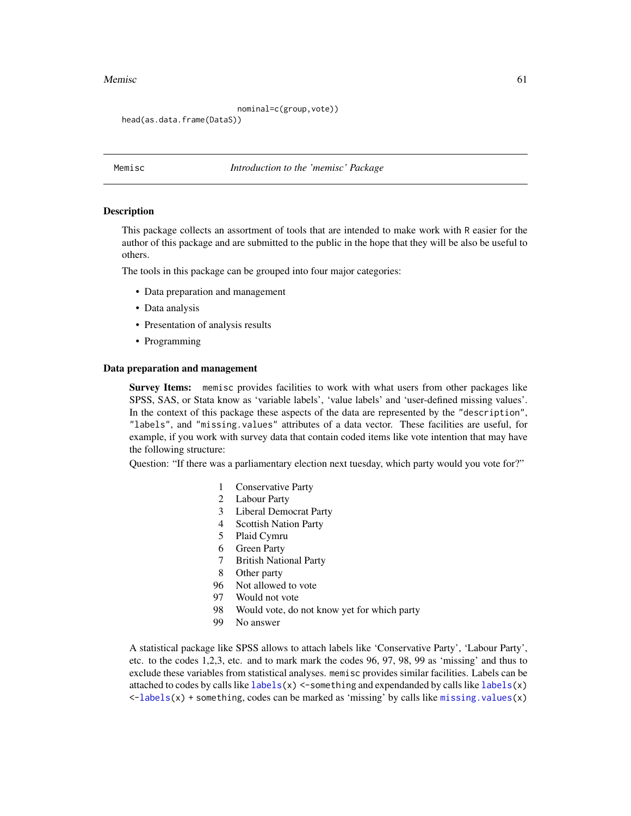### Memisc 61

nominal=c(group,vote))

head(as.data.frame(DataS))

Memisc *Introduction to the 'memisc' Package*

### **Description**

This package collects an assortment of tools that are intended to make work with R easier for the author of this package and are submitted to the public in the hope that they will be also be useful to others.

The tools in this package can be grouped into four major categories:

- Data preparation and management
- Data analysis
- Presentation of analysis results
- Programming

### Data preparation and management

Survey Items: memisc provides facilities to work with what users from other packages like SPSS, SAS, or Stata know as 'variable labels', 'value labels' and 'user-defined missing values'. In the context of this package these aspects of the data are represented by the "description", "labels", and "missing.values" attributes of a data vector. These facilities are useful, for example, if you work with survey data that contain coded items like vote intention that may have the following structure:

Question: "If there was a parliamentary election next tuesday, which party would you vote for?"

- 1 Conservative Party
- 2 Labour Party
- 3 Liberal Democrat Party
- 4 Scottish Nation Party
- 5 Plaid Cymru
- 6 Green Party
- 7 British National Party
- 8 Other party
- 96 Not allowed to vote
- 97 Would not vote
- 98 Would vote, do not know yet for which party
- 99 No answer

A statistical package like SPSS allows to attach labels like 'Conservative Party', 'Labour Party', etc. to the codes 1,2,3, etc. and to mark mark the codes 96, 97, 98, 99 as 'missing' and thus to exclude these variables from statistical analyses. memisc provides similar facilities. Labels can be attached to codes by calls like  $labs(x) < -sometning$  and expendanded by calls like  $labs(x)$  $\le$ [-labels\(](#page-56-0)x) + something, codes can be marked as 'missing' by calls like [missing.values\(](#page-104-0)x)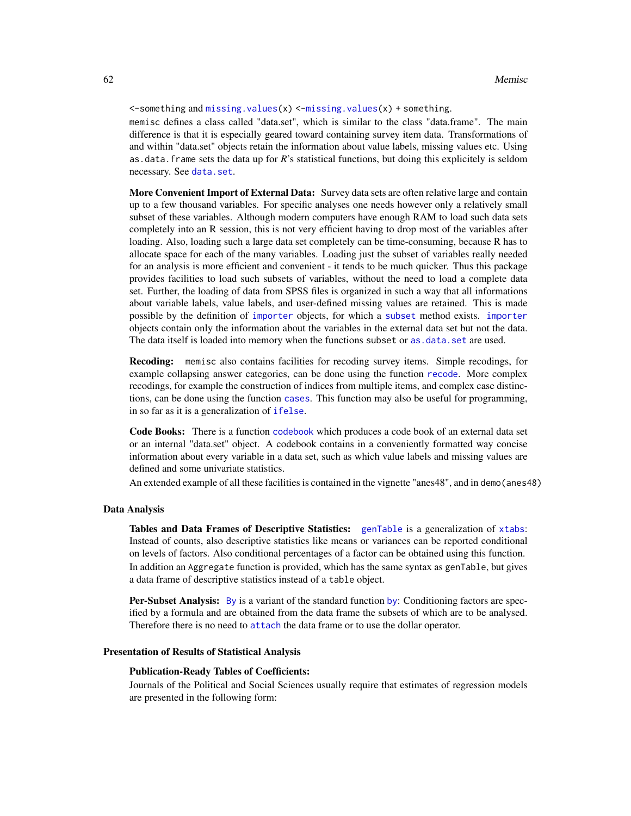$\le$ -something and [missing.values\(](#page-104-0)x)  $\le$ [-missing.values\(](#page-104-0)x) + something.

memisc defines a class called "data.set", which is similar to the class "data.frame". The main difference is that it is especially geared toward containing survey item data. Transformations of and within "data.set" objects retain the information about value labels, missing values etc. Using as.data.frame sets the data up for *R*'s statistical functions, but doing this explicitely is seldom necessary. See [data.set](#page-17-0).

More Convenient Import of External Data: Survey data sets are often relative large and contain up to a few thousand variables. For specific analyses one needs however only a relatively small subset of these variables. Although modern computers have enough RAM to load such data sets completely into an R session, this is not very efficient having to drop most of the variables after loading. Also, loading such a large data set completely can be time-consuming, because R has to allocate space for each of the many variables. Loading just the subset of variables really needed for an analysis is more efficient and convenient - it tends to be much quicker. Thus this package provides facilities to load such subsets of variables, without the need to load a complete data set. Further, the loading of data from SPSS files is organized in such a way that all informations about variable labels, value labels, and user-defined missing values are retained. This is made possible by the definition of [importer](#page-46-0) objects, for which a [subset](#page-0-0) method exists. [importer](#page-46-0) objects contain only the information about the variables in the external data set but not the data. The data itself is loaded into memory when the functions subset or [as.data.set](#page-17-1) are used.

Recoding: memisc also contains facilities for recoding survey items. Simple recodings, for example collapsing answer categories, can be done using the function [recode](#page-79-0). More complex recodings, for example the construction of indices from multiple items, and complex case distinctions, can be done using the function [cases](#page-7-0). This function may also be useful for programming, in so far as it is a generalization of [ifelse](#page-0-0).

Code Books: There is a function [codebook](#page-9-0) which produces a code book of an external data set or an internal "data.set" object. A codebook contains in a conveniently formatted way concise information about every variable in a data set, such as which value labels and missing values are defined and some univariate statistics.

An extended example of all these facilities is contained in the vignette "anes48", and in demo(anes48)

#### Data Analysis

Tables and Data Frames of Descriptive Statistics: [genTable](#page-34-0) is a generalization of [xtabs](#page-0-0): Instead of counts, also descriptive statistics like means or variances can be reported conditional on levels of factors. Also conditional percentages of a factor can be obtained using this function. In addition an Aggregate function is provided, which has the same syntax as genTable, but gives a data frame of descriptive statistics instead of a table object.

Per-Subset Analysis: [By](#page-6-0) is a variant of the standard function [by](#page-0-0): Conditioning factors are specified by a formula and are obtained from the data frame the subsets of which are to be analysed. Therefore there is no need to [attach](#page-0-0) the data frame or to use the dollar operator.

### Presentation of Results of Statistical Analysis

#### Publication-Ready Tables of Coefficients:

Journals of the Political and Social Sciences usually require that estimates of regression models are presented in the following form: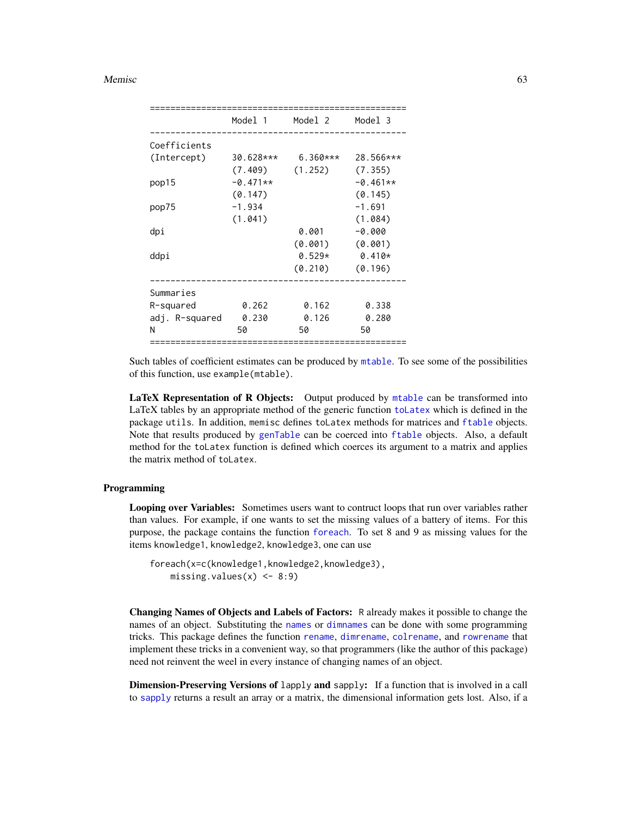### Memisc 63

|                | Model 1     | Model 2    | Model 3    |
|----------------|-------------|------------|------------|
|                |             |            |            |
| Coefficients   |             |            |            |
| (Intercept)    | $30.628***$ | $6.360***$ | 28.566***  |
|                | (7.409)     | (1.252)    | (7.355)    |
| pop15          | $-0.471**$  |            | $-0.461**$ |
|                | (0.147)     |            | (0.145)    |
| pop75          | $-1.934$    |            | $-1.691$   |
|                | (1.041)     |            | (1.084)    |
| dpi            |             | 0.001      | $-0.000$   |
|                |             | (0.001)    | (0.001)    |
| ddpi           |             | $0.529*$   | $0.410*$   |
|                |             | (0.210)    | (0.196)    |
|                |             |            |            |
| Summaries      |             |            |            |
| R-squared      | 0.262       | 0.162      | 0.338      |
| adj. R-squared | 0.230       | 0.126      | 0.280      |
| N              | 50          | 50         | 50         |
|                |             |            |            |

Such tables of coefficient estimates can be produced by [mtable](#page-64-0). To see some of the possibilities of this function, use example(mtable).

LaTeX Representation of R Objects: Output produced by [mtable](#page-64-0) can be transformed into LaTeX tables by an appropriate method of the generic function [toLatex](#page-100-0) which is defined in the package utils. In addition, memisc defines toLatex methods for matrices and [ftable](#page-0-0) objects. Note that results produced by [genTable](#page-34-0) can be coerced into [ftable](#page-0-0) objects. Also, a default method for the toLatex function is defined which coerces its argument to a matrix and applies the matrix method of toLatex.

# Programming

Looping over Variables: Sometimes users want to contruct loops that run over variables rather than values. For example, if one wants to set the missing values of a battery of items. For this purpose, the package contains the function [foreach](#page-27-0). To set 8 and 9 as missing values for the items knowledge1, knowledge2, knowledge3, one can use

```
foreach(x=c(knowledge1,knowledge2,knowledge3),
   missing.values(x) <- 8:9)
```
Changing Names of Objects and Labels of Factors: R already makes it possible to change the names of an object. Substituting the [names](#page-0-0) or [dimnames](#page-0-0) can be done with some programming tricks. This package defines the function [rename](#page-86-0), [dimrename](#page-25-0), [colrename](#page-25-1), and [rowrename](#page-25-1) that implement these tricks in a convenient way, so that programmers (like the author of this package) need not reinvent the weel in every instance of changing names of an object.

Dimension-Preserving Versions of lapply and sapply: If a function that is involved in a call to [sapply](#page-0-0) returns a result an array or a matrix, the dimensional information gets lost. Also, if a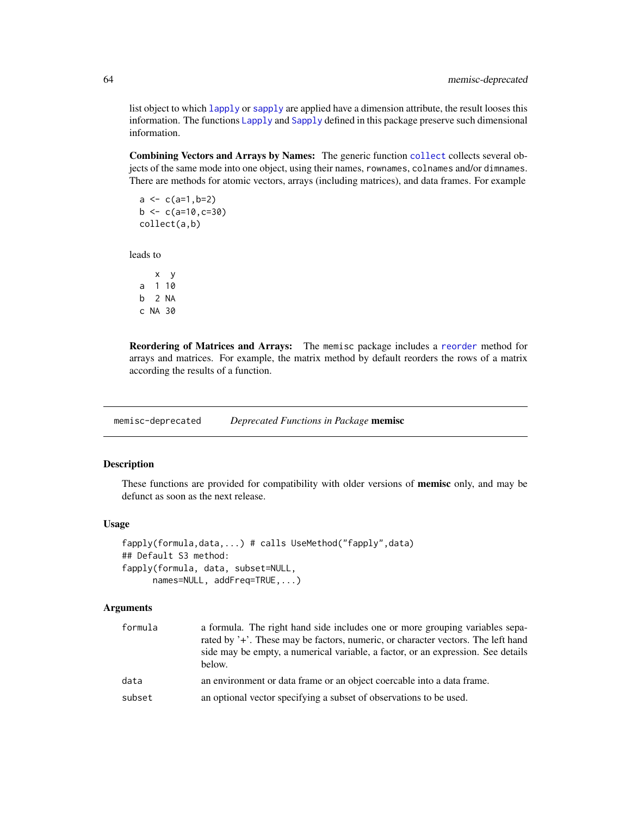list object to which [lapply](#page-0-0) or [sapply](#page-0-0) are applied have a dimension attribute, the result looses this information. The functions [Lapply](#page-92-0) and [Sapply](#page-92-1) defined in this package preserve such dimensional information.

Combining Vectors and Arrays by Names: The generic function [collect](#page-13-0) collects several objects of the same mode into one object, using their names, rownames, colnames and/or dimnames. There are methods for atomic vectors, arrays (including matrices), and data frames. For example

 $a \leftarrow c(a=1, b=2)$  $b \leq c(a=10, c=30)$ collect(a,b)

leads to

x y a 1 10 b 2 NA c NA 30

Reordering of Matrices and Arrays: The memisc package includes a [reorder](#page-87-0) method for arrays and matrices. For example, the matrix method by default reorders the rows of a matrix according the results of a function.

memisc-deprecated *Deprecated Functions in Package* memisc

# Description

These functions are provided for compatibility with older versions of **memisc** only, and may be defunct as soon as the next release.

### Usage

```
fapply(formula,data,...) # calls UseMethod("fapply",data)
## Default S3 method:
fapply(formula, data, subset=NULL,
     names=NULL, addFreq=TRUE,...)
```
### Arguments

| formula | a formula. The right hand side includes one or more grouping variables sepa-<br>rated by '+'. These may be factors, numeric, or character vectors. The left hand<br>side may be empty, a numerical variable, a factor, or an expression. See details<br>below. |
|---------|----------------------------------------------------------------------------------------------------------------------------------------------------------------------------------------------------------------------------------------------------------------|
| data    | an environment or data frame or an object coercable into a data frame.                                                                                                                                                                                         |
| subset  | an optional vector specifying a subset of observations to be used.                                                                                                                                                                                             |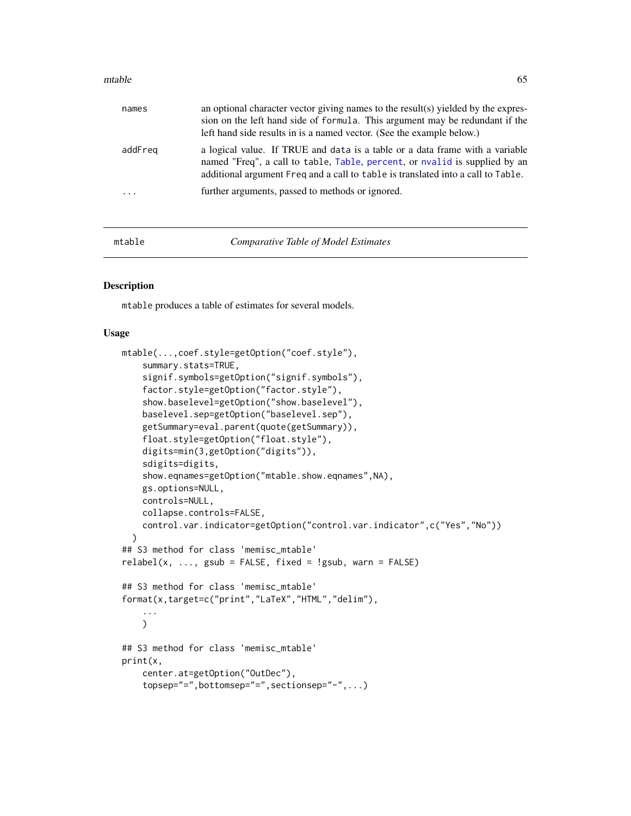### $m$ table 65

| names   | an optional character vector giving names to the result(s) yielded by the expres-<br>sion on the left hand side of formula. This argument may be redundant if the<br>left hand side results in is a named vector. (See the example below.)     |
|---------|------------------------------------------------------------------------------------------------------------------------------------------------------------------------------------------------------------------------------------------------|
| addFreg | a logical value. If TRUE and data is a table or a data frame with a variable<br>named "Freq", a call to table, Table, percent, or nvalid is supplied by an<br>additional argument Freq and a call to table is translated into a call to Table. |
| .       | further arguments, passed to methods or ignored.                                                                                                                                                                                               |

<span id="page-64-0"></span>

mtable *Comparative Table of Model Estimates*

#### Description

mtable produces a table of estimates for several models.

```
mtable(...,coef.style=getOption("coef.style"),
    summary.stats=TRUE,
    signif.symbols=getOption("signif.symbols"),
    factor.style=getOption("factor.style"),
    show.baselevel=getOption("show.baselevel"),
    baselevel.sep=getOption("baselevel.sep"),
    getSummary=eval.parent(quote(getSummary)),
    float.style=getOption("float.style"),
    digits=min(3,getOption("digits")),
    sdigits=digits,
    show.eqnames=getOption("mtable.show.eqnames",NA),
    gs.options=NULL,
    controls=NULL,
    collapse.controls=FALSE,
    control.var.indicator=getOption("control.var.indicator",c("Yes","No"))
  )
## S3 method for class 'memisc_mtable'
relabel(x, ..., gsub = FALSE, fixed = !gsub, warn = FALSE)## S3 method for class 'memisc_mtable'
format(x,target=c("print","LaTeX","HTML","delim"),
    ...
    \mathcal{L}## S3 method for class 'memisc_mtable'
print(x,
    center.at=getOption("OutDec"),
    topsep="=",bottomsep="=",sectionsep="-",...)
```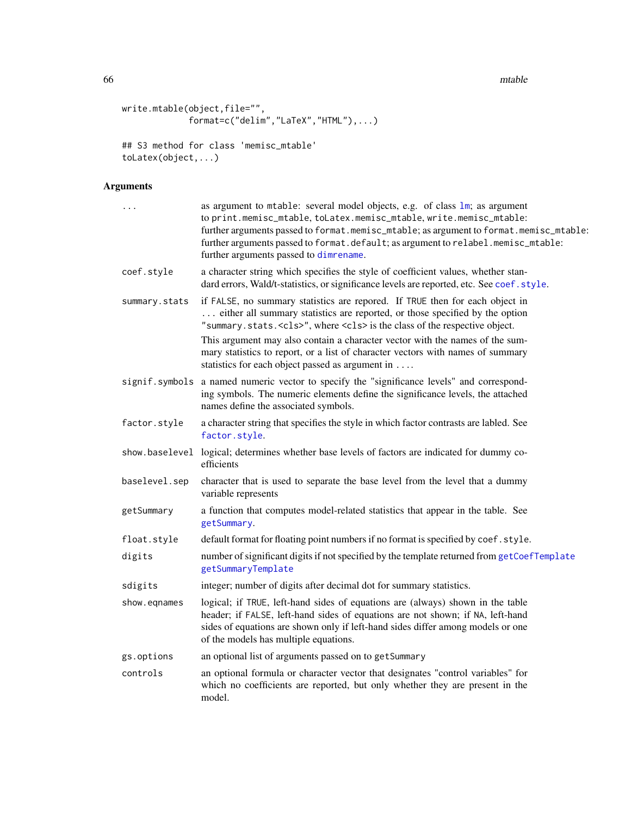66 mtable **matrix** and the set of the set of the set of the set of the set of the set of the set of the set of the set of the set of the set of the set of the set of the set of the set of the set of the set of the set of t

```
write.mtable(object,file="",
             format=c("delim","LaTeX","HTML"),...)
## S3 method for class 'memisc_mtable'
toLatex(object,...)
```
# Arguments

| .              | as argument to mtable: several model objects, e.g. of class lm; as argument<br>to print.memisc_mtable, toLatex.memisc_mtable, write.memisc_mtable:<br>further arguments passed to format.memisc_mtable; as argument to format.memisc_mtable:<br>further arguments passed to format.default; as argument to relabel.memisc_mtable:<br>further arguments passed to dimrename.                                                 |
|----------------|-----------------------------------------------------------------------------------------------------------------------------------------------------------------------------------------------------------------------------------------------------------------------------------------------------------------------------------------------------------------------------------------------------------------------------|
| coef.style     | a character string which specifies the style of coefficient values, whether stan-<br>dard errors, Wald/t-statistics, or significance levels are reported, etc. See coef.style.                                                                                                                                                                                                                                              |
| summary.stats  | if FALSE, no summary statistics are repored. If TRUE then for each object in<br>either all summary statistics are reported, or those specified by the option<br>"summary.stats. <cls>", where <cls> is the class of the respective object.<br/>This argument may also contain a character vector with the names of the sum-<br/>mary statistics to report, or a list of character vectors with names of summary</cls></cls> |
|                | statistics for each object passed as argument in                                                                                                                                                                                                                                                                                                                                                                            |
| signif.symbols | a named numeric vector to specify the "significance levels" and correspond-<br>ing symbols. The numeric elements define the significance levels, the attached<br>names define the associated symbols.                                                                                                                                                                                                                       |
| factor.style   | a character string that specifies the style in which factor contrasts are labled. See<br>factor.style.                                                                                                                                                                                                                                                                                                                      |
|                | show baselevel logical; determines whether base levels of factors are indicated for dummy co-<br>efficients                                                                                                                                                                                                                                                                                                                 |
| baselevel.sep  | character that is used to separate the base level from the level that a dummy<br>variable represents                                                                                                                                                                                                                                                                                                                        |
| getSummary     | a function that computes model-related statistics that appear in the table. See<br>getSummary.                                                                                                                                                                                                                                                                                                                              |
| float.style    | default format for floating point numbers if no format is specified by coef.style.                                                                                                                                                                                                                                                                                                                                          |
| digits         | number of significant digits if not specified by the template returned from getCoefTemplate<br>getSummaryTemplate                                                                                                                                                                                                                                                                                                           |
| sdigits        | integer; number of digits after decimal dot for summary statistics.                                                                                                                                                                                                                                                                                                                                                         |
| show.eqnames   | logical; if TRUE, left-hand sides of equations are (always) shown in the table<br>header; if FALSE, left-hand sides of equations are not shown; if NA, left-hand<br>sides of equations are shown only if left-hand sides differ among models or one<br>of the models has multiple equations.                                                                                                                                |
| gs.options     | an optional list of arguments passed on to getSummary                                                                                                                                                                                                                                                                                                                                                                       |
| controls       | an optional formula or character vector that designates "control variables" for<br>which no coefficients are reported, but only whether they are present in the<br>model.                                                                                                                                                                                                                                                   |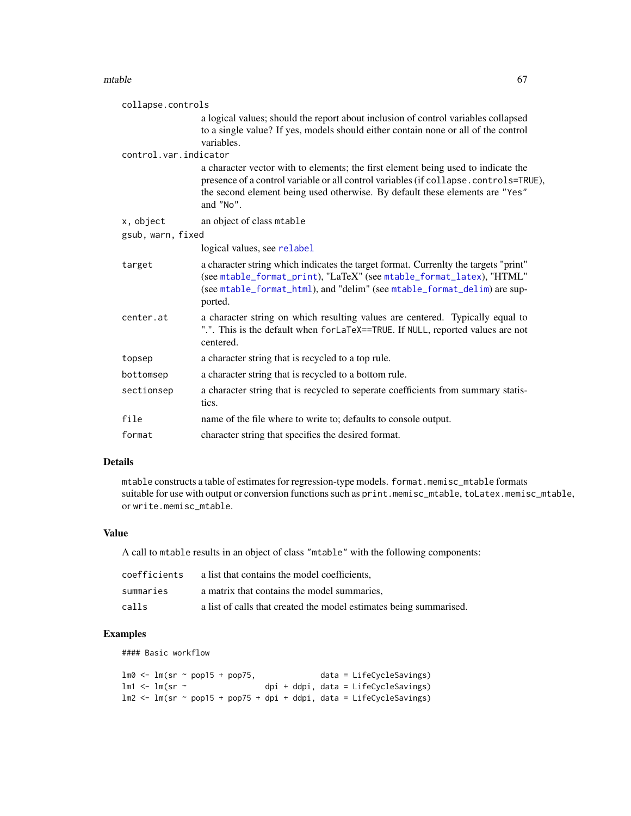### $m$ table 67

| collapse.controls     |                                                                                                                                                                                                                                                                        |
|-----------------------|------------------------------------------------------------------------------------------------------------------------------------------------------------------------------------------------------------------------------------------------------------------------|
|                       | a logical values; should the report about inclusion of control variables collapsed<br>to a single value? If yes, models should either contain none or all of the control<br>variables.                                                                                 |
| control.var.indicator |                                                                                                                                                                                                                                                                        |
|                       | a character vector with to elements; the first element being used to indicate the<br>presence of a control variable or all control variables (if collapse.controls=TRUE),<br>the second element being used otherwise. By default these elements are "Yes"<br>and "No". |
| x, object             | an object of class mtable                                                                                                                                                                                                                                              |
| gsub, warn, fixed     |                                                                                                                                                                                                                                                                        |
|                       | logical values, see relabel                                                                                                                                                                                                                                            |
| target                | a character string which indicates the target format. Currenlty the targets "print"<br>(see mtable_format_print), "LaTeX" (see mtable_format_latex), "HTML"<br>(see mtable_format_html), and "delim" (see mtable_format_delim) are sup-<br>ported.                     |
| center.at             | a character string on which resulting values are centered. Typically equal to<br>".". This is the default when forLaTeX==TRUE. If NULL, reported values are not<br>centered.                                                                                           |
| topsep                | a character string that is recycled to a top rule.                                                                                                                                                                                                                     |
| bottomsep             | a character string that is recycled to a bottom rule.                                                                                                                                                                                                                  |
| sectionsep            | a character string that is recycled to seperate coefficients from summary statis-<br>tics.                                                                                                                                                                             |
| file                  | name of the file where to write to; defaults to console output.                                                                                                                                                                                                        |
| format                | character string that specifies the desired format.                                                                                                                                                                                                                    |

# Details

mtable constructs a table of estimates for regression-type models. format.memisc\_mtable formats suitable for use with output or conversion functions such as print.memisc\_mtable, toLatex.memisc\_mtable, or write.memisc\_mtable.

# Value

A call to mtable results in an object of class "mtable" with the following components:

| coefficients | a list that contains the model coefficients.                       |
|--------------|--------------------------------------------------------------------|
| summaries    | a matrix that contains the model summaries,                        |
| calls        | a list of calls that created the model estimates being summarised. |

# Examples

#### Basic workflow

|  |                | lm0 <- lm(sr ~ pop15 + pop75, |  |  |  |  | $data = LifeCycleSavings)$                                          |
|--|----------------|-------------------------------|--|--|--|--|---------------------------------------------------------------------|
|  | lm1 <- lm(sr ~ |                               |  |  |  |  | $\phi$ i + ddpi, data = LifeCycleSavings)                           |
|  |                |                               |  |  |  |  | lm2 <- lm(sr ~ pop15 + pop75 + dpi + ddpi, data = LifeCycleSavings) |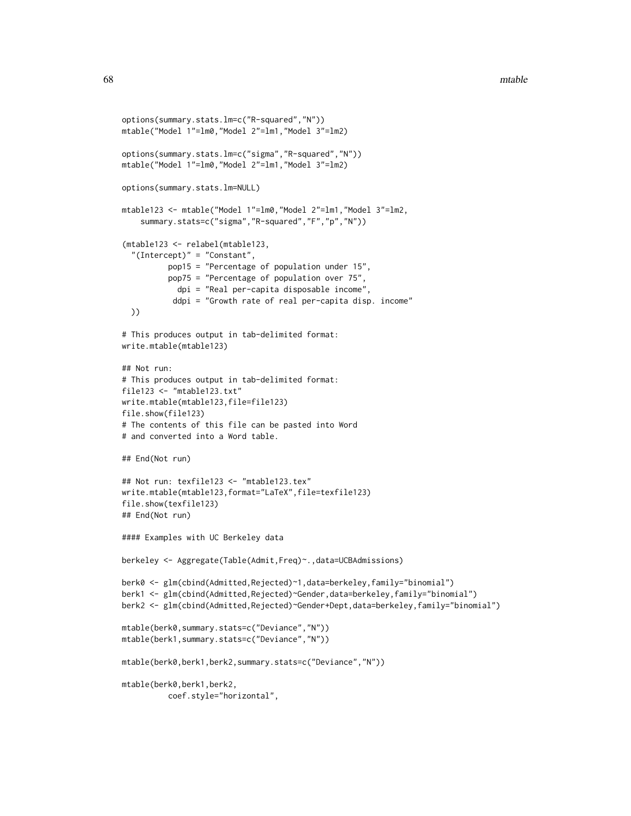```
options(summary.stats.lm=c("R-squared","N"))
mtable("Model 1"=lm0,"Model 2"=lm1,"Model 3"=lm2)
options(summary.stats.lm=c("sigma","R-squared","N"))
mtable("Model 1"=lm0,"Model 2"=lm1,"Model 3"=lm2)
options(summary.stats.lm=NULL)
mtable123 <- mtable("Model 1"=lm0,"Model 2"=lm1,"Model 3"=lm2,
    summary.stats=c("sigma","R-squared","F","p","N"))
(mtable123 <- relabel(mtable123,
  "(Intercept)" = "Constant",
          pop15 = "Percentage of population under 15",
          pop75 = "Percentage of population over 75",
           dpi = "Real per-capita disposable income",
           ddpi = "Growth rate of real per-capita disp. income"
  ))
# This produces output in tab-delimited format:
write.mtable(mtable123)
## Not run:
# This produces output in tab-delimited format:
file123 <- "mtable123.txt"
write.mtable(mtable123,file=file123)
file.show(file123)
# The contents of this file can be pasted into Word
# and converted into a Word table.
## End(Not run)
## Not run: texfile123 <- "mtable123.tex"
write.mtable(mtable123,format="LaTeX",file=texfile123)
file.show(texfile123)
## End(Not run)
#### Examples with UC Berkeley data
berkeley <- Aggregate(Table(Admit,Freq)~.,data=UCBAdmissions)
berk0 <- glm(cbind(Admitted,Rejected)~1,data=berkeley,family="binomial")
berk1 <- glm(cbind(Admitted, Rejected)~Gender, data=berkeley, family="binomial")
berk2 <- glm(cbind(Admitted,Rejected)~Gender+Dept,data=berkeley,family="binomial")
mtable(berk0,summary.stats=c("Deviance","N"))
mtable(berk1,summary.stats=c("Deviance","N"))
mtable(berk0,berk1,berk2,summary.stats=c("Deviance","N"))
mtable(berk0,berk1,berk2,
          coef.style="horizontal",
```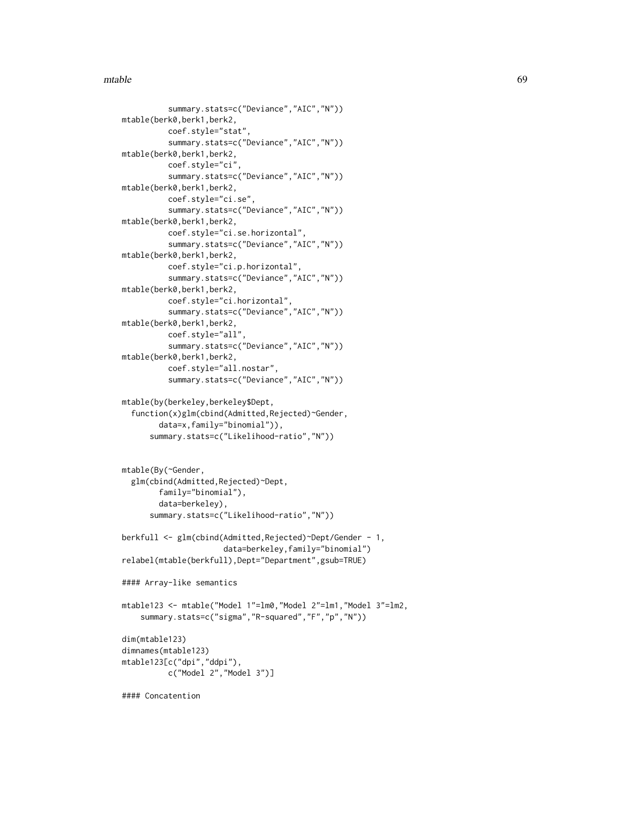### $m$ table 69

```
summary.stats=c("Deviance","AIC","N"))
mtable(berk0,berk1,berk2,
          coef.style="stat",
          summary.stats=c("Deviance","AIC","N"))
mtable(berk0,berk1,berk2,
         coef.style="ci",
          summary.stats=c("Deviance","AIC","N"))
mtable(berk0,berk1,berk2,
          coef.style="ci.se",
          summary.stats=c("Deviance","AIC","N"))
mtable(berk0,berk1,berk2,
          coef.style="ci.se.horizontal",
          summary.stats=c("Deviance","AIC","N"))
mtable(berk0,berk1,berk2,
          coef.style="ci.p.horizontal",
          summary.stats=c("Deviance","AIC","N"))
mtable(berk0,berk1,berk2,
          coef.style="ci.horizontal",
          summary.stats=c("Deviance","AIC","N"))
mtable(berk0,berk1,berk2,
          coef.style="all",
          summary.stats=c("Deviance","AIC","N"))
mtable(berk0,berk1,berk2,
          coef.style="all.nostar",
          summary.stats=c("Deviance","AIC","N"))
mtable(by(berkeley,berkeley$Dept,
  function(x)glm(cbind(Admitted,Rejected)~Gender,
        data=x,family="binomial")),
      summary.stats=c("Likelihood-ratio","N"))
```

```
mtable(By(~Gender,
 glm(cbind(Admitted,Rejected)~Dept,
        family="binomial"),
        data=berkeley),
      summary.stats=c("Likelihood-ratio","N"))
```

```
berkfull <- glm(cbind(Admitted,Rejected)~Dept/Gender - 1,
                      data=berkeley,family="binomial")
relabel(mtable(berkfull),Dept="Department",gsub=TRUE)
```

```
#### Array-like semantics
```

```
mtable123 <- mtable("Model 1"=lm0,"Model 2"=lm1,"Model 3"=lm2,
    summary.stats=c("sigma","R-squared","F","p","N"))
```

```
dim(mtable123)
dimnames(mtable123)
mtable123[c("dpi","ddpi"),
          c("Model 2","Model 3")]
```

```
#### Concatention
```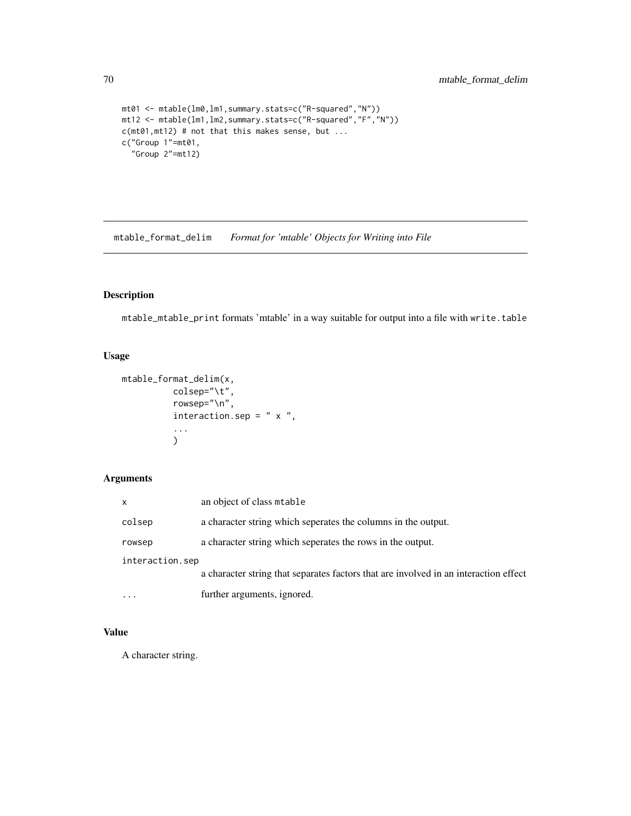```
mt01 <- mtable(lm0,lm1,summary.stats=c("R-squared","N"))
mt12 <- mtable(lm1,lm2,summary.stats=c("R-squared","F","N"))
c(mt01,mt12) # not that this makes sense, but ...
c("Group 1"=mt01,
  "Group 2"=mt12)
```
<span id="page-69-0"></span>mtable\_format\_delim *Format for 'mtable' Objects for Writing into File*

# Description

mtable\_mtable\_print formats 'mtable' in a way suitable for output into a file with write.table

# Usage

```
mtable_format_delim(x,
          colsep="\t",
          rowsep="\n",
          interaction.sep = " x ",
          ...
          )
```
# Arguments

| $\mathsf{x}$    | an object of class mtable                                                            |
|-----------------|--------------------------------------------------------------------------------------|
| colsep          | a character string which seperates the columns in the output.                        |
| rowsep          | a character string which seperates the rows in the output.                           |
| interaction.sep |                                                                                      |
|                 | a character string that separates factors that are involved in an interaction effect |
|                 | further arguments, ignored.                                                          |

# Value

A character string.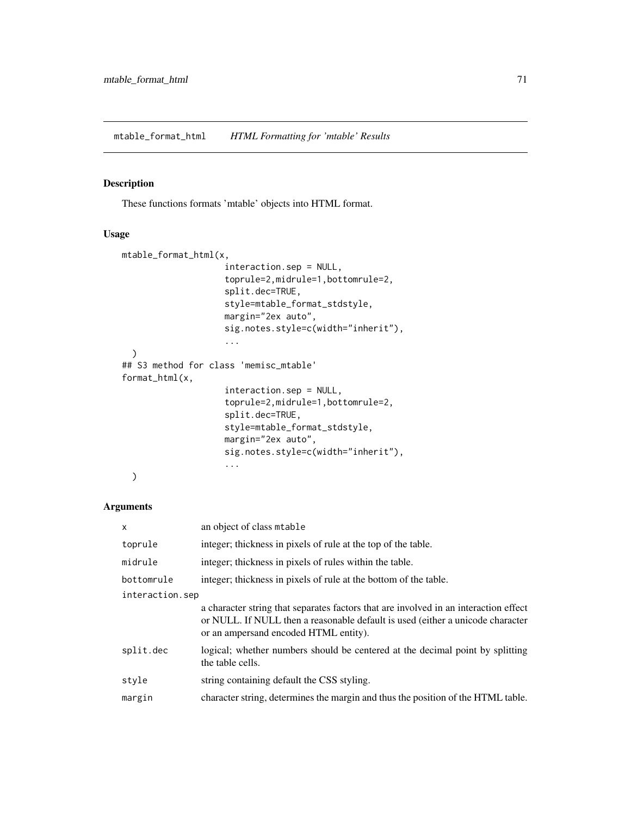<span id="page-70-0"></span>mtable\_format\_html *HTML Formatting for 'mtable' Results*

### Description

These functions formats 'mtable' objects into HTML format.

### Usage

```
mtable_format_html(x,
                    interaction.sep = NULL,
                    toprule=2,midrule=1,bottomrule=2,
                    split.dec=TRUE,
                    style=mtable_format_stdstyle,
                    margin="2ex auto",
                    sig.notes.style=c(width="inherit"),
                    ...
  )
## S3 method for class 'memisc_mtable'
format_html(x,
                    interaction.sep = NULL,
                    toprule=2,midrule=1,bottomrule=2,
                    split.dec=TRUE,
                    style=mtable_format_stdstyle,
                    margin="2ex auto",
                    sig.notes.style=c(width="inherit"),
                    ...
  )
```
## Arguments

| $\mathsf{x}$    | an object of class mtable                                                                                                                                                                                       |
|-----------------|-----------------------------------------------------------------------------------------------------------------------------------------------------------------------------------------------------------------|
| toprule         | integer; thickness in pixels of rule at the top of the table.                                                                                                                                                   |
| midrule         | integer; thickness in pixels of rules within the table.                                                                                                                                                         |
| bottomrule      | integer; thickness in pixels of rule at the bottom of the table.                                                                                                                                                |
| interaction.sep |                                                                                                                                                                                                                 |
|                 | a character string that separates factors that are involved in an interaction effect<br>or NULL. If NULL then a reasonable default is used (either a unicode character<br>or an ampersand encoded HTML entity). |
| split.dec       | logical; whether numbers should be centered at the decimal point by splitting<br>the table cells.                                                                                                               |
| style           | string containing default the CSS styling.                                                                                                                                                                      |
| margin          | character string, determines the margin and thus the position of the HTML table.                                                                                                                                |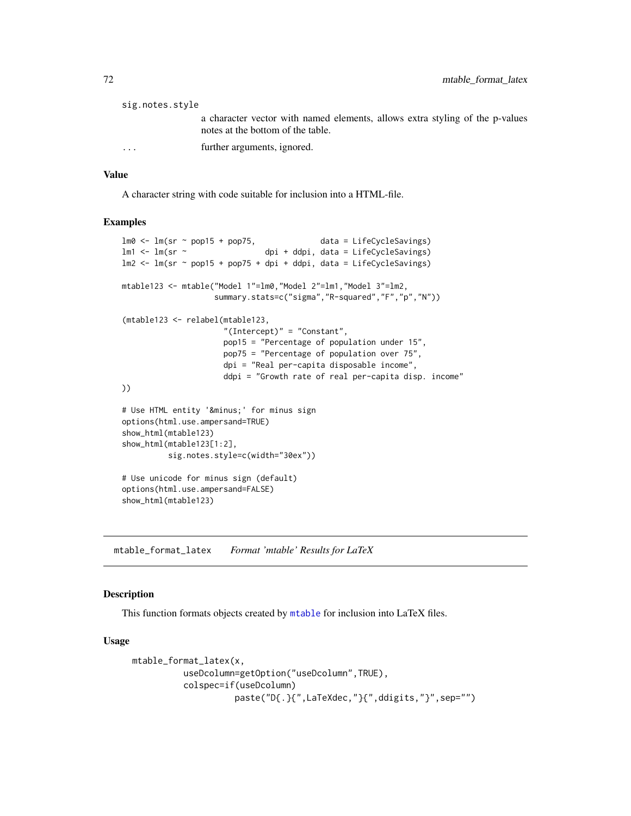| sig.notes.style |                                                                              |
|-----------------|------------------------------------------------------------------------------|
|                 | a character vector with named elements, allows extra styling of the p-values |
|                 | notes at the bottom of the table.                                            |
| $\cdots$        | further arguments, ignored.                                                  |

# Value

A character string with code suitable for inclusion into a HTML-file.

### Examples

```
lm0 \leq lm(sr \sim pop15 + pop75, data = LifeCycleSavings)
lm1 <- lm(sr ~ dpi + ddpi, data = LifeCycleSavings)
lm2 \leq lm(sr \sim pop15 + pop75 + dpi + ddpi, data = LifeCycleSavings)
mtable123 <- mtable("Model 1"=lm0,"Model 2"=lm1,"Model 3"=lm2,
                   summary.stats=c("sigma","R-squared","F","p","N"))
(mtable123 <- relabel(mtable123,
                     "(Intercept)" = "Constant",
                     pop15 = "Percentage of population under 15",
                     pop75 = "Percentage of population over 75",
                     dpi = "Real per-capita disposable income",
                     ddpi = "Growth rate of real per-capita disp. income"
))
# Use HTML entity '−' for minus sign
options(html.use.ampersand=TRUE)
show_html(mtable123)
show_html(mtable123[1:2],
          sig.notes.style=c(width="30ex"))
# Use unicode for minus sign (default)
options(html.use.ampersand=FALSE)
show_html(mtable123)
```
<span id="page-71-0"></span>mtable\_format\_latex *Format 'mtable' Results for LaTeX*

## Description

This function formats objects created by [mtable](#page-64-0) for inclusion into LaTeX files.

```
mtable_format_latex(x,
          useDcolumn=getOption("useDcolumn",TRUE),
          colspec=if(useDcolumn)
                    paste("D{.}{",LaTeXdec,"}{",ddigits,"}",sep="")
```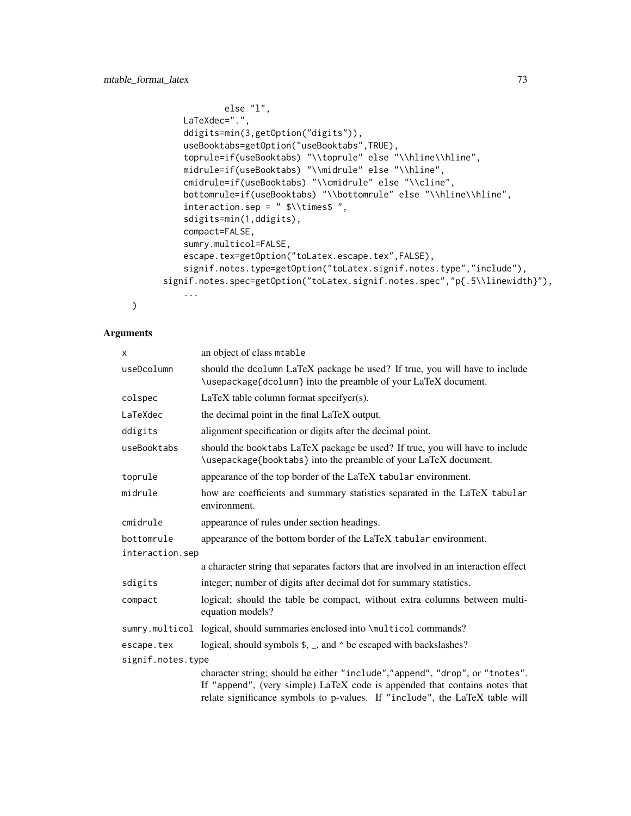```
else "l",
    LaTeXdec=".",
    ddigits=min(3,getOption("digits")),
    useBooktabs=getOption("useBooktabs",TRUE),
    toprule=if(useBooktabs) "\\toprule" else "\\hline\\hline",
    midrule=if(useBooktabs) "\\midrule" else "\\hline",
    cmidrule=if(useBooktabs) "\\cmidrule" else "\\cline",
    bottomrule=if(useBooktabs) "\\bottomrule" else "\\hline\\hline",
    interaction.sep = " $\\times$ ",
    sdigits=min(1,ddigits),
    compact=FALSE,
    sumry.multicol=FALSE,
    escape.tex=getOption("toLatex.escape.tex",FALSE),
    signif.notes.type=getOption("toLatex.signif.notes.type","include"),
signif.notes.spec=getOption("toLatex.signif.notes.spec","p{.5\\linewidth}"),
    ...
```

```
\mathcal{L}
```

| X                 | an object of class mtable                                                                                                                                                                                                                |  |
|-------------------|------------------------------------------------------------------------------------------------------------------------------------------------------------------------------------------------------------------------------------------|--|
| useDcolumn        | should the dcolumn LaTeX package be used? If true, you will have to include<br>\usepackage{dcolumn} into the preamble of your LaTeX document.                                                                                            |  |
| colspec           | LaTeX table column format specifyer(s).                                                                                                                                                                                                  |  |
| LaTeXdec          | the decimal point in the final LaTeX output.                                                                                                                                                                                             |  |
| ddigits           | alignment specification or digits after the decimal point.                                                                                                                                                                               |  |
| useBooktabs       | should the booktabs LaTeX package be used? If true, you will have to include<br>\usepackage{booktabs} into the preamble of your LaTeX document.                                                                                          |  |
| toprule           | appearance of the top border of the LaTeX tabular environment.                                                                                                                                                                           |  |
| midrule           | how are coefficients and summary statistics separated in the LaTeX tabular<br>environment.                                                                                                                                               |  |
| cmidrule          | appearance of rules under section headings.                                                                                                                                                                                              |  |
| bottomrule        | appearance of the bottom border of the LaTeX tabular environment.                                                                                                                                                                        |  |
| interaction.sep   |                                                                                                                                                                                                                                          |  |
|                   | a character string that separates factors that are involved in an interaction effect                                                                                                                                                     |  |
| sdigits           | integer; number of digits after decimal dot for summary statistics.                                                                                                                                                                      |  |
| compact           | logical; should the table be compact, without extra columns between multi-<br>equation models?                                                                                                                                           |  |
| sumry.multicol    | logical, should summaries enclosed into \multicol commands?                                                                                                                                                                              |  |
| escape.tex        | logical, should symbols $\frac{1}{2}$ , and $\frac{1}{2}$ be escaped with backslashes?                                                                                                                                                   |  |
| signif.notes.type |                                                                                                                                                                                                                                          |  |
|                   | character string; should be either "include","append", "drop", or "tnotes".<br>If "append", (very simple) LaTeX code is appended that contains notes that<br>relate significance symbols to p-values. If "include", the LaTeX table will |  |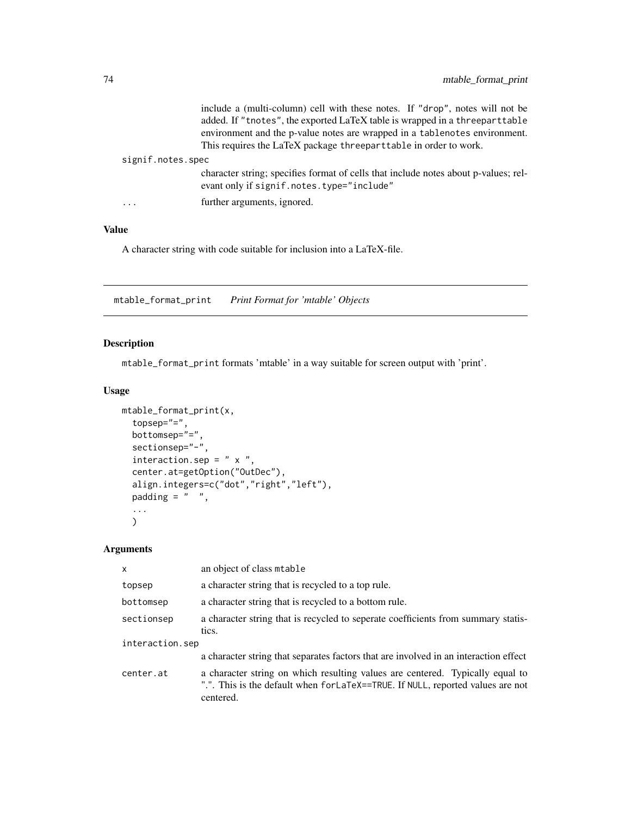|                   | include a (multi-column) cell with these notes. If "drop", notes will not be<br>added. If "tnotes", the exported LaTeX table is wrapped in a threeparttable<br>environment and the p-value notes are wrapped in a tablenotes environment.<br>This requires the LaTeX package threeparttable in order to work. |
|-------------------|---------------------------------------------------------------------------------------------------------------------------------------------------------------------------------------------------------------------------------------------------------------------------------------------------------------|
| signif.notes.spec |                                                                                                                                                                                                                                                                                                               |
|                   | character string; specifies format of cells that include notes about p-values; rel-<br>evant only if signif.notes.type="include"                                                                                                                                                                              |
| .                 | further arguments, ignored.                                                                                                                                                                                                                                                                                   |

# Value

A character string with code suitable for inclusion into a LaTeX-file.

mtable\_format\_print *Print Format for 'mtable' Objects*

# Description

mtable\_format\_print formats 'mtable' in a way suitable for screen output with 'print'.

# Usage

```
mtable_format_print(x,
 topsep="=",
 bottomsep="=",
 sectionsep="-",
 interaction.sep = " x ",
 center.at=getOption("OutDec"),
 align.integers=c("dot","right","left"),
 padding = " ",
  ...
  )
```

| $\mathsf{x}$    | an object of class mtable                                                                                                                                                     |  |
|-----------------|-------------------------------------------------------------------------------------------------------------------------------------------------------------------------------|--|
| topsep          | a character string that is recycled to a top rule.                                                                                                                            |  |
| bottomsep       | a character string that is recycled to a bottom rule.                                                                                                                         |  |
| sectionsep      | a character string that is recycled to seperate coefficients from summary statis-<br>tics.                                                                                    |  |
| interaction.sep |                                                                                                                                                                               |  |
|                 | a character string that separates factors that are involved in an interaction effect                                                                                          |  |
| center.at       | a character string on which resulting values are centered. Typically equal to<br>".". This is the default when for LaTeX==TRUE. If NULL, reported values are not<br>centered. |  |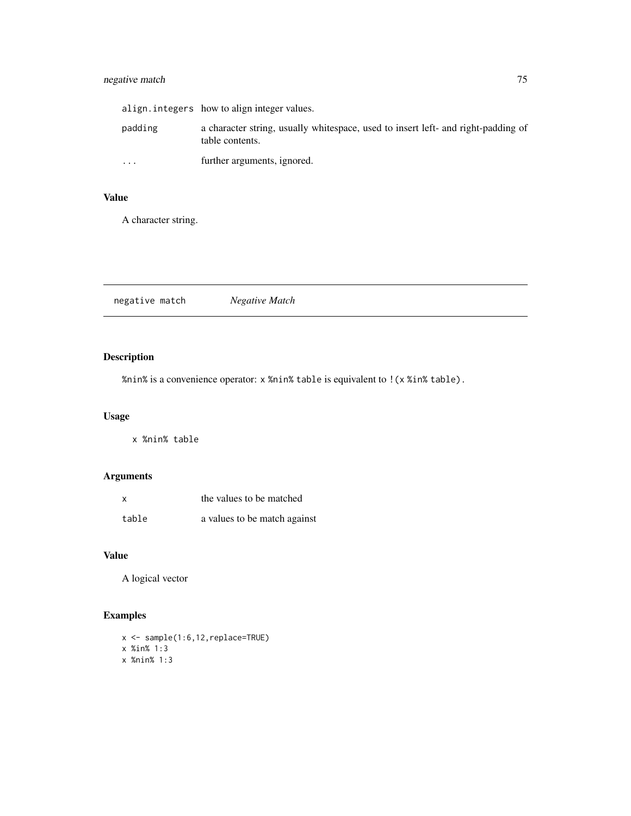# negative match 75

|           | align.integers how to align integer values.                                                          |
|-----------|------------------------------------------------------------------------------------------------------|
| padding   | a character string, usually whitespace, used to insert left- and right-padding of<br>table contents. |
| $\ddotsc$ | further arguments, ignored.                                                                          |

# Value

A character string.

negative match *Negative Match*

# Description

%nin% is a convenience operator: x %nin% table is equivalent to !(x %in% table).

# Usage

x %nin% table

# Arguments

| X     | the values to be matched     |
|-------|------------------------------|
| table | a values to be match against |

# Value

A logical vector

# Examples

x <- sample(1:6,12,replace=TRUE) x %in% 1:3 x %nin% 1:3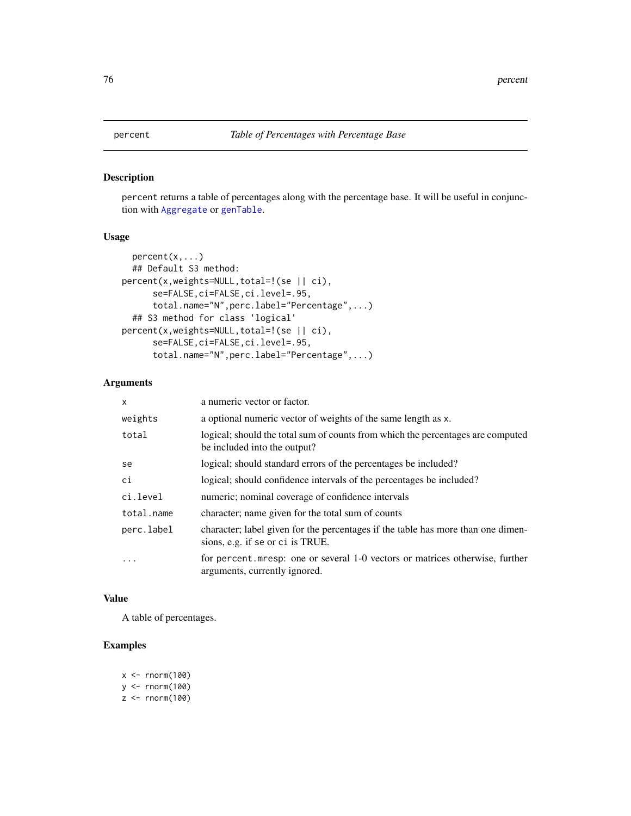percent returns a table of percentages along with the percentage base. It will be useful in conjunction with [Aggregate](#page-34-0) or [genTable](#page-34-1).

# Usage

```
percent(x,...)
 ## Default S3 method:
percent(x,weights=NULL,total=!(se || ci),
      se=FALSE,ci=FALSE,ci.level=.95,
      total.name="N",perc.label="Percentage",...)
  ## S3 method for class 'logical'
percent(x,weights=NULL,total=!(se || ci),
      se=FALSE,ci=FALSE,ci.level=.95,
      total.name="N",perc.label="Percentage",...)
```
# Arguments

| $\mathsf{x}$ | a numeric vector or factor.                                                                                          |
|--------------|----------------------------------------------------------------------------------------------------------------------|
| weights      | a optional numeric vector of weights of the same length as x.                                                        |
| total        | logical; should the total sum of counts from which the percentages are computed<br>be included into the output?      |
| se           | logical; should standard errors of the percentages be included?                                                      |
| ci           | logical; should confidence intervals of the percentages be included?                                                 |
| ci.level     | numeric; nominal coverage of confidence intervals                                                                    |
| total.name   | character; name given for the total sum of counts                                                                    |
| perc.label   | character; label given for the percentages if the table has more than one dimen-<br>sions, e.g. if se or ci is TRUE. |
|              | for percent mesp: one or several 1-0 vectors or matrices otherwise, further<br>arguments, currently ignored.         |

#### Value

A table of percentages.

```
x < - rnorm(100)
y <- rnorm(100)
z < - rnorm(100)
```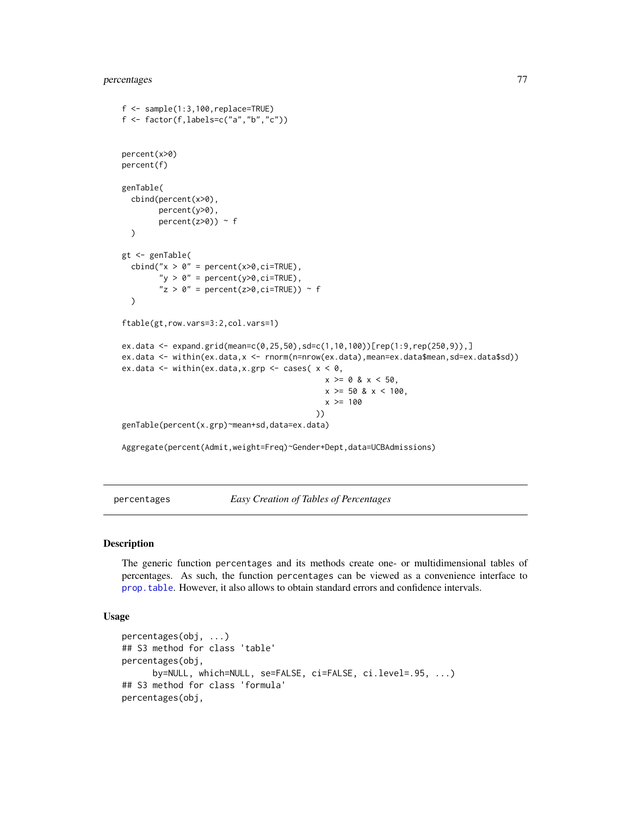# percentages 77

```
f \leftarrow sample(1:3,100,replace=TRUE)f \leftarrow factor(f, labels=c("a", "b", "c"))percent(x>0)
percent(f)
genTable(
 cbind(percent(x>0),
        percent(y>0),
        percent(z>0)) ~ f
 )
gt <- genTable(
 cbind("x > 0" = percent(x>0,ci=TRUE),
        "y > 0" = percent(y > 0, ci=TRUE),
        "z > 0" = percent(z>0, ci=TRUE)) ~ f
 )
ftable(gt,row.vars=3:2,col.vars=1)
ex.data <- expand.grid(mean=c(0,25,50),sd=c(1,10,100))[rep(1:9,rep(250,9)),]
ex.data <- within(ex.data,x <- rnorm(n=nrow(ex.data),mean=ex.data$mean,sd=ex.data$sd))
ex.data <- within(ex.data, x.grp <- cases(x < 0,
                                              x > = 0 & x < 50,
                                              x > = 50 & x < 100,
                                              x > = 100))
genTable(percent(x.grp)~mean+sd,data=ex.data)
```
Aggregate(percent(Admit,weight=Freq)~Gender+Dept,data=UCBAdmissions)

percentages *Easy Creation of Tables of Percentages*

#### Description

The generic function percentages and its methods create one- or multidimensional tables of percentages. As such, the function percentages can be viewed as a convenience interface to [prop.table](#page-0-0). However, it also allows to obtain standard errors and confidence intervals.

### Usage

```
percentages(obj, ...)
## S3 method for class 'table'
percentages(obj,
      by=NULL, which=NULL, se=FALSE, ci=FALSE, ci.level=.95, ...)
## S3 method for class 'formula'
percentages(obj,
```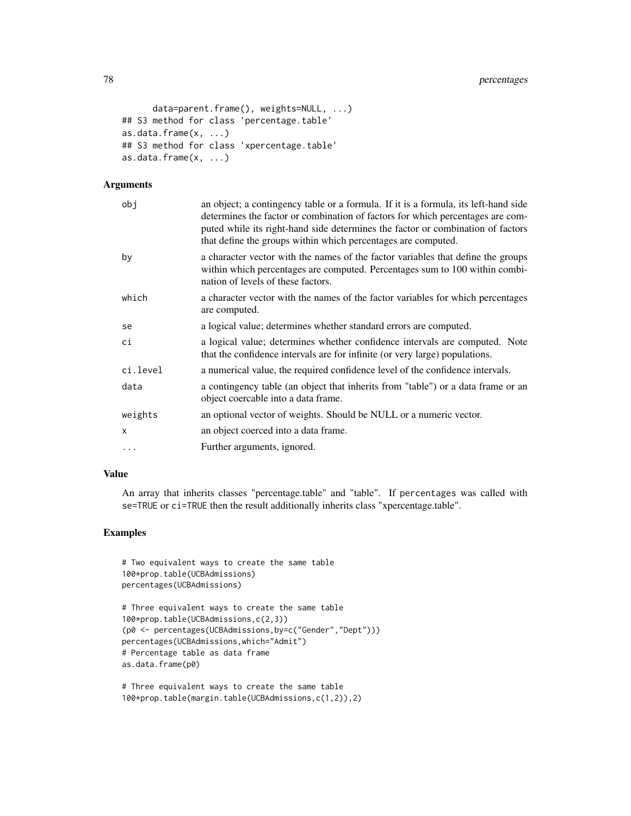```
data=parent.frame(), weights=NULL, ...)
## S3 method for class 'percentage.table'
as.data.frame(x, ...)
## S3 method for class 'xpercentage.table'
as.data.frame(x, ...)
```
#### Arguments

| obi          | an object; a contingency table or a formula. If it is a formula, its left-hand side<br>determines the factor or combination of factors for which percentages are com-<br>puted while its right-hand side determines the factor or combination of factors<br>that define the groups within which percentages are computed. |
|--------------|---------------------------------------------------------------------------------------------------------------------------------------------------------------------------------------------------------------------------------------------------------------------------------------------------------------------------|
| by           | a character vector with the names of the factor variables that define the groups<br>within which percentages are computed. Percentages sum to 100 within combi-<br>nation of levels of these factors.                                                                                                                     |
| which        | a character vector with the names of the factor variables for which percentages<br>are computed.                                                                                                                                                                                                                          |
| se           | a logical value; determines whether standard errors are computed.                                                                                                                                                                                                                                                         |
| сi           | a logical value; determines whether confidence intervals are computed. Note<br>that the confidence intervals are for infinite (or very large) populations.                                                                                                                                                                |
| ci.level     | a numerical value, the required confidence level of the confidence intervals.                                                                                                                                                                                                                                             |
| data         | a contingency table (an object that inherits from "table") or a data frame or an<br>object coercable into a data frame.                                                                                                                                                                                                   |
| weights      | an optional vector of weights. Should be NULL or a numeric vector.                                                                                                                                                                                                                                                        |
| $\mathsf{x}$ | an object coerced into a data frame.                                                                                                                                                                                                                                                                                      |
| $\ddotsc$    | Further arguments, ignored.                                                                                                                                                                                                                                                                                               |

# Value

An array that inherits classes "percentage.table" and "table". If percentages was called with se=TRUE or ci=TRUE then the result additionally inherits class "xpercentage.table".

```
# Two equivalent ways to create the same table
100*prop.table(UCBAdmissions)
percentages(UCBAdmissions)
```

```
# Three equivalent ways to create the same table
100*prop.table(UCBAdmissions,c(2,3))
(p0 <- percentages(UCBAdmissions,by=c("Gender","Dept")))
percentages(UCBAdmissions,which="Admit")
# Percentage table as data frame
as.data.frame(p0)
```

```
# Three equivalent ways to create the same table
100*prop.table(margin.table(UCBAdmissions,c(1,2)),2)
```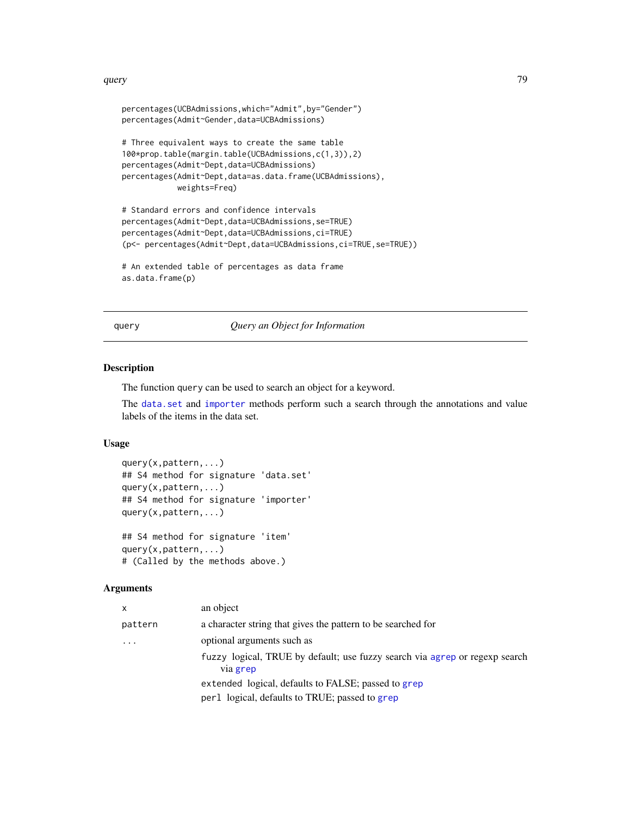#### query 79

```
percentages(UCBAdmissions,which="Admit",by="Gender")
percentages(Admit~Gender,data=UCBAdmissions)
# Three equivalent ways to create the same table
100*prop.table(margin.table(UCBAdmissions,c(1,3)),2)
percentages(Admit~Dept,data=UCBAdmissions)
percentages(Admit~Dept,data=as.data.frame(UCBAdmissions),
            weights=Freq)
# Standard errors and confidence intervals
percentages(Admit~Dept,data=UCBAdmissions,se=TRUE)
percentages(Admit~Dept,data=UCBAdmissions,ci=TRUE)
(p<- percentages(Admit~Dept,data=UCBAdmissions,ci=TRUE,se=TRUE))
# An extended table of percentages as data frame
as.data.frame(p)
```
query *Query an Object for Information*

### Description

The function query can be used to search an object for a keyword.

The [data.set](#page-17-0) and [importer](#page-46-0) methods perform such a search through the annotations and value labels of the items in the data set.

#### Usage

```
query(x,pattern,...)
## S4 method for signature 'data.set'
query(x,pattern,...)
## S4 method for signature 'importer'
query(x,pattern,...)
## S4 method for signature 'item'
```
query(x,pattern,...) # (Called by the methods above.)

| x        | an object                                                                               |
|----------|-----------------------------------------------------------------------------------------|
| pattern  | a character string that gives the pattern to be searched for                            |
| $\ddots$ | optional arguments such as                                                              |
|          | fuzzy logical, TRUE by default; use fuzzy search via agrep or regexp search<br>via grep |
|          | extended logical, defaults to FALSE; passed to grep                                     |
|          | perl logical, defaults to TRUE; passed to grep                                          |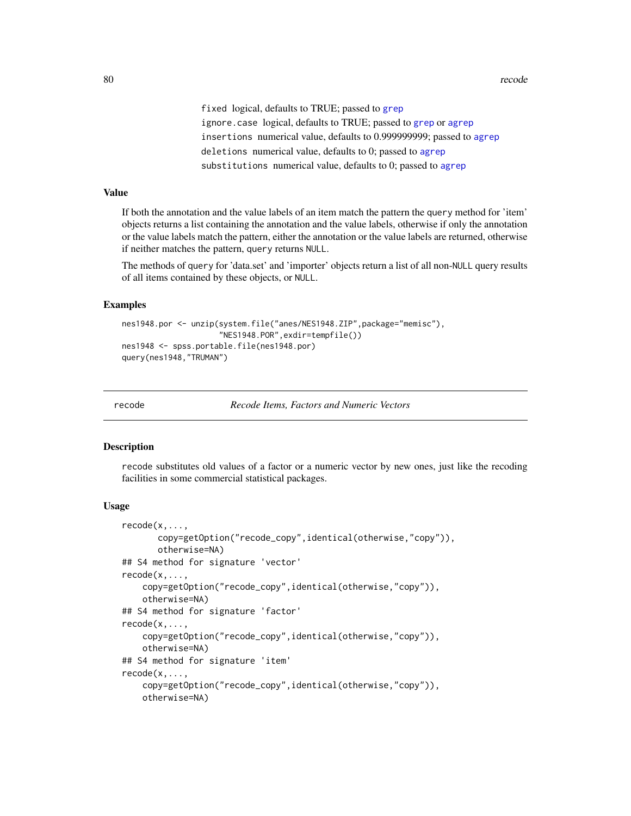80 recode to the state of the state of the state of the state of the state of the state of the state of the state of the state of the state of the state of the state of the state of the state of the state of the state of t

fixed logical, defaults to TRUE; passed to [grep](#page-0-0) ignore.case logical, defaults to TRUE; passed to [grep](#page-0-0) or [agrep](#page-0-0) insertions numerical value, defaults to 0.999999999; passed to [agrep](#page-0-0) deletions numerical value, defaults to 0; passed to [agrep](#page-0-0) substitutions numerical value, defaults to 0; passed to [agrep](#page-0-0)

#### Value

If both the annotation and the value labels of an item match the pattern the query method for 'item' objects returns a list containing the annotation and the value labels, otherwise if only the annotation or the value labels match the pattern, either the annotation or the value labels are returned, otherwise if neither matches the pattern, query returns NULL.

The methods of query for 'data.set' and 'importer' objects return a list of all non-NULL query results of all items contained by these objects, or NULL.

#### Examples

```
nes1948.por <- unzip(system.file("anes/NES1948.ZIP",package="memisc"),
                     "NES1948.POR",exdir=tempfile())
nes1948 <- spss.portable.file(nes1948.por)
query(nes1948,"TRUMAN")
```
recode *Recode Items, Factors and Numeric Vectors*

#### Description

recode substitutes old values of a factor or a numeric vector by new ones, just like the recoding facilities in some commercial statistical packages.

#### Usage

```
recode(x,...,
      copy=getOption("recode_copy",identical(otherwise,"copy")),
      otherwise=NA)
## S4 method for signature 'vector'
recode(x,...,
    copy=getOption("recode_copy",identical(otherwise,"copy")),
    otherwise=NA)
## S4 method for signature 'factor'
recode(x,...,
    copy=getOption("recode_copy",identical(otherwise,"copy")),
   otherwise=NA)
## S4 method for signature 'item'
recode(x,...,
   copy=getOption("recode_copy",identical(otherwise,"copy")),
   otherwise=NA)
```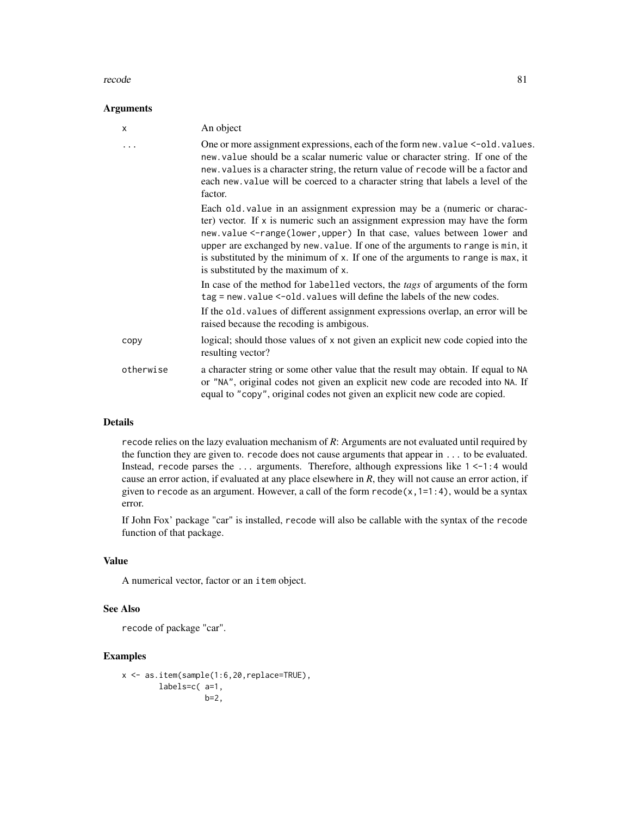#### recode 81

### Arguments

| X         | An object                                                                                                                                                                                                                                                                                                                                                                                                                                      |
|-----------|------------------------------------------------------------------------------------------------------------------------------------------------------------------------------------------------------------------------------------------------------------------------------------------------------------------------------------------------------------------------------------------------------------------------------------------------|
|           | One or more assignment expressions, each of the form new. value <- old. values.<br>new value should be a scalar numeric value or character string. If one of the<br>new. values is a character string, the return value of recode will be a factor and<br>each new value will be coerced to a character string that labels a level of the<br>factor.                                                                                           |
|           | Each old value in an assignment expression may be a (numeric or charac-<br>ter) vector. If $x$ is numeric such an assignment expression may have the form<br>new.value<-range(lower, upper) In that case, values between lower and<br>upper are exchanged by new. value. If one of the arguments to range is min, it<br>is substituted by the minimum of x. If one of the arguments to range is max, it<br>is substituted by the maximum of x. |
|           | In case of the method for labelled vectors, the <i>tags</i> of arguments of the form<br>tag = new. value <-old. values will define the labels of the new codes.                                                                                                                                                                                                                                                                                |
|           | If the old. values of different assignment expressions overlap, an error will be<br>raised because the recoding is ambigous.                                                                                                                                                                                                                                                                                                                   |
| copy      | logical; should those values of x not given an explicit new code copied into the<br>resulting vector?                                                                                                                                                                                                                                                                                                                                          |
| otherwise | a character string or some other value that the result may obtain. If equal to NA<br>or "NA", original codes not given an explicit new code are recoded into NA. If<br>equal to "copy", original codes not given an explicit new code are copied.                                                                                                                                                                                              |

# Details

recode relies on the lazy evaluation mechanism of *R*: Arguments are not evaluated until required by the function they are given to. recode does not cause arguments that appear in ... to be evaluated. Instead, recode parses the ... arguments. Therefore, although expressions like  $1 < -1:4$  would cause an error action, if evaluated at any place elsewhere in *R*, they will not cause an error action, if given to recode as an argument. However, a call of the form  $recode(x,1=1:4)$ , would be a syntax error.

If John Fox' package "car" is installed, recode will also be callable with the syntax of the recode function of that package.

# Value

A numerical vector, factor or an item object.

### See Also

recode of package "car".

```
x <- as.item(sample(1:6,20,replace=TRUE),
       labels=c( a=1,
                 b=2,
```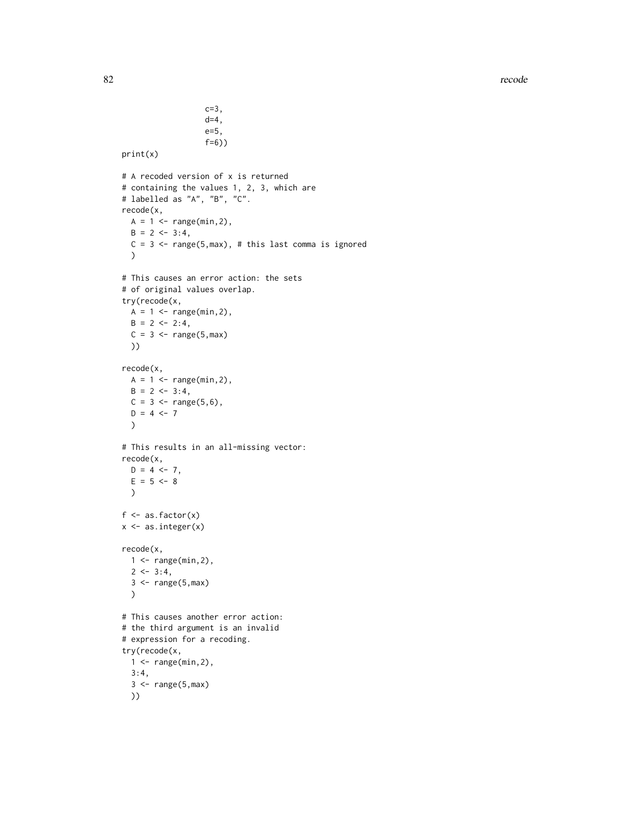```
c=3,
                    d=4,
                    e=5,
                    f=6))
print(x)
# A recoded version of x is returned
# containing the values 1, 2, 3, which are
# labelled as "A", "B", "C".
recode(x,
  A = 1 <- range(min, 2),
  B = 2 \leftarrow 3:4,C = 3 \leq -\text{range}(5, \text{max}), # this last comma is ignored
  )
# This causes an error action: the sets
# of original values overlap.
try(recode(x,
 A = 1 <- range(min, 2),
 B = 2 \leftarrow 2:4,
  C = 3 \leftarrow \text{range}(5, \text{max})))
recode(x,
  A = 1 <- range(min,2),
  B = 2 \leftarrow 3:4,
  C = 3 \leq - \text{range}(5, 6),
  D = 4 < -7)
# This results in an all-missing vector:
recode(x,
  D = 4 \leftarrow 7,
  E = 5 < -8\lambdaf \leftarrow as.factor(x)x <- as.integer(x)
recode(x,
  1 <- range(min,2),
  2 < -3:4,
  3 < - range(5,max)
  )
# This causes another error action:
# the third argument is an invalid
# expression for a recoding.
try(recode(x,
  1 <- range(min, 2),
  3:4,
  3 \leq range(5,max)
  ))
```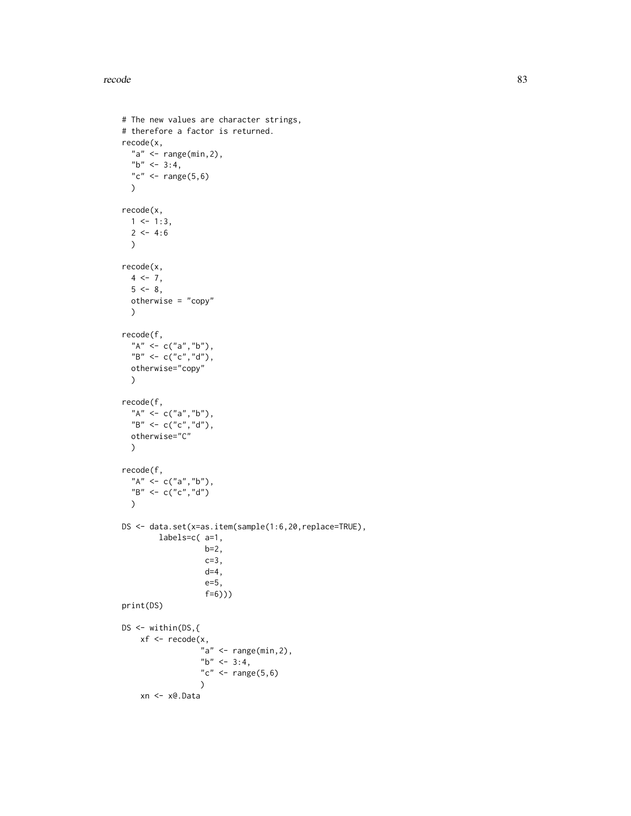```
# The new values are character strings,
# therefore a factor is returned.
recode(x,
  "a" \leq range(min, 2),
  "b" <- 3:4,
  "c" <- range(5,6))
recode(x,
  1 \le -1:3,
  2 < -4:6)
recode(x,
  4 < -7,
  5 < -8,
  otherwise = "copy"
  \mathcal{L}recode(f,
  "A'' <- c("a","b"),
  "B" <- c("c","d"),
  otherwise="copy"
  \mathcal{L}recode(f,
  "A" < -c("a", "b"),
   "B" <- c("c","d"),
   otherwise="C"
  )
recode(f,
  "A'' <- c("a","b"),
  "B" <- c("c","d")
  \mathcal{L}DS <- data.set(x=as.item(sample(1:6,20,replace=TRUE),
         labels=c( a=1,
                     b=2,
                     c=3,
                     d=4,
                     e=5,
                     f=6)))
print(DS)
DS \leftarrow \text{within}(\text{DS}, \{\}xf \leftarrow \text{recode}(x,"a" < - \text{range}(\text{min}, 2),"b" <- 3:4,
                    "c" <- range(5,6)
                    \mathcal{L}xn <- x@.Data
```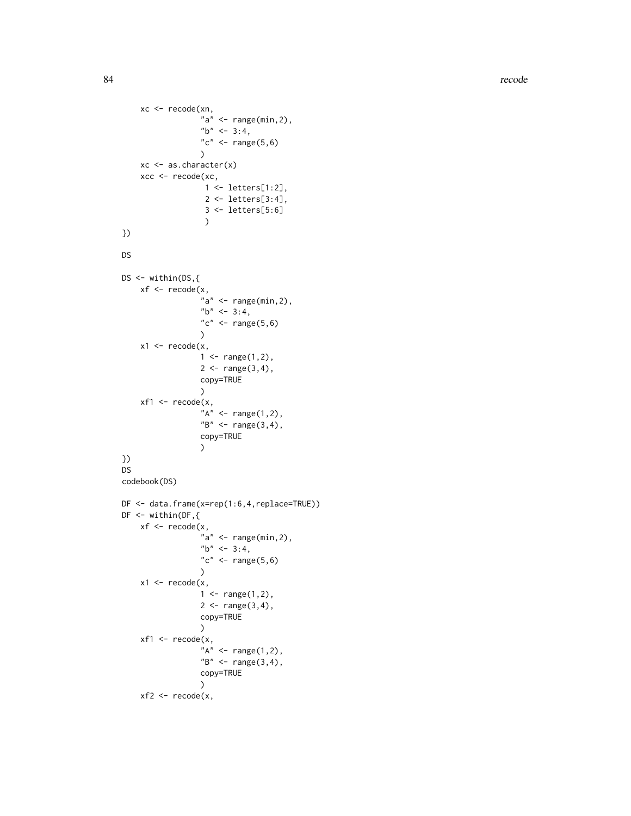```
xc <- recode(xn,
                   "a" < - \text{range}(\text{min}, 2),"b" <- 3:4,
                   "c" <- range(5, 6)
                   )
    xc <- as.character(x)
    xcc <- recode(xc,
                    1 <- letters[1:2],
                    2 <- letters[3:4],
                    3 <- letters[5:6] )
})
DS
DS \leftarrow \text{within}(\text{DS}, \{\}xf <- recode(x,
                   "a" \leq range(min, 2),
                   "b" <- 3:4,
                   "c" <- range(5, 6)\mathcal{L}x1 <- recode(x,
                   1 <- range(1,2),
                   2 < - range(3,4),
                   copy=TRUE )
    xf1 \leftarrow \text{recode}(x,"A" < - \text{range}(1,2),"B" < - \text{range}(3, 4),copy=TRUE )
})
DS
codebook(DS)
DF <- data.frame(x=rep(1:6,4,replace=TRUE))
DF < - within(DF,{
    xf <- recode(x,
                   "a" \leq range(min, 2),
                   "b" <- 3:4,
                   "c" <- range(5,6))
    x1 <- recode(x,
                   1 <- range(1,2),
                   2 < - range(3, 4),
                   copy=TRUE )
    xf1 <- recode(x,
                   "A" <- range(1,2),
                   "B" < - range(3, 4),copy=TRUE )
```

```
xf2 < - recode(x,
```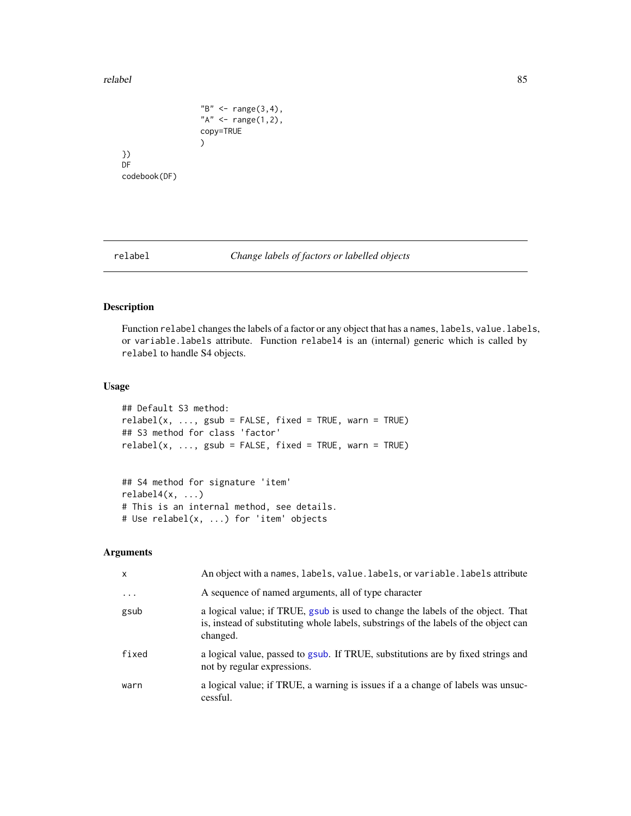#### relabel 85

}) DF

```
"B" <- range(3,4),
                   "A" < - \text{range}(1,2),copy=TRUE
                   )
codebook(DF)
```
relabel *Change labels of factors or labelled objects*

#### Description

Function relabel changes the labels of a factor or any object that has a names, labels, value.labels, or variable.labels attribute. Function relabel4 is an (internal) generic which is called by relabel to handle S4 objects.

### Usage

```
## Default S3 method:
relabel(x, ..., gsub = FALSE, fixed = TRUE, warn = TRUE)## S3 method for class 'factor'
relabel(x, ..., gsub = FALSE, fixed = TRUE, warn = TRUE)
```

```
## S4 method for signature 'item'
relabel4(x, ...)# This is an internal method, see details.
# Use relabel(x, ...) for 'item' objects
```

| X                    | An object with a names, labels, value. labels, or variable. labels attribute                                                                                                        |
|----------------------|-------------------------------------------------------------------------------------------------------------------------------------------------------------------------------------|
| $\sim$ $\sim$ $\sim$ | A sequence of named arguments, all of type character                                                                                                                                |
| gsub                 | a logical value; if TRUE, gsub is used to change the labels of the object. That<br>is, instead of substituting whole labels, substrings of the labels of the object can<br>changed. |
| fixed                | a logical value, passed to gsub. If TRUE, substitutions are by fixed strings and<br>not by regular expressions.                                                                     |
| warn                 | a logical value; if TRUE, a warning is issues if a a change of labels was unsuc-<br>cessful.                                                                                        |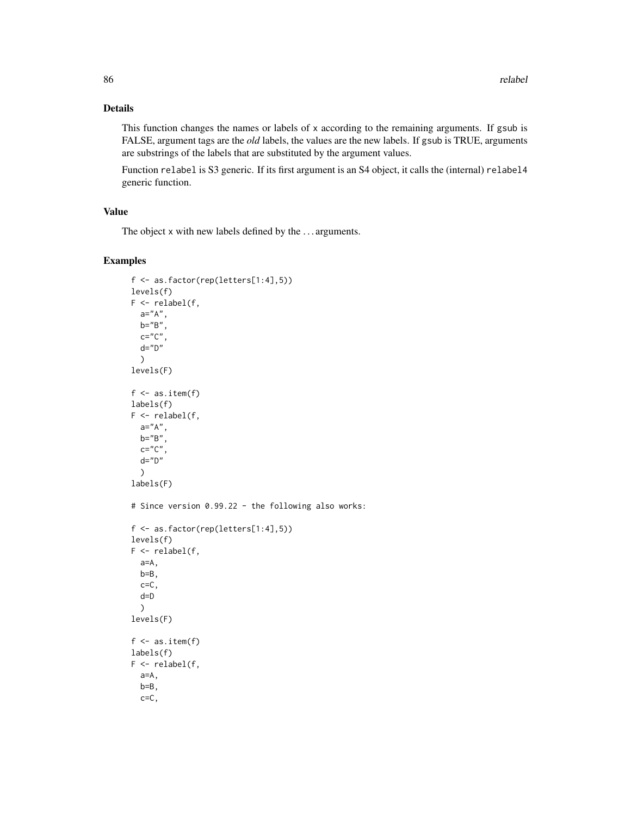# Details

This function changes the names or labels of x according to the remaining arguments. If gsub is FALSE, argument tags are the *old* labels, the values are the new labels. If gsub is TRUE, arguments are substrings of the labels that are substituted by the argument values.

Function relabel is S3 generic. If its first argument is an S4 object, it calls the (internal) relabel4 generic function.

# Value

The object x with new labels defined by the . . . arguments.

```
f <- as.factor(rep(letters[1:4],5))
levels(f)
F \leftarrow relabel(f,
  a="A",
  b="B",
  c="c"C"d="D"\lambdalevels(F)
f \leftarrow as.items.item(f)
labels(f)
F \leftarrow relabel(f,
  a="A",
  b="B",
  c="C"C",
  d="D"\lambdalabels(F)
# Since version 0.99.22 - the following also works:
f <- as.factor(rep(letters[1:4],5))
levels(f)
F \leftarrow relabel(f,
  a=A,
  b=B,
  c = C,
  d=D
  )
levels(F)
f \leftarrow as.items.item(f)
labels(f)
F \leftarrow relabel(f,
  a=A,
  b=B,
  c=C,
```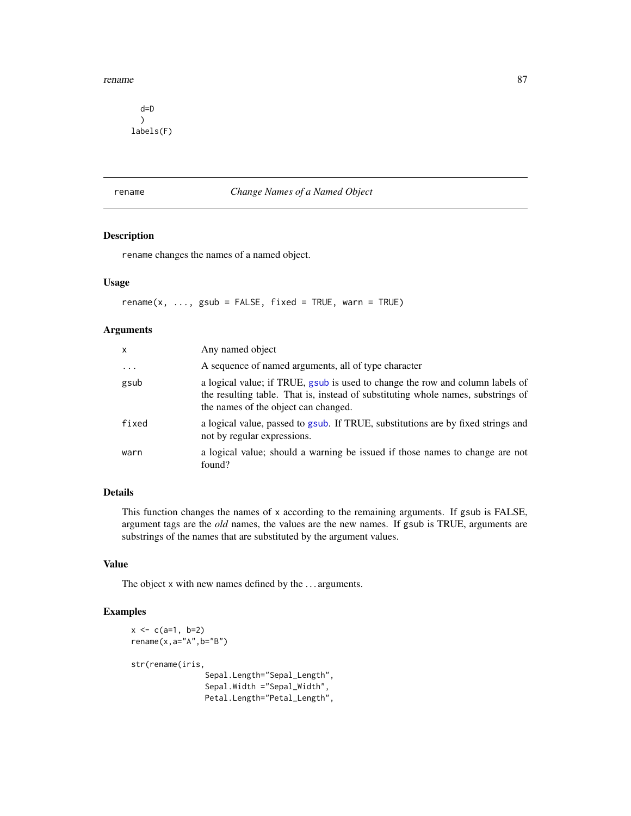#### rename 87

d=D  $\mathcal{L}$ labels(F)

### rename *Change Names of a Named Object*

# Description

rename changes the names of a named object.

# Usage

 $r$ ename(x, ..., gsub = FALSE, fixed = TRUE, warn = TRUE)

# Arguments

| x          | Any named object                                                                                                                                                                                          |
|------------|-----------------------------------------------------------------------------------------------------------------------------------------------------------------------------------------------------------|
| $\ddots$ . | A sequence of named arguments, all of type character                                                                                                                                                      |
| gsub       | a logical value; if TRUE, gsub is used to change the row and column labels of<br>the resulting table. That is, instead of substituting whole names, substrings of<br>the names of the object can changed. |
| fixed      | a logical value, passed to gsub. If TRUE, substitutions are by fixed strings and<br>not by regular expressions.                                                                                           |
| warn       | a logical value; should a warning be issued if those names to change are not<br>found?                                                                                                                    |

# Details

This function changes the names of x according to the remaining arguments. If gsub is FALSE, argument tags are the *old* names, the values are the new names. If gsub is TRUE, arguments are substrings of the names that are substituted by the argument values.

# Value

The object x with new names defined by the . . . arguments.

```
x < -c(a=1, b=2)rename(x, a="A", b="B")
str(rename(iris,
                Sepal.Length="Sepal_Length",
                Sepal.Width ="Sepal_Width",
                Petal.Length="Petal_Length",
```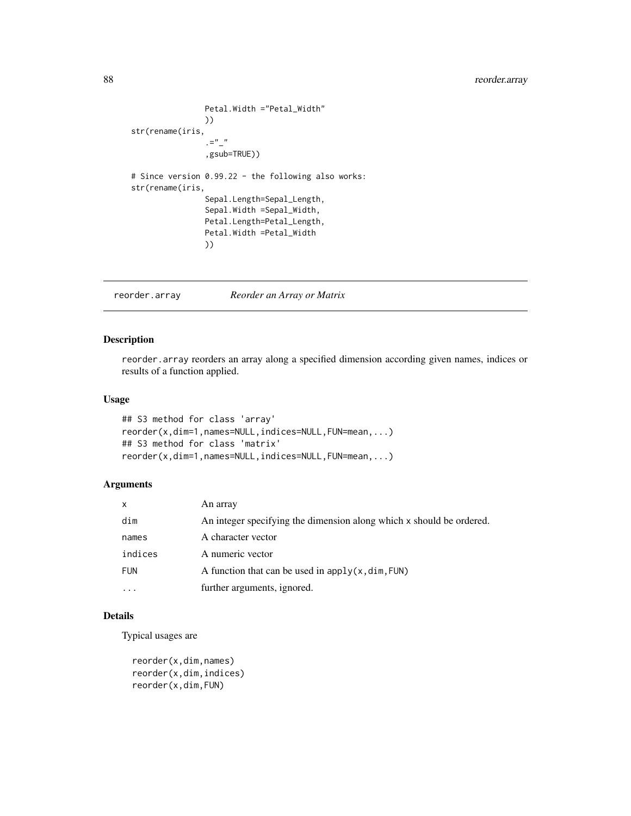# 88 reorder.array

```
Petal.Width ="Petal_Width"
                 ))
str(rename(iris,
                 =^{\frac{m}{n}},gsub=TRUE))
# Since version 0.99.22 - the following also works:
str(rename(iris,
                 Sepal.Length=Sepal_Length,
                 Sepal.Width =Sepal_Width,
                 Petal.Length=Petal_Length,
                Petal.Width =Petal_Width
                ))
```
reorder.array *Reorder an Array or Matrix*

# <span id="page-87-0"></span>Description

reorder.array reorders an array along a specified dimension according given names, indices or results of a function applied.

# Usage

```
## S3 method for class 'array'
reorder(x,dim=1,names=NULL,indices=NULL,FUN=mean,...)
## S3 method for class 'matrix'
reorder(x,dim=1,names=NULL,indices=NULL,FUN=mean,...)
```
### Arguments

| X          | An array                                                             |
|------------|----------------------------------------------------------------------|
| dim        | An integer specifying the dimension along which x should be ordered. |
| names      | A character vector                                                   |
| indices    | A numeric vector                                                     |
| <b>FUN</b> | A function that can be used in $apply(x, dim, FUN)$                  |
|            | further arguments, ignored.                                          |

# Details

Typical usages are

reorder(x,dim,names) reorder(x,dim,indices) reorder(x,dim,FUN)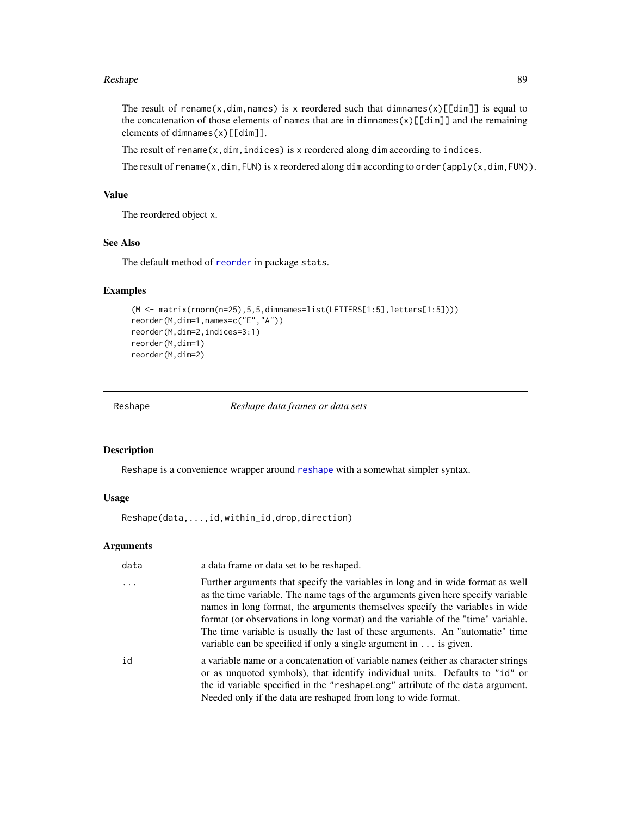#### Reshape 89

The result of rename(x,dim,names) is x reordered such that dimnames(x) $[\text{Idim}]$  is equal to the concatenation of those elements of names that are in dimnames $(x)[[dim]]$  and the remaining elements of dimnames $(x)[[dim]]$ .

The result of rename $(x, \text{dim}, \text{indices})$  is x reordered along dim according to indices.

The result of rename(x,dim,FUN) is x reordered along dim according to order(apply(x,dim,FUN)).

### Value

The reordered object x.

# See Also

The default method of [reorder](#page-87-0) in package stats.

# Examples

```
(M <- matrix(rnorm(n=25),5,5,dimnames=list(LETTERS[1:5],letters[1:5])))
reorder(M,dim=1,names=c("E","A"))
reorder(M,dim=2,indices=3:1)
reorder(M,dim=1)
reorder(M,dim=2)
```
Reshape *Reshape data frames or data sets*

#### Description

Reshape is a convenience wrapper around [reshape](#page-0-0) with a somewhat simpler syntax.

# Usage

Reshape(data,...,id,within\_id,drop,direction)

| data | a data frame or data set to be reshaped.                                                                                                                                                                                                                                                                                                                                                                                                                                                             |
|------|------------------------------------------------------------------------------------------------------------------------------------------------------------------------------------------------------------------------------------------------------------------------------------------------------------------------------------------------------------------------------------------------------------------------------------------------------------------------------------------------------|
| .    | Further arguments that specify the variables in long and in wide format as well<br>as the time variable. The name tags of the arguments given here specify variable<br>names in long format, the arguments themselves specify the variables in wide<br>format (or observations in long vormat) and the variable of the "time" variable.<br>The time variable is usually the last of these arguments. An "automatic" time<br>variable can be specified if only a single argument in $\dots$ is given. |
| id   | a variable name or a concatenation of variable names (either as character strings<br>or as unquoted symbols), that identify individual units. Defaults to "id" or<br>the id variable specified in the "reshapelong" attribute of the data argument.<br>Needed only if the data are reshaped from long to wide format.                                                                                                                                                                                |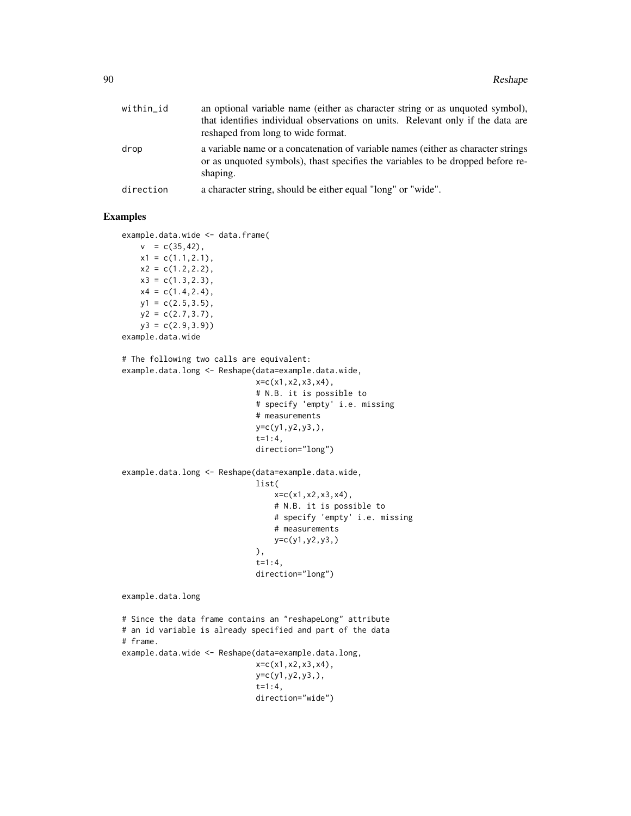| within_id | an optional variable name (either as character string or as unquoted symbol),<br>that identifies individual observations on units. Relevant only if the data are<br>reshaped from long to wide format. |
|-----------|--------------------------------------------------------------------------------------------------------------------------------------------------------------------------------------------------------|
| drop      | a variable name or a concatenation of variable names (either as character strings)<br>or as unquoted symbols), thast specifies the variables to be dropped before re-<br>shaping.                      |
| direction | a character string, should be either equal "long" or "wide".                                                                                                                                           |

```
example.data.wide <- data.frame(
   v = c(35, 42),
   x1 = c(1.1, 2.1),
   x2 = c(1.2, 2.2),
   x3 = c(1.3, 2.3),
   x4 = c(1.4, 2.4),
   y1 = c(2.5, 3.5),
   y2 = c(2.7, 3.7),
   y3 = c(2.9, 3.9)example.data.wide
# The following two calls are equivalent:
example.data.long <- Reshape(data=example.data.wide,
                             x=c(x1,x2,x3,x4),
                             # N.B. it is possible to
                             # specify 'empty' i.e. missing
                             # measurements
                             y=c(y1,y2,y3,),
                             t=1:4,
                             direction="long")
example.data.long <- Reshape(data=example.data.wide,
                             list(
                                 x = c(x1, x2, x3, x4),
                                 # N.B. it is possible to
                                 # specify 'empty' i.e. missing
                                 # measurements
                                 y=c(y1,y2,y3,)
                             ),
                             t=1:4,
                             direction="long")
example.data.long
# Since the data frame contains an "reshapeLong" attribute
# an id variable is already specified and part of the data
# frame.
example.data.wide <- Reshape(data=example.data.long,
                             x=c(x1,x2,x3,x4),
                             y=c(y1,y2,y3,),
                             t=1:4,
                             direction="wide")
```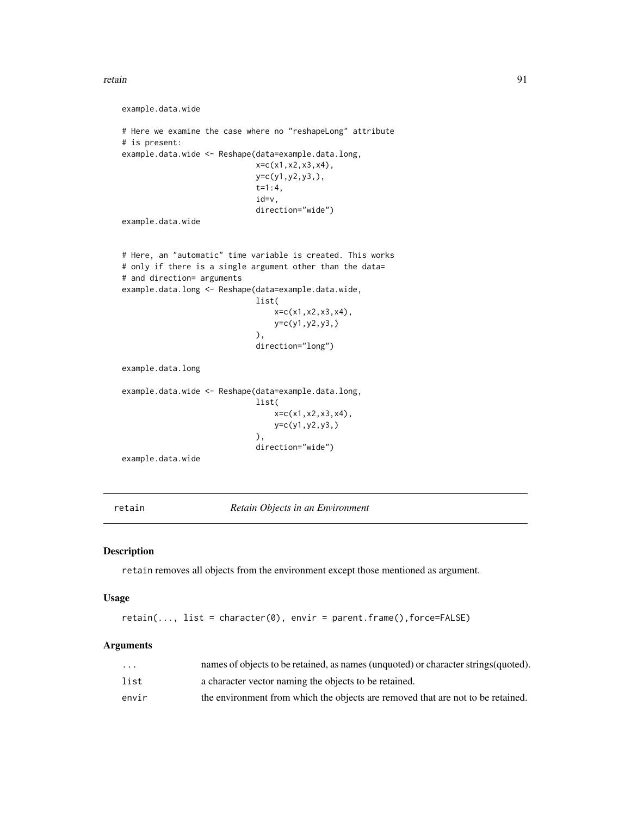```
retain 91
```

```
example.data.wide
# Here we examine the case where no "reshapeLong" attribute
# is present:
example.data.wide <- Reshape(data=example.data.long,
                             x=c(x1,x2,x3,x4),
                             y=c(y1,y2,y3,),
                             t=1:4,
                             id=v,
                             direction="wide")
example.data.wide
# Here, an "automatic" time variable is created. This works
# only if there is a single argument other than the data=
# and direction= arguments
example.data.long <- Reshape(data=example.data.wide,
                             list(
                                 x=c(x1,x2,x3,x4),
                                 y=c(y1,y2,y3,)
                             ),
                             direction="long")
example.data.long
example.data.wide <- Reshape(data=example.data.long,
                             list(
                                 x=c(x1,x2,x3,x4),
                                 y=c(y1,y2,y3,)
                             ),
                             direction="wide")
```
example.data.wide

retain *Retain Objects in an Environment*

### Description

retain removes all objects from the environment except those mentioned as argument.

#### Usage

```
retain(..., list = character(0), envir = parent.frame(),force=FALSE)
```

| $\cdot$ $\cdot$ $\cdot$ | names of objects to be retained, as names (unquoted) or character strings (quoted). |
|-------------------------|-------------------------------------------------------------------------------------|
| list                    | a character vector naming the objects to be retained.                               |
| envir                   | the environment from which the objects are removed that are not to be retained.     |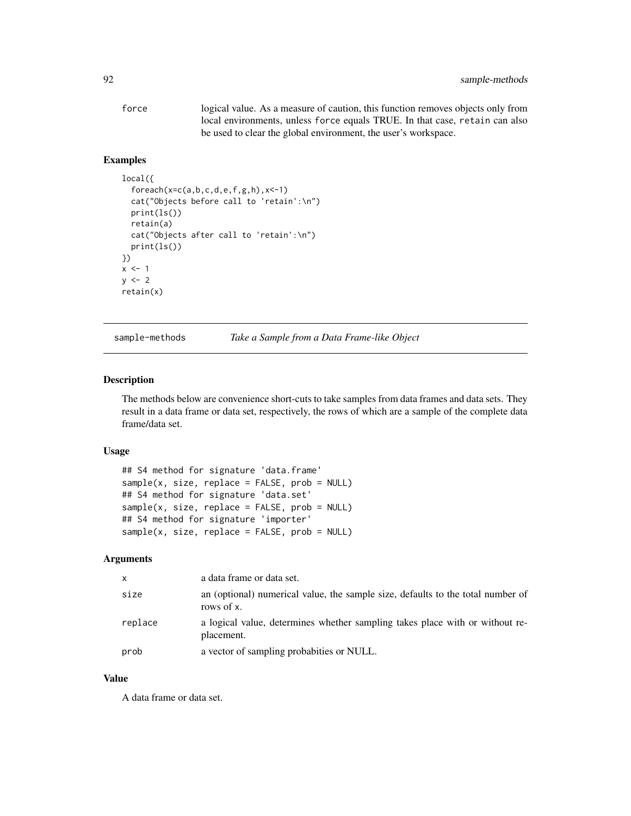| force | logical value. As a measure of caution, this function removes objects only from |
|-------|---------------------------------------------------------------------------------|
|       | local environments, unless force equals TRUE. In that case, retain can also     |
|       | be used to clear the global environment, the user's workspace.                  |

# Examples

```
local({
  foreach(x=c(a,b,c,d,e,f,g,h),x <-1)
  cat("Objects before call to 'retain':\n")
  print(ls())
  retain(a)
  cat("Objects after call to 'retain':\n")
  print(ls())
})
x < -1y \le -2retain(x)
```
sample-methods *Take a Sample from a Data Frame-like Object*

# Description

The methods below are convenience short-cuts to take samples from data frames and data sets. They result in a data frame or data set, respectively, the rows of which are a sample of the complete data frame/data set.

### Usage

```
## S4 method for signature 'data.frame'
sample(x, size, replace = FALSE, prob = NULL)
## S4 method for signature 'data.set'
sample(x, size, replace = FALSE, prob = NULL)
## S4 method for signature 'importer'
sample(x, size, replace = FALSE, prob = NULL)
```
#### Arguments

| X       | a data frame or data set.                                                                     |
|---------|-----------------------------------------------------------------------------------------------|
| size    | an (optional) numerical value, the sample size, defaults to the total number of<br>rows of x. |
| replace | a logical value, determines whether sampling takes place with or without re-<br>placement.    |
| prob    | a vector of sampling probabities or NULL.                                                     |

# Value

A data frame or data set.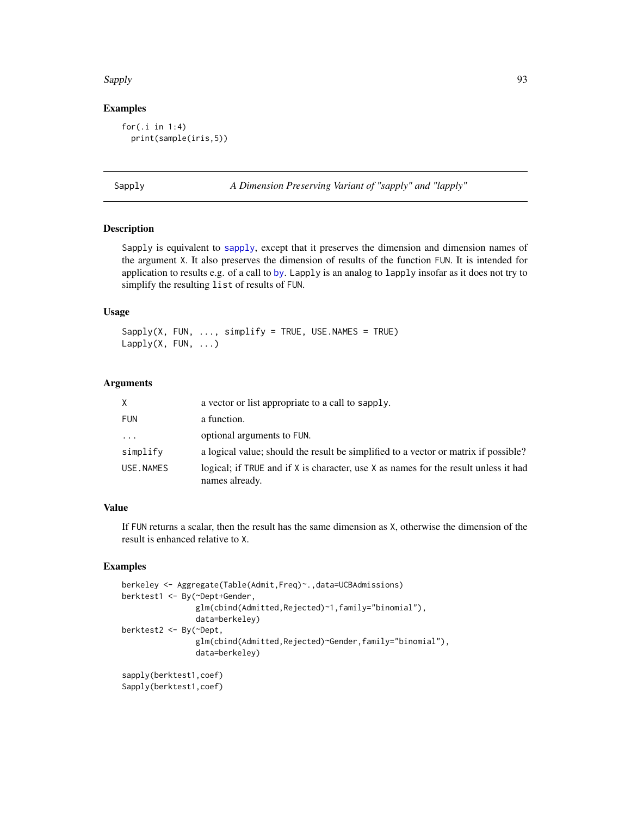#### Sapply 50 and 50 and 50 and 50 and 50 and 50 and 50 and 50 and 50 and 50 and 50 and 50 and 50 and 50 and 50 and 50 and 50 and 50 and 50 and 50 and 50 and 50 and 50 and 50 and 50 and 50 and 50 and 50 and 50 and 50 and 50 an

# Examples

```
for(.i in 1:4)
  print(sample(iris,5))
```
Sapply *A Dimension Preserving Variant of "sapply" and "lapply"*

### Description

Sapply is equivalent to [sapply](#page-0-0), except that it preserves the dimension and dimension names of the argument X. It also preserves the dimension of results of the function FUN. It is intended for application to results e.g. of a call to [by](#page-0-0). Lapply is an analog to lapply insofar as it does not try to simplify the resulting list of results of FUN.

# Usage

 $Sapply(X, FUN, ..., simply)$  simplify = TRUE, USE.NAMES = TRUE)  $Lapply(X, FUN, ...)$ 

### Arguments

| X.         | a vector or list appropriate to a call to sapply.                                                     |
|------------|-------------------------------------------------------------------------------------------------------|
| <b>FUN</b> | a function.                                                                                           |
| $\cdots$   | optional arguments to FUN.                                                                            |
| simplify   | a logical value; should the result be simplified to a vector or matrix if possible?                   |
| USE.NAMES  | logical; if TRUE and if X is character, use X as names for the result unless it had<br>names already. |

# Value

If FUN returns a scalar, then the result has the same dimension as X, otherwise the dimension of the result is enhanced relative to X.

```
berkeley <- Aggregate(Table(Admit,Freq)~.,data=UCBAdmissions)
berktest1 <- By(~Dept+Gender,
                glm(cbind(Admitted,Rejected)~1,family="binomial"),
                data=berkeley)
berktest2 <- By(~Dept,
                glm(cbind(Admitted,Rejected)~Gender,family="binomial"),
                data=berkeley)
sapply(berktest1,coef)
Sapply(berktest1,coef)
```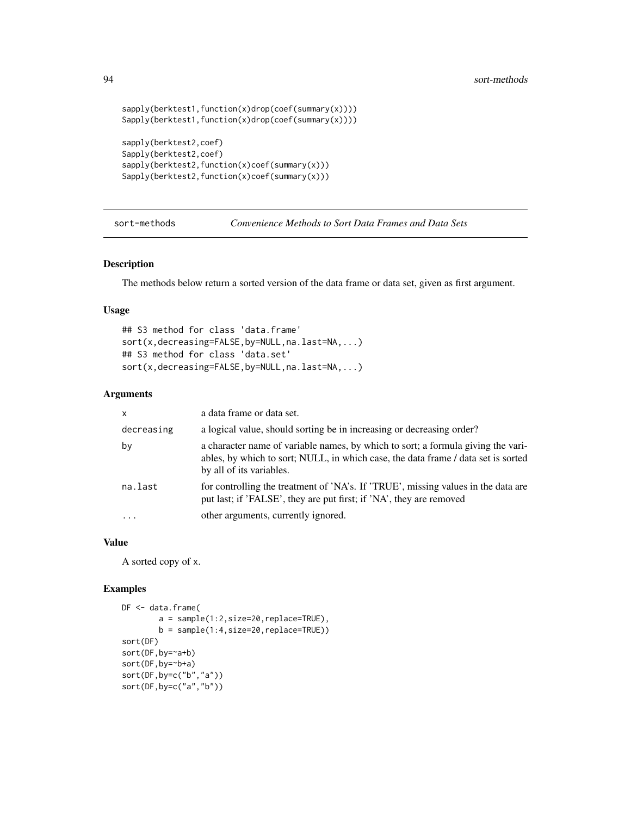```
sapply(berktest1,function(x)drop(coef(summary(x))))
Sapply(berktest1,function(x)drop(coef(summary(x))))
sapply(berktest2,coef)
Sapply(berktest2,coef)
sapply(berktest2,function(x)coef(summary(x)))
Sapply(berktest2,function(x)coef(summary(x)))
```
sort-methods *Convenience Methods to Sort Data Frames and Data Sets*

### Description

The methods below return a sorted version of the data frame or data set, given as first argument.

#### Usage

```
## S3 method for class 'data.frame'
sort(x,decreasing=FALSE,by=NULL,na.last=NA,...)
## S3 method for class 'data.set'
sort(x,decreasing=FALSE,by=NULL,na.last=NA,...)
```
#### Arguments

| X          | a data frame or data set.                                                                                                                                                                         |
|------------|---------------------------------------------------------------------------------------------------------------------------------------------------------------------------------------------------|
| decreasing | a logical value, should sorting be in increasing or decreasing order?                                                                                                                             |
| by         | a character name of variable names, by which to sort; a formula giving the vari-<br>ables, by which to sort; NULL, in which case, the data frame / data set is sorted<br>by all of its variables. |
| na.last    | for controlling the treatment of 'NA's. If 'TRUE', missing values in the data are<br>put last; if 'FALSE', they are put first; if 'NA', they are removed                                          |
|            | other arguments, currently ignored.                                                                                                                                                               |

### Value

A sorted copy of x.

```
DF <- data.frame(
       a = sample(1:2,size=20,replace=TRUE),
       b = sample(1:4,size=20,replace=TRUE))
sort(DF)
sort(DF,by=~a+b)
sort(DF,by=~b+a)
sort(DF,by=c("b","a"))
sort(DF,by=c("a","b"))
```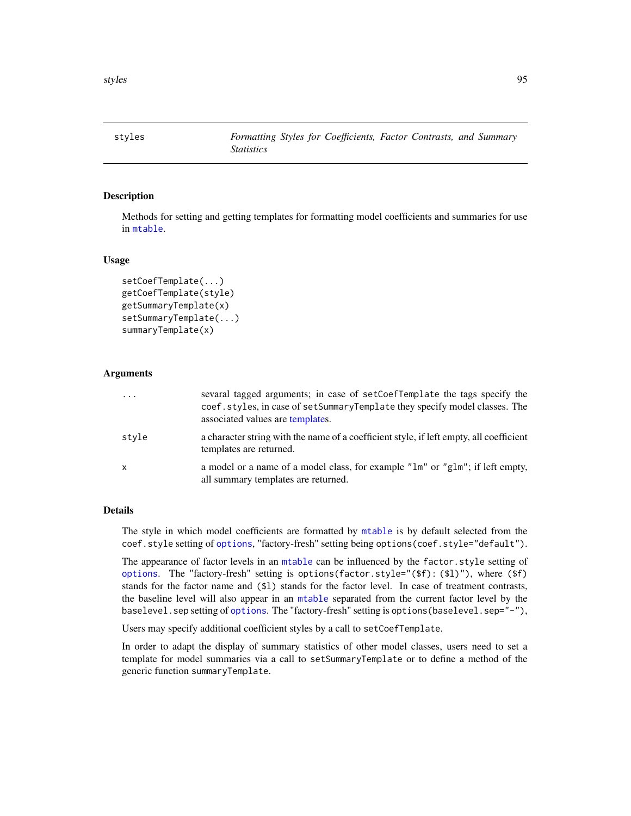styles *Formatting Styles for Coefficients, Factor Contrasts, and Summary Statistics*

### **Description**

Methods for setting and getting templates for formatting model coefficients and summaries for use in [mtable](#page-64-0).

### Usage

```
setCoefTemplate(...)
getCoefTemplate(style)
getSummaryTemplate(x)
setSummaryTemplate(...)
summaryTemplate(x)
```
# Arguments

| .     | sevaral tagged arguments; in case of setCoefTemplate the tags specify the<br>coef.styles, in case of setSummaryTemplate they specify model classes. The<br>associated values are templates. |
|-------|---------------------------------------------------------------------------------------------------------------------------------------------------------------------------------------------|
| stvle | a character string with the name of a coefficient style, if left empty, all coefficient<br>templates are returned.                                                                          |
| x     | a model or a name of a model class, for example "lm" or "glm"; if left empty,<br>all summary templates are returned.                                                                        |

### Details

The style in which model coefficients are formatted by [mtable](#page-64-0) is by default selected from the coef.style setting of [options](#page-0-0), "factory-fresh" setting being options(coef.style="default").

The appearance of factor levels in an [mtable](#page-64-0) can be influenced by the factor.style setting of [options](#page-0-0). The "factory-fresh" setting is options(factor.style="(\$f): (\$l)"), where (\$f) stands for the factor name and (\$l) stands for the factor level. In case of treatment contrasts, the baseline level will also appear in an [mtable](#page-64-0) separated from the current factor level by the baselevel.sep setting of [options](#page-0-0). The "factory-fresh" setting is options(baselevel.sep="-"),

Users may specify additional coefficient styles by a call to setCoefTemplate.

In order to adapt the display of summary statistics of other model classes, users need to set a template for model summaries via a call to setSummaryTemplate or to define a method of the generic function summaryTemplate.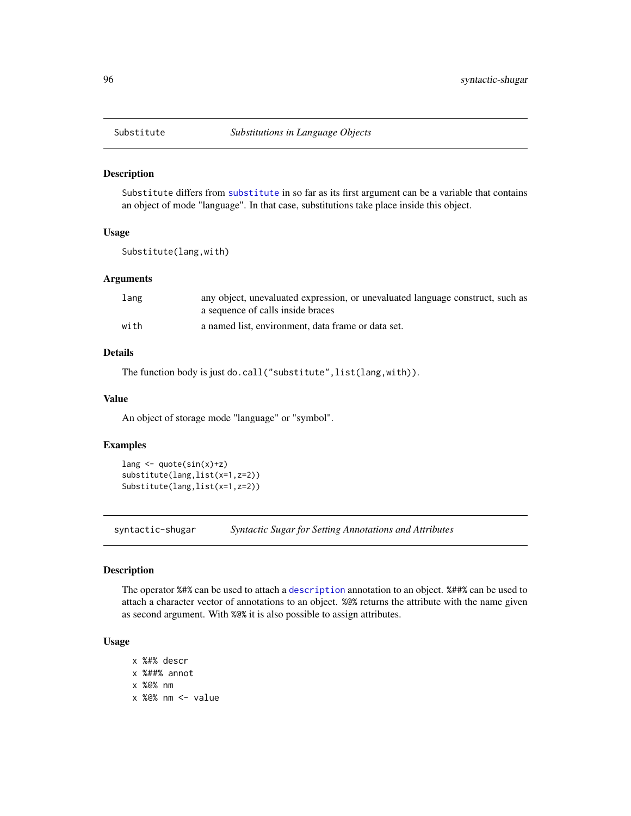Substitute differs from [substitute](#page-0-0) in so far as its first argument can be a variable that contains an object of mode "language". In that case, substitutions take place inside this object.

# Usage

Substitute(lang,with)

#### Arguments

| lang | any object, unevaluated expression, or unevaluated language construct, such as |
|------|--------------------------------------------------------------------------------|
|      | a sequence of calls inside braces                                              |
| with | a named list, environment, data frame or data set.                             |

# Details

The function body is just do.call("substitute", list(lang, with)).

### Value

An object of storage mode "language" or "symbol".

#### Examples

```
lang <- quote(sin(x)+z)
substitute(lang,list(x=1,z=2))
Substitute(lang,list(x=1,z=2))
```
syntactic-shugar *Syntactic Sugar for Setting Annotations and Attributes*

#### Description

The operator %#% can be used to attach a [description](#page-2-0) annotation to an object. %##% can be used to attach a character vector of annotations to an object. %@% returns the attribute with the name given as second argument. With %@% it is also possible to assign attributes.

### Usage

- x %#% descr x %##% annot
- x %@% nm
- x %@% nm <- value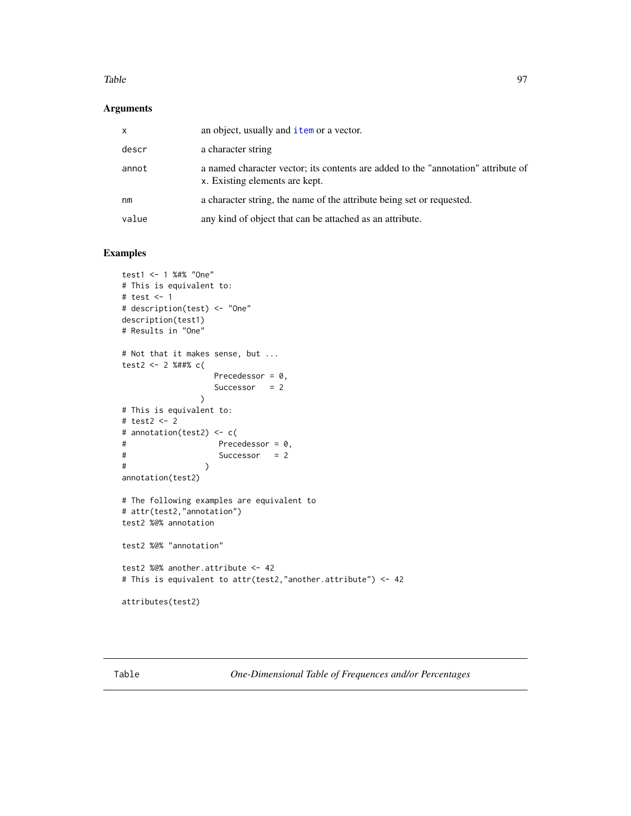#### Table 97

# Arguments

| x     | an object, usually and <i>i</i> tem or a vector.                                                                    |
|-------|---------------------------------------------------------------------------------------------------------------------|
| descr | a character string                                                                                                  |
| annot | a named character vector; its contents are added to the "annotation" attribute of<br>x. Existing elements are kept. |
| nm    | a character string, the name of the attribute being set or requested.                                               |
| value | any kind of object that can be attached as an attribute.                                                            |

```
test1 <- 1 %#% "One"
# This is equivalent to:
# test <- 1
# description(test) <- "One"
description(test1)
# Results in "One"
# Not that it makes sense, but ...
test2 <- 2 %##% c(
                  Precedessor = 0,
                  Successor = 2
               )
# This is equivalent to:
# test2 <- 2
# annotation(test2) <- c(
# Precedessor = 0,
# Successor = 2
\# )
annotation(test2)
# The following examples are equivalent to
# attr(test2,"annotation")
test2 %@% annotation
test2 %@% "annotation"
test2 %@% another.attribute <- 42
# This is equivalent to attr(test2,"another.attribute") <- 42
attributes(test2)
```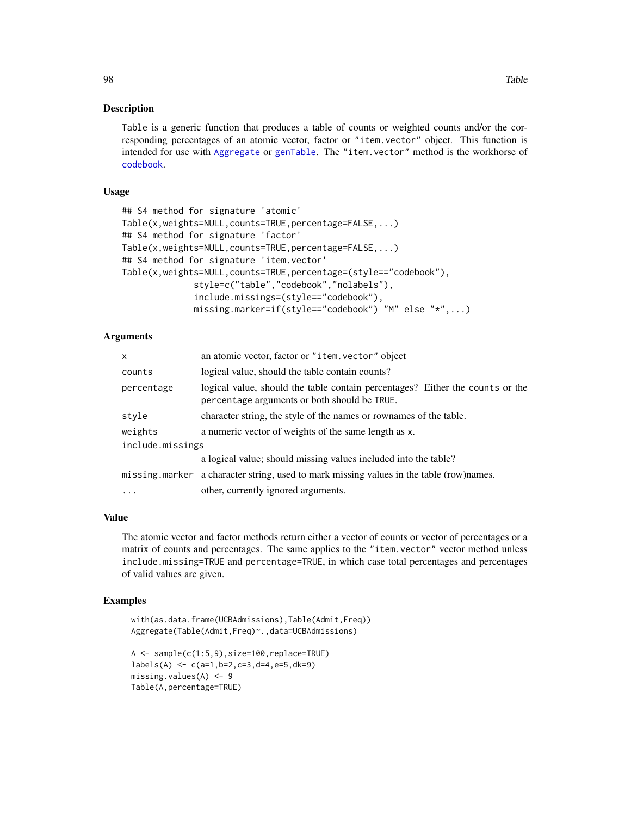Table is a generic function that produces a table of counts or weighted counts and/or the corresponding percentages of an atomic vector, factor or "item.vector" object. This function is intended for use with [Aggregate](#page-34-0) or [genTable](#page-34-1). The "item.vector" method is the workhorse of [codebook](#page-9-0).

# Usage

```
## S4 method for signature 'atomic'
Table(x,weights=NULL,counts=TRUE,percentage=FALSE,...)
## S4 method for signature 'factor'
Table(x,weights=NULL,counts=TRUE,percentage=FALSE,...)
## S4 method for signature 'item.vector'
Table(x,weights=NULL,counts=TRUE,percentage=(style=="codebook"),
              style=c("table","codebook","nolabels"),
              include.missings=(style=="codebook"),
              missing.marker=if(style=="codebook") "M" else "*",...)
```
### Arguments

| x                | an atomic vector, factor or "item. vector" object                                                                             |
|------------------|-------------------------------------------------------------------------------------------------------------------------------|
| counts           | logical value, should the table contain counts?                                                                               |
| percentage       | logical value, should the table contain percentages? Either the counts or the<br>percentage arguments or both should be TRUE. |
| style            | character string, the style of the names or rownames of the table.                                                            |
| weights          | a numeric vector of weights of the same length as x.                                                                          |
| include.missings |                                                                                                                               |
|                  | a logical value; should missing values included into the table?                                                               |
|                  | missing marker a character string, used to mark missing values in the table (row)names.                                       |
| $\ddots$         | other, currently ignored arguments.                                                                                           |
|                  |                                                                                                                               |

# Value

The atomic vector and factor methods return either a vector of counts or vector of percentages or a matrix of counts and percentages. The same applies to the "item.vector" vector method unless include.missing=TRUE and percentage=TRUE, in which case total percentages and percentages of valid values are given.

```
with(as.data.frame(UCBAdmissions),Table(Admit,Freq))
Aggregate(Table(Admit,Freq)~.,data=UCBAdmissions)
A <- sample(c(1:5,9),size=100,replace=TRUE)
labels(A) <- c(a=1,b=2,c=3,d=4,e=5,dk=9)
missing.values(A) <- 9
Table(A,percentage=TRUE)
```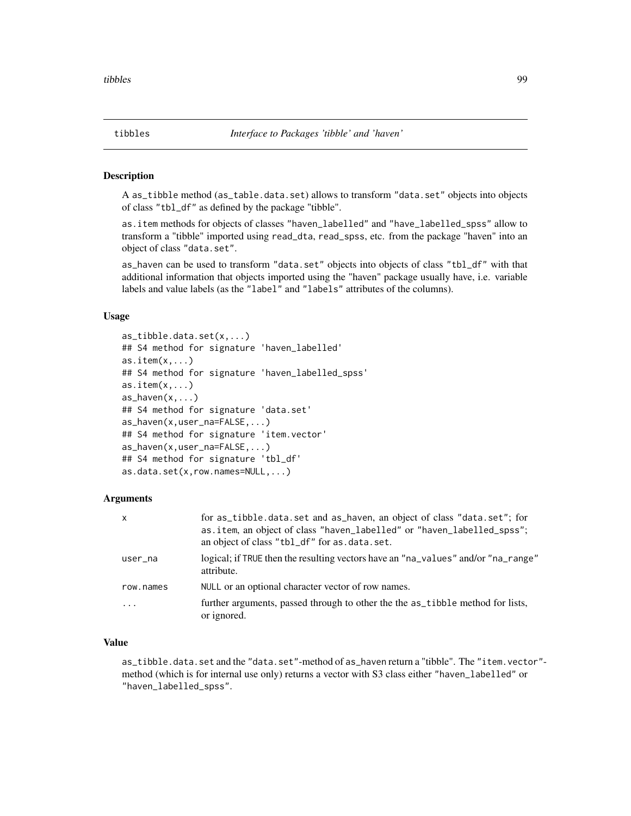A as\_tibble method (as\_table.data.set) allows to transform "data.set" objects into objects of class "tbl\_df" as defined by the package "tibble".

as.item methods for objects of classes "haven\_labelled" and "have\_labelled\_spss" allow to transform a "tibble" imported using read\_dta, read\_spss, etc. from the package "haven" into an object of class "data.set".

as\_haven can be used to transform "data.set" objects into objects of class "tbl\_df" with that additional information that objects imported using the "haven" package usually have, i.e. variable labels and value labels (as the "label" and "labels" attributes of the columns).

# Usage

```
as_tibble.data.set(x,...)
## S4 method for signature 'haven_labelled'
as.item(x,...)
## S4 method for signature 'haven_labelled_spss'
as.item(x,...)
as\_haven(x, \ldots)## S4 method for signature 'data.set'
as_haven(x,user_na=FALSE,...)
## S4 method for signature 'item.vector'
as_haven(x,user_na=FALSE,...)
## S4 method for signature 'tbl_df'
as.data.set(x,row.names=NULL,...)
```
# Arguments

| X                 | for as_tibble.data.set and as_haven, an object of class "data.set"; for<br>as.item, an object of class "haven_labelled" or "haven_labelled_spss";<br>an object of class "tbl_df" for as.data.set. |
|-------------------|---------------------------------------------------------------------------------------------------------------------------------------------------------------------------------------------------|
| user_na           | logical; if TRUE then the resulting vectors have an "na_values" and/or "na_range"<br>attribute.                                                                                                   |
| row.names         | NULL or an optional character vector of row names.                                                                                                                                                |
| $\cdot\cdot\cdot$ | further arguments, passed through to other the the as_tibble method for lists,<br>or ignored.                                                                                                     |

### Value

as\_tibble.data.set and the "data.set"-method of as\_haven return a "tibble". The "item.vector" method (which is for internal use only) returns a vector with S3 class either "haven\_labelled" or "haven\_labelled\_spss".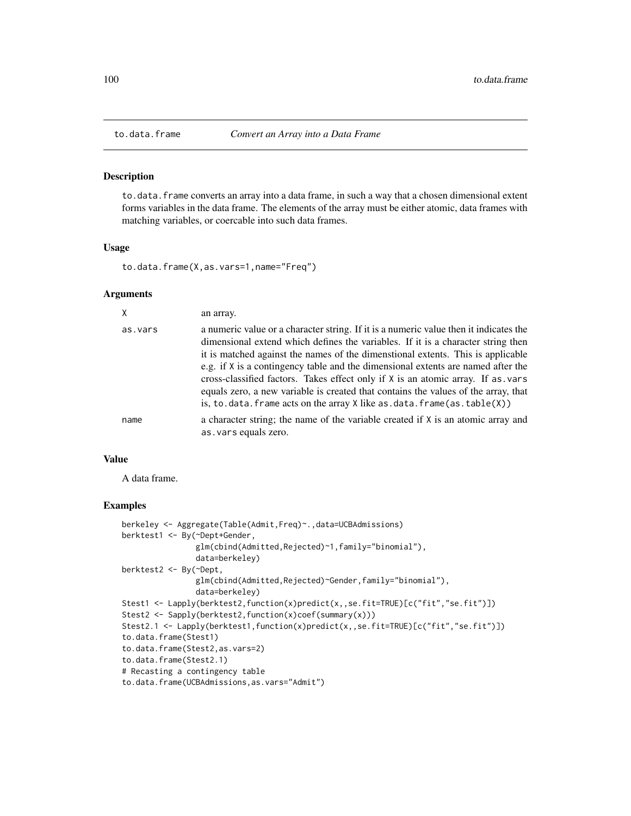to.data.frame converts an array into a data frame, in such a way that a chosen dimensional extent forms variables in the data frame. The elements of the array must be either atomic, data frames with matching variables, or coercable into such data frames.

#### Usage

```
to.data.frame(X,as.vars=1,name="Freq")
```
# Arguments

|         | an array.                                                                                                                                                                                                                                                                                                                                                                                                                                                                                                                                                                                                       |
|---------|-----------------------------------------------------------------------------------------------------------------------------------------------------------------------------------------------------------------------------------------------------------------------------------------------------------------------------------------------------------------------------------------------------------------------------------------------------------------------------------------------------------------------------------------------------------------------------------------------------------------|
| as.vars | a numeric value or a character string. If it is a numeric value then it indicates the<br>dimensional extend which defines the variables. If it is a character string then<br>it is matched against the names of the dimenstional extents. This is applicable<br>e.g. if X is a contingency table and the dimensional extents are named after the<br>cross-classified factors. Takes effect only if $X$ is an atomic array. If as vars<br>equals zero, a new variable is created that contains the values of the array, that<br>is, to data. frame acts on the array $X$ like as $data$ . frame(as $stable(X)$ ) |
| name    | a character string; the name of the variable created if X is an atomic array and<br>as. vars equals zero.                                                                                                                                                                                                                                                                                                                                                                                                                                                                                                       |

#### Value

A data frame.

```
berkeley <- Aggregate(Table(Admit,Freq)~.,data=UCBAdmissions)
berktest1 <- By(~Dept+Gender,
                glm(cbind(Admitted,Rejected)~1,family="binomial"),
                data=berkeley)
berktest2 <- By(~Dept,
                glm(cbind(Admitted,Rejected)~Gender,family="binomial"),
                data=berkeley)
Stest1 <- Lapply(berktest2,function(x)predict(x,,se.fit=TRUE)[c("fit","se.fit")])
Stest2 <- Sapply(berktest2, function(x)coef(summary(x)))
Stest2.1 <- Lapply(berktest1,function(x)predict(x,,se.fit=TRUE)[c("fit","se.fit")])
to.data.frame(Stest1)
to.data.frame(Stest2,as.vars=2)
to.data.frame(Stest2.1)
# Recasting a contingency table
to.data.frame(UCBAdmissions,as.vars="Admit")
```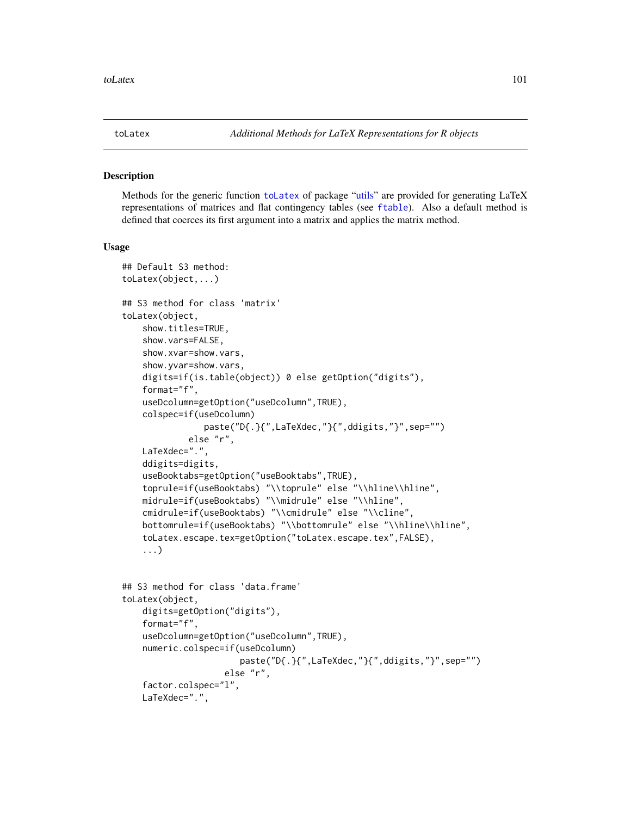<span id="page-100-0"></span>

Methods for the generic function [toLatex](#page-100-0) of package ["utils"](#page-0-0) are provided for generating LaTeX representations of matrices and flat contingency tables (see [ftable](#page-0-0)). Also a default method is defined that coerces its first argument into a matrix and applies the matrix method.

#### Usage

```
## Default S3 method:
toLatex(object,...)
## S3 method for class 'matrix'
toLatex(object,
    show.titles=TRUE,
    show.vars=FALSE,
    show.xvar=show.vars,
    show.yvar=show.vars,
    digits=if(is.table(object)) 0 else getOption("digits"),
    format="f",
    useDcolumn=getOption("useDcolumn",TRUE),
    colspec=if(useDcolumn)
                paste("D{.}{",LaTeXdec,"}{",ddigits,"}",sep="")
             else "r",
    LaTeXdec=".",
    ddigits=digits,
    useBooktabs=getOption("useBooktabs",TRUE),
    toprule=if(useBooktabs) "\\toprule" else "\\hline\\hline",
    midrule=if(useBooktabs) "\\midrule" else "\\hline",
    cmidrule=if(useBooktabs) "\\cmidrule" else "\\cline",
    bottomrule=if(useBooktabs) "\\bottomrule" else "\\hline\\hline",
    toLatex.escape.tex=getOption("toLatex.escape.tex",FALSE),
    ...)
## S3 method for class 'data.frame'
```

```
toLatex(object,
    digits=getOption("digits"),
    format="f",
    useDcolumn=getOption("useDcolumn",TRUE),
    numeric.colspec=if(useDcolumn)
                       paste("D{.}{",LaTeXdec,"}{",ddigits,"}",sep="")
                    else "r",
    factor.colspec="l",
   LaTeXdec=".",
```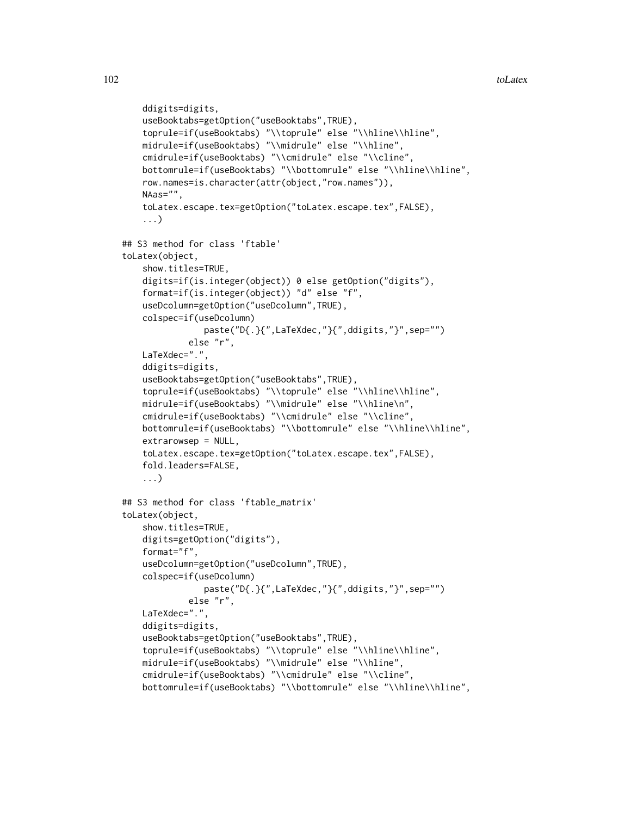```
ddigits=digits,
   useBooktabs=getOption("useBooktabs",TRUE),
   toprule=if(useBooktabs) "\\toprule" else "\\hline\\hline",
   midrule=if(useBooktabs) "\\midrule" else "\\hline",
   cmidrule=if(useBooktabs) "\\cmidrule" else "\\cline",
   bottomrule=if(useBooktabs) "\\bottomrule" else "\\hline\\hline",
   row.names=is.character(attr(object,"row.names")),
   NAas="",
   toLatex.escape.tex=getOption("toLatex.escape.tex",FALSE),
    ...)
## S3 method for class 'ftable'
toLatex(object,
   show.titles=TRUE,
   digits=if(is.integer(object)) 0 else getOption("digits"),
   format=if(is.integer(object)) "d" else "f",
   useDcolumn=getOption("useDcolumn",TRUE),
   colspec=if(useDcolumn)
                paste("D{.}{",LaTeXdec,"}{",ddigits,"}",sep="")
             else "r",
   LaTeXdec=".",
   ddigits=digits,
   useBooktabs=getOption("useBooktabs",TRUE),
   toprule=if(useBooktabs) "\\toprule" else "\\hline\\hline",
   midrule=if(useBooktabs) "\\midrule" else "\\hline\n",
   cmidrule=if(useBooktabs) "\\cmidrule" else "\\cline",
   bottomrule=if(useBooktabs) "\\bottomrule" else "\\hline\\hline",
   extrarowsep = NULL,
   toLatex.escape.tex=getOption("toLatex.escape.tex",FALSE),
   fold.leaders=FALSE,
    ...)
## S3 method for class 'ftable_matrix'
toLatex(object,
   show.titles=TRUE,
   digits=getOption("digits"),
   format="f",
   useDcolumn=getOption("useDcolumn",TRUE),
   colspec=if(useDcolumn)
               paste("D{.}{",LaTeXdec,"}{",ddigits,"}",sep="")
             else "r",
   LaTeXdec=".",
   ddigits=digits,
   useBooktabs=getOption("useBooktabs",TRUE),
   toprule=if(useBooktabs) "\\toprule" else "\\hline\\hline",
   midrule=if(useBooktabs) "\\midrule" else "\\hline",
   cmidrule=if(useBooktabs) "\\cmidrule" else "\\cline",
   bottomrule=if(useBooktabs) "\\bottomrule" else "\\hline\\hline",
```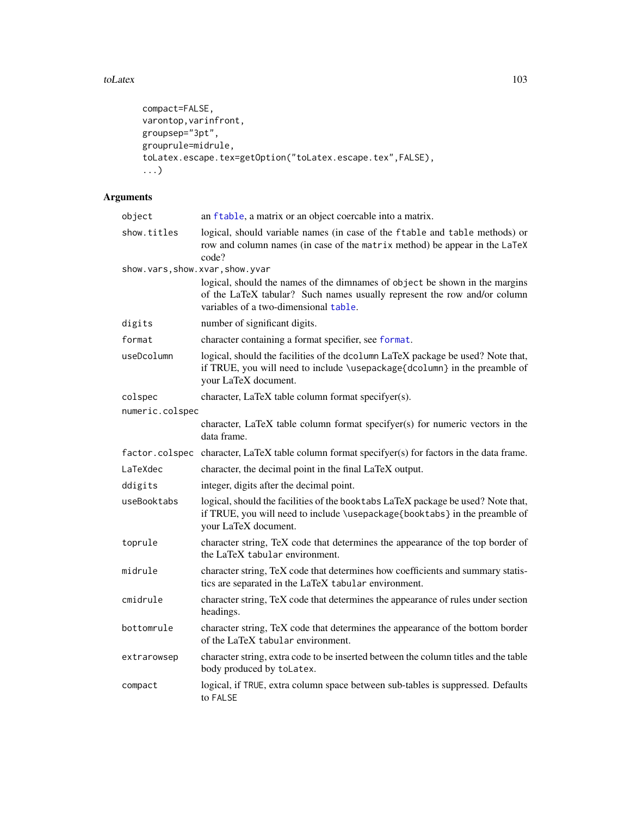#### toLatex 103

```
compact=FALSE,
varontop,varinfront,
groupsep="3pt",
grouprule=midrule,
toLatex.escape.tex=getOption("toLatex.escape.tex",FALSE),
...)
```

| object                          | an ftable, a matrix or an object coercable into a matrix.                                                                                                                                        |
|---------------------------------|--------------------------------------------------------------------------------------------------------------------------------------------------------------------------------------------------|
| show.titles                     | logical, should variable names (in case of the ftable and table methods) or<br>row and column names (in case of the matrix method) be appear in the LaTeX<br>code?                               |
| show.vars, show.xvar, show.yvar |                                                                                                                                                                                                  |
|                                 | logical, should the names of the dimnames of object be shown in the margins<br>of the LaTeX tabular? Such names usually represent the row and/or column<br>variables of a two-dimensional table. |
| digits                          | number of significant digits.                                                                                                                                                                    |
| format                          | character containing a format specifier, see format.                                                                                                                                             |
| useDcolumn                      | logical, should the facilities of the dcolumn LaTeX package be used? Note that,<br>if TRUE, you will need to include \usepackage{dcolumn} in the preamble of<br>your LaTeX document.             |
| colspec                         | character, LaTeX table column format specifyer(s).                                                                                                                                               |
| numeric.colspec                 |                                                                                                                                                                                                  |
|                                 | character, LaTeX table column format specifyer(s) for numeric vectors in the<br>data frame.                                                                                                      |
|                                 | factor.colspec character, LaTeX table column format specifyer(s) for factors in the data frame.                                                                                                  |
| LaTeXdec                        | character, the decimal point in the final LaTeX output.                                                                                                                                          |
| ddigits                         | integer, digits after the decimal point.                                                                                                                                                         |
| useBooktabs                     | logical, should the facilities of the booktabs LaTeX package be used? Note that,<br>if TRUE, you will need to include \usepackage{booktabs} in the preamble of<br>your LaTeX document.           |
| toprule                         | character string, TeX code that determines the appearance of the top border of<br>the LaTeX tabular environment.                                                                                 |
| midrule                         | character string, TeX code that determines how coefficients and summary statis-<br>tics are separated in the LaTeX tabular environment.                                                          |
| cmidrule                        | character string, TeX code that determines the appearance of rules under section<br>headings.                                                                                                    |
| bottomrule                      | character string, TeX code that determines the appearance of the bottom border<br>of the LaTeX tabular environment.                                                                              |
| extrarowsep                     | character string, extra code to be inserted between the column titles and the table<br>body produced by toLatex.                                                                                 |
| compact                         | logical, if TRUE, extra column space between sub-tables is suppressed. Defaults<br>to FALSE                                                                                                      |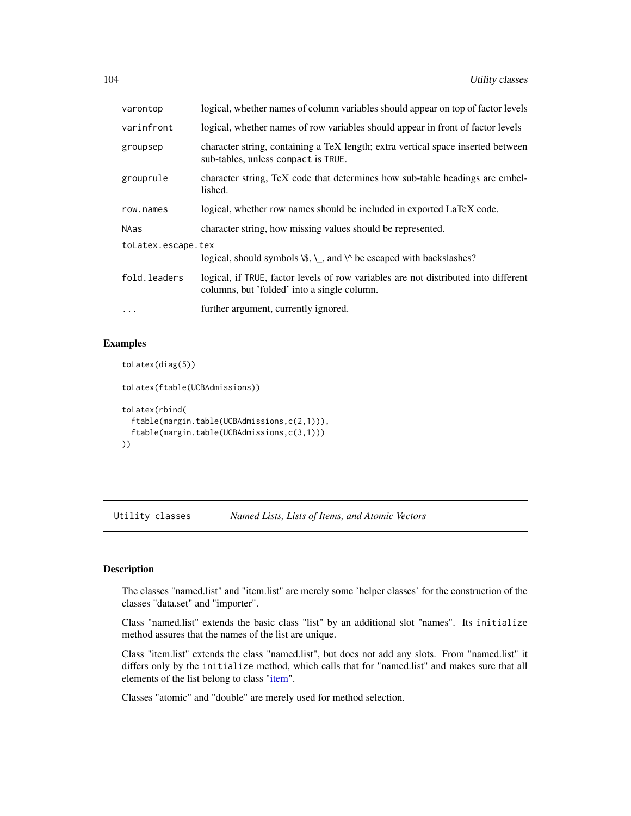| varontop           | logical, whether names of column variables should appear on top of factor levels                                                   |  |
|--------------------|------------------------------------------------------------------------------------------------------------------------------------|--|
| varinfront         | logical, whether names of row variables should appear in front of factor levels                                                    |  |
| groupsep           | character string, containing a TeX length; extra vertical space inserted between<br>sub-tables, unless compact is TRUE.            |  |
| grouprule          | character string, TeX code that determines how sub-table headings are embel-<br>lished.                                            |  |
| row.names          | logical, whether row names should be included in exported LaTeX code.                                                              |  |
| NAas               | character string, how missing values should be represented.                                                                        |  |
| toLatex.escape.tex |                                                                                                                                    |  |
|                    | logical, should symbols $\mathcal{S}, \mathcal{S}, \mathcal{S}$ and $\mathcal{S}$ be escaped with backslashes?                     |  |
| fold.leaders       | logical, if TRUE, factor levels of row variables are not distributed into different<br>columns, but 'folded' into a single column. |  |
| $\cdots$           | further argument, currently ignored.                                                                                               |  |

# Examples

```
toLatex(diag(5))
toLatex(ftable(UCBAdmissions))
toLatex(rbind(
 ftable(margin.table(UCBAdmissions,c(2,1))),
 ftable(margin.table(UCBAdmissions,c(3,1)))
))
```
Utility classes *Named Lists, Lists of Items, and Atomic Vectors*

# Description

The classes "named.list" and "item.list" are merely some 'helper classes' for the construction of the classes "data.set" and "importer".

Class "named.list" extends the basic class "list" by an additional slot "names". Its initialize method assures that the names of the list are unique.

Class "item.list" extends the class "named.list", but does not add any slots. From "named.list" it differs only by the initialize method, which calls that for "named.list" and makes sure that all elements of the list belong to class ["item"](#page-50-0).

Classes "atomic" and "double" are merely used for method selection.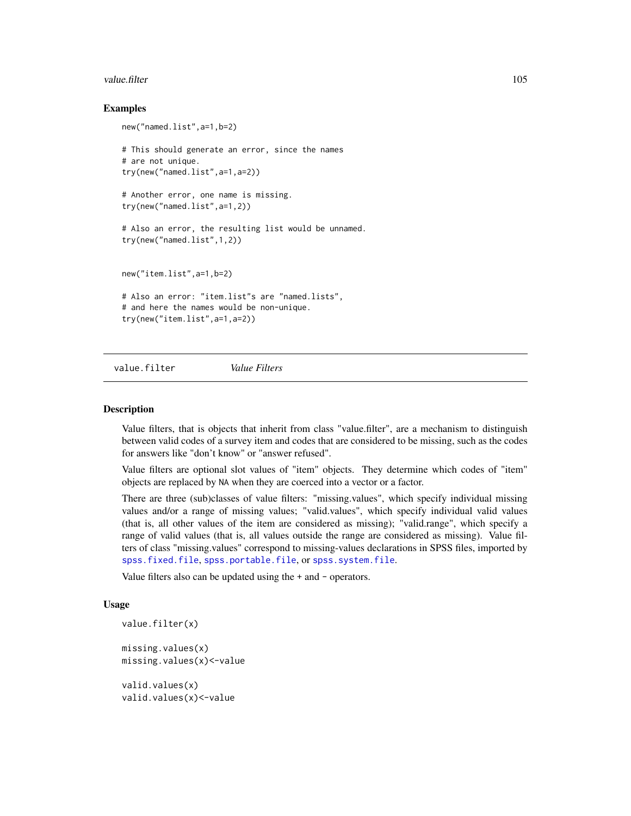#### value.filter 105

### Examples

```
new("named.list",a=1,b=2)
# This should generate an error, since the names
# are not unique.
try(new("named.list",a=1,a=2))
# Another error, one name is missing.
try(new("named.list",a=1,2))
# Also an error, the resulting list would be unnamed.
try(new("named.list",1,2))
new("item.list",a=1,b=2)
# Also an error: "item.list"s are "named.lists",
# and here the names would be non-unique.
try(new("item.list",a=1,a=2))
```
value.filter *Value Filters*

#### **Description**

Value filters, that is objects that inherit from class "value.filter", are a mechanism to distinguish between valid codes of a survey item and codes that are considered to be missing, such as the codes for answers like "don't know" or "answer refused".

Value filters are optional slot values of "item" objects. They determine which codes of "item" objects are replaced by NA when they are coerced into a vector or a factor.

There are three (sub)classes of value filters: "missing.values", which specify individual missing values and/or a range of missing values; "valid.values", which specify individual valid values (that is, all other values of the item are considered as missing); "valid.range", which specify a range of valid values (that is, all values outside the range are considered as missing). Value filters of class "missing.values" correspond to missing-values declarations in SPSS files, imported by [spss.fixed.file](#page-46-0), [spss.portable.file](#page-46-0), or [spss.system.file](#page-46-0).

Value filters also can be updated using the + and - operators.

#### Usage

```
value.filter(x)
```
missing.values(x) missing.values(x)<-value

valid.values(x) valid.values(x)<-value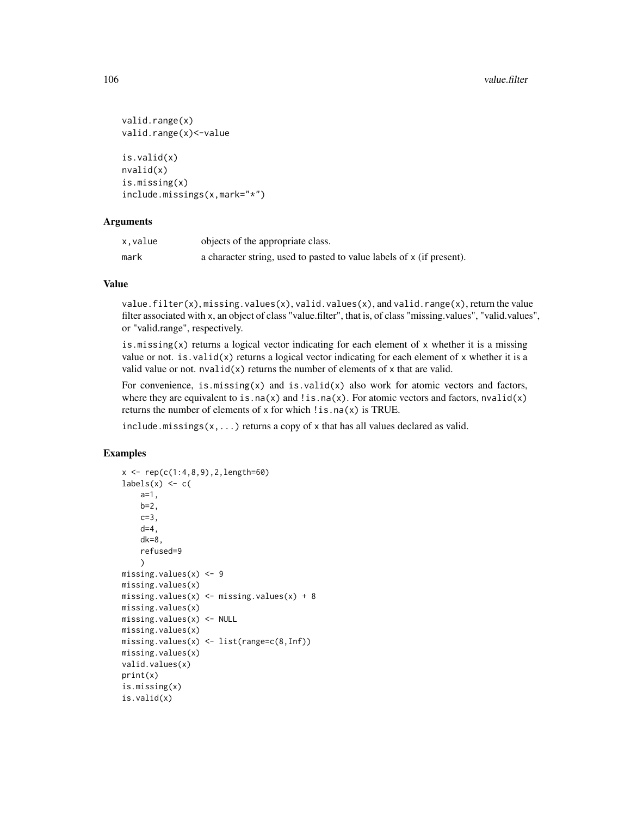```
valid.range(x)
valid.range(x)<-value
is.valid(x)
nvalid(x)
is.missing(x)
include.missings(x,mark="*")
```
### Arguments

| x.value | objects of the appropriate class.                                     |
|---------|-----------------------------------------------------------------------|
| mark    | a character string, used to pasted to value labels of x (if present). |

# Value

value.filter(x), missing.values(x), valid.values(x), and valid.range(x), return the value filter associated with x, an object of class "value.filter", that is, of class "missing.values", "valid.values", or "valid.range", respectively.

is.missing $(x)$  returns a logical vector indicating for each element of x whether it is a missing value or not. is.valid(x) returns a logical vector indicating for each element of x whether it is a valid value or not.  $n$ valid $(x)$  returns the number of elements of x that are valid.

For convenience, is.missing(x) and is.valid(x) also work for atomic vectors and factors, where they are equivalent to is.na(x) and !is.na(x). For atomic vectors and factors, nvalid(x) returns the number of elements of x for which  $\text{!}$  is.na(x) is TRUE.

include.missings( $x$ ,...) returns a copy of x that has all values declared as valid.

```
x \leq -\text{rep}(c(1:4,8,9), 2, \text{length}=60)labels(x) \leftarrow c(a=1,
    b=2,
    c=3,
    d=4,
    dk=8,
    refused=9
    )
missing.values(x) <- 9
missing.values(x)
missing.values(x) <- missing.values(x) + 8
missing.values(x)
missing.values(x) <- NULL
missing.values(x)
missing.values(x) <- list(range=c(8,Inf))
missing.values(x)
valid.values(x)
print(x)
is.missing(x)
is.valid(x)
```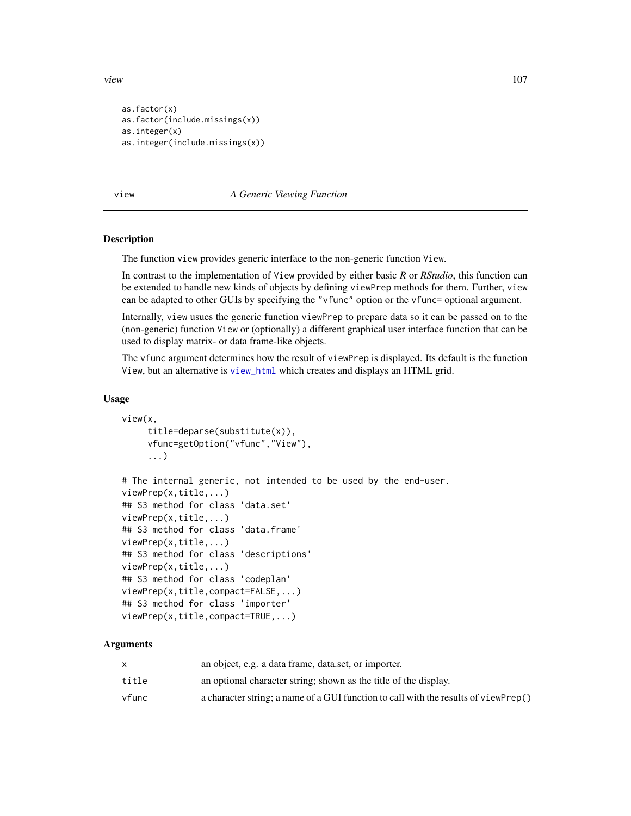view 107

```
as.factor(x)
as.factor(include.missings(x))
as.integer(x)
as.integer(include.missings(x))
```
view *A Generic Viewing Function*

### Description

The function view provides generic interface to the non-generic function View.

In contrast to the implementation of View provided by either basic *R* or *RStudio*, this function can be extended to handle new kinds of objects by defining viewPrep methods for them. Further, view can be adapted to other GUIs by specifying the "vfunc" option or the vfunc= optional argument.

Internally, view usues the generic function viewPrep to prepare data so it can be passed on to the (non-generic) function View or (optionally) a different graphical user interface function that can be used to display matrix- or data frame-like objects.

The vfunc argument determines how the result of viewPrep is displayed. Its default is the function View, but an alternative is [view\\_html](#page-107-0) which creates and displays an HTML grid.

#### Usage

```
view(x,
     title=deparse(substitute(x)),
     vfunc=getOption("vfunc","View"),
     ...)
# The internal generic, not intended to be used by the end-user.
viewPrep(x,title,...)
## S3 method for class 'data.set'
viewPrep(x,title,...)
## S3 method for class 'data.frame'
viewPrep(x,title,...)
## S3 method for class 'descriptions'
viewPrep(x,title,...)
## S3 method for class 'codeplan'
viewPrep(x,title,compact=FALSE,...)
## S3 method for class 'importer'
viewPrep(x,title,compact=TRUE,...)
```

|       | an object, e.g. a data frame, data set, or importer.                                |
|-------|-------------------------------------------------------------------------------------|
| title | an optional character string; shown as the title of the display.                    |
| vfunc | a character string; a name of a GUI function to call with the results of viewPrep() |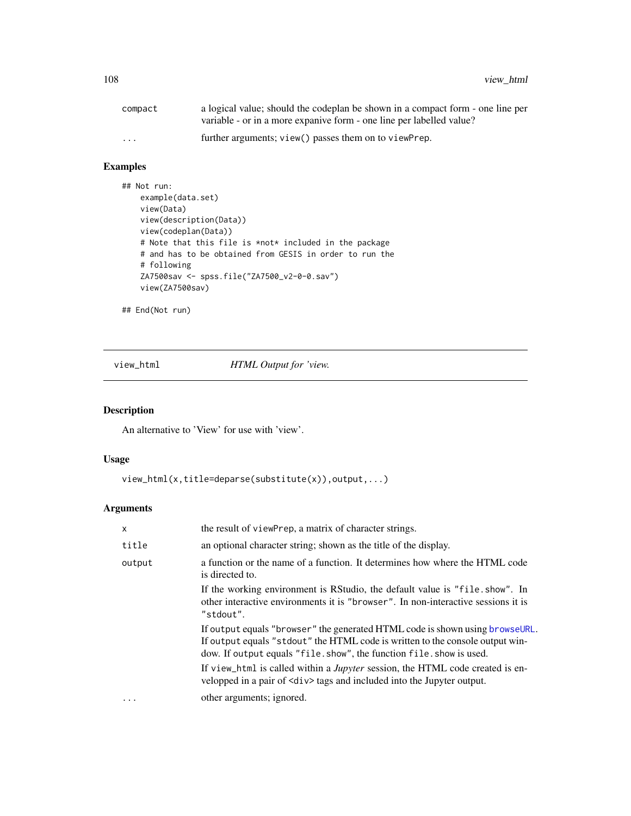| compact                 | a logical value; should the codeplan be shown in a compact form - one line per |
|-------------------------|--------------------------------------------------------------------------------|
|                         | variable - or in a more expanive form - one line per labelled value?           |
| $\cdot$ $\cdot$ $\cdot$ | further arguments; view() passes them on to viewPrep.                          |

# Examples

```
## Not run:
   example(data.set)
   view(Data)
   view(description(Data))
   view(codeplan(Data))
   # Note that this file is *not* included in the package
   # and has to be obtained from GESIS in order to run the
   # following
   ZA7500sav <- spss.file("ZA7500_v2-0-0.sav")
   view(ZA7500sav)
```
## End(Not run)

<span id="page-107-0"></span>view\_html *HTML Output for 'view.*

# Description

An alternative to 'View' for use with 'view'.

# Usage

```
view_html(x,title=deparse(substitute(x)),output,...)
```

| x      | the result of viewPrep, a matrix of character strings.                                                                                                                                                                                 |
|--------|----------------------------------------------------------------------------------------------------------------------------------------------------------------------------------------------------------------------------------------|
| title  | an optional character string; shown as the title of the display.                                                                                                                                                                       |
| output | a function or the name of a function. It determines how where the HTML code<br>is directed to.                                                                                                                                         |
|        | If the working environment is RStudio, the default value is "file. show". In<br>other interactive environments it is "browser". In non-interactive sessions it is<br>"stdout".                                                         |
|        | If output equals "browser" the generated HTML code is shown using browse URL.<br>If output equals "stdout" the HTML code is written to the console output win-<br>dow. If output equals "file. show", the function file. show is used. |
|        | If view_html is called within a <i>Jupyter</i> session, the HTML code created is en-<br>velopped in a pair of $\langle \text{div} \rangle$ tags and included into the Jupyter output.                                                  |
| .      | other arguments; ignored.                                                                                                                                                                                                              |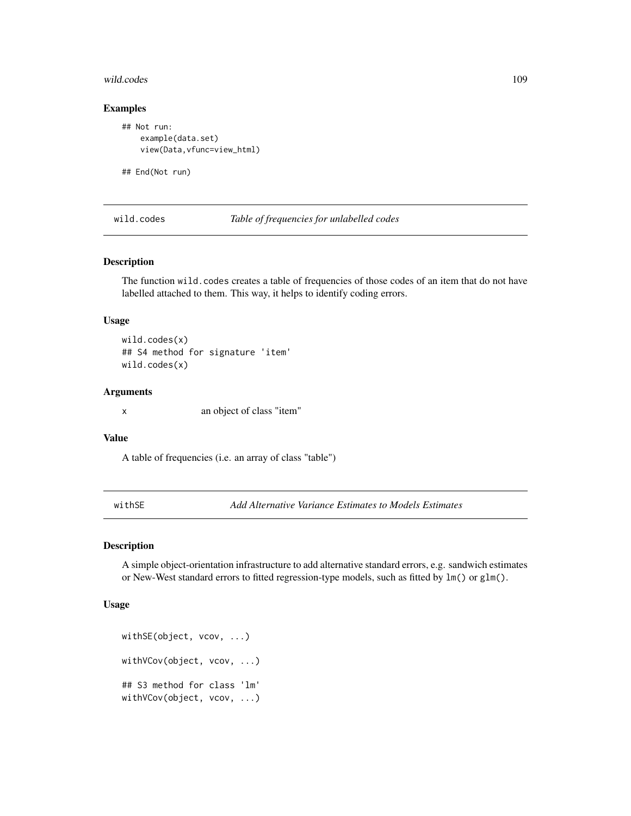#### <span id="page-108-0"></span>wild.codes 109

# Examples

```
## Not run:
   example(data.set)
   view(Data,vfunc=view_html)
```
## End(Not run)

wild.codes *Table of frequencies for unlabelled codes*

# Description

The function wild.codes creates a table of frequencies of those codes of an item that do not have labelled attached to them. This way, it helps to identify coding errors.

### Usage

wild.codes(x) ## S4 method for signature 'item' wild.codes(x)

# Arguments

x an object of class "item"

#### Value

A table of frequencies (i.e. an array of class "table")

withSE *Add Alternative Variance Estimates to Models Estimates*

# Description

A simple object-orientation infrastructure to add alternative standard errors, e.g. sandwich estimates or New-West standard errors to fitted regression-type models, such as fitted by lm() or glm().

# Usage

```
withSE(object, vcov, ...)
withVCov(object, vcov, ...)
## S3 method for class 'lm'
withVCov(object, vcov, ...)
```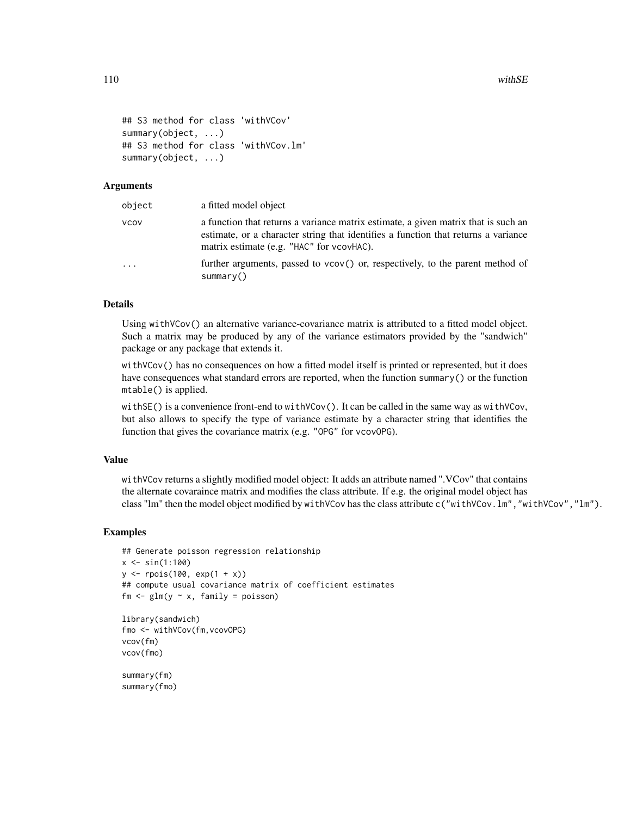```
## S3 method for class 'withVCov'
summary(object, ...)
## S3 method for class 'withVCov.lm'
summary(object, ...)
```
# Arguments

| object | a fitted model object                                                                                                                                                                                                 |
|--------|-----------------------------------------------------------------------------------------------------------------------------------------------------------------------------------------------------------------------|
| vcov   | a function that returns a variance matrix estimate, a given matrix that is such an<br>estimate, or a character string that identifies a function that returns a variance<br>matrix estimate (e.g. "HAC" for vcovHAC). |
| .      | further arguments, passed to vcov() or, respectively, to the parent method of<br>summarv()                                                                                                                            |

#### Details

Using withVCov() an alternative variance-covariance matrix is attributed to a fitted model object. Such a matrix may be produced by any of the variance estimators provided by the "sandwich" package or any package that extends it.

withVCov() has no consequences on how a fitted model itself is printed or represented, but it does have consequences what standard errors are reported, when the function summary() or the function mtable() is applied.

withSE() is a convenience front-end to withVCov(). It can be called in the same way as withVCov, but also allows to specify the type of variance estimate by a character string that identifies the function that gives the covariance matrix (e.g. "OPG" for vcovOPG).

### Value

withVCov returns a slightly modified model object: It adds an attribute named ".VCov" that contains the alternate covaraince matrix and modifies the class attribute. If e.g. the original model object has class "lm" then the model object modified by withVCov has the class attribute c("withVCov.lm","withVCov","lm").

#### Examples

```
## Generate poisson regression relationship
x \le -\sin(1:100)y \le - rpois(100, exp(1 + x))
## compute usual covariance matrix of coefficient estimates
fm \leq glm(y \sim x, family = poisson)
library(sandwich)
fmo <- withVCov(fm,vcovOPG)
vcov(fm)
vcov(fmo)
summary(fm)
summary(fmo)
```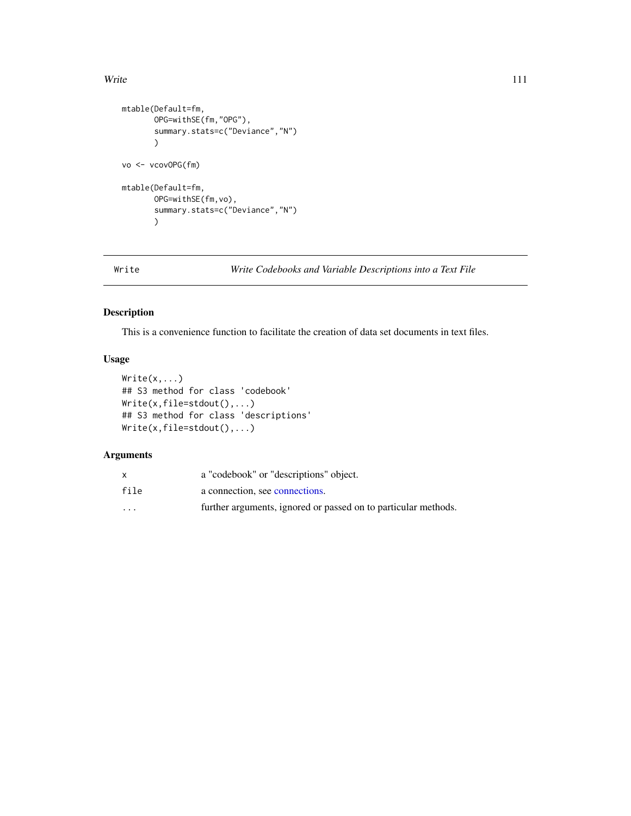#### <span id="page-110-0"></span>Write 2012 111

```
mtable(Default=fm,
       OPG=withSE(fm,"OPG"),
       summary.stats=c("Deviance","N")
       )
vo <- vcovOPG(fm)
mtable(Default=fm,
      OPG=withSE(fm,vo),
       summary.stats=c("Deviance","N")
       )
```

```
Write Write Codebooks and Variable Descriptions into a Text File
```
# Description

This is a convenience function to facilitate the creation of data set documents in text files.

# Usage

```
Write(x,...)## S3 method for class 'codebook'
Write(x,file=stdout(),...)
## S3 method for class 'descriptions'
Write(x,file=stdout(),...)
```
# Arguments

|          | a "codebook" or "descriptions" object.                         |
|----------|----------------------------------------------------------------|
| file     | a connection, see connections.                                 |
| $\cdots$ | further arguments, ignored or passed on to particular methods. |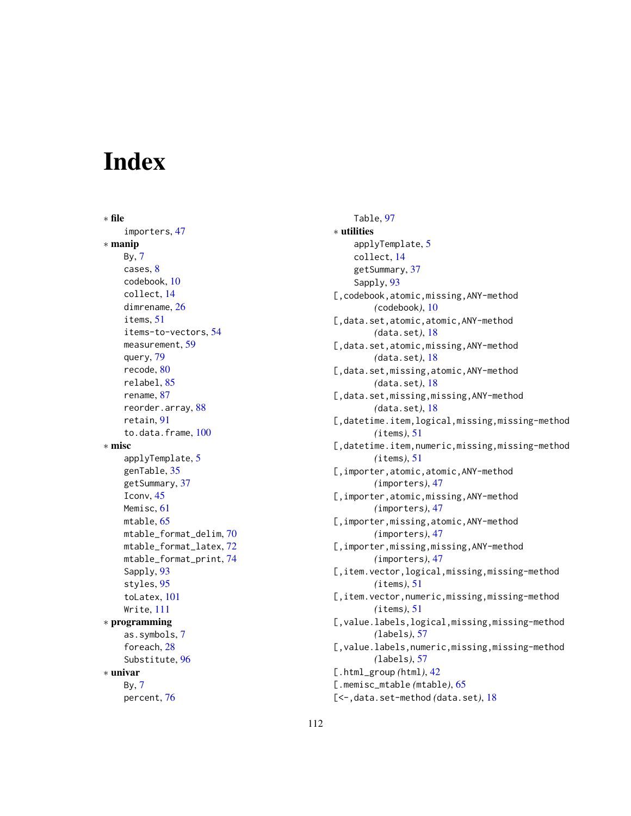# **Index**

∗ file importers, [47](#page-46-0) ∗ manip By, [7](#page-6-0) cases, [8](#page-7-0) codebook, [10](#page-9-0) collect, [14](#page-13-0) dimrename, [26](#page-25-0) items, [51](#page-50-0) items-to-vectors, [54](#page-53-0) measurement, [59](#page-58-0) query, [79](#page-78-0) recode, [80](#page-79-0) relabel, [85](#page-84-0) rename, [87](#page-86-0) reorder.array, [88](#page-87-0) retain, [91](#page-90-0) to.data.frame, [100](#page-99-0) ∗ misc applyTemplate, [5](#page-4-0) genTable, [35](#page-34-0) getSummary, [37](#page-36-0) Iconv, [45](#page-44-0) Memisc, [61](#page-60-0) mtable, [65](#page-64-0) mtable\_format\_delim, [70](#page-69-0) mtable\_format\_latex, [72](#page-71-0) mtable\_format\_print, [74](#page-73-0) Sapply, [93](#page-92-0) styles, [95](#page-94-0) toLatex, [101](#page-100-0) Write, [111](#page-110-0) ∗ programming as.symbols, [7](#page-6-0) foreach, [28](#page-27-0) Substitute, [96](#page-95-0) ∗ univar By, [7](#page-6-0) percent, [76](#page-75-0)

Table, [97](#page-96-0) ∗ utilities applyTemplate, [5](#page-4-0) collect, [14](#page-13-0) getSummary, [37](#page-36-0) Sapply, [93](#page-92-0) [, codebook, atomic, missing, ANY-method *(*codebook*)*, [10](#page-9-0) [,data.set,atomic,atomic,ANY-method *(*data.set*)*, [18](#page-17-0) [, data.set, atomic, missing, ANY-method *(*data.set*)*, [18](#page-17-0) [,data.set,missing,atomic,ANY-method *(*data.set*)*, [18](#page-17-0) [,data.set,missing,missing,ANY-method *(*data.set*)*, [18](#page-17-0) [,datetime.item,logical,missing,missing-method *(*items*)*, [51](#page-50-0) [,datetime.item,numeric,missing,missing-method *(*items*)*, [51](#page-50-0) [,importer,atomic,atomic,ANY-method *(*importers*)*, [47](#page-46-0) [, importer, atomic, missing, ANY-method *(*importers*)*, [47](#page-46-0) [,importer,missing,atomic,ANY-method *(*importers*)*, [47](#page-46-0) [,importer,missing,missing,ANY-method *(*importers*)*, [47](#page-46-0) [,item.vector,logical,missing,missing-method *(*items*)*, [51](#page-50-0) [,item.vector,numeric,missing,missing-method *(*items*)*, [51](#page-50-0) [,value.labels,logical,missing,missing-method *(*labels*)*, [57](#page-56-0) [, value.labels, numeric, missing, missing-method *(*labels*)*, [57](#page-56-0) [.html\_group *(*html*)*, [42](#page-41-0) [.memisc\_mtable *(*mtable*)*, [65](#page-64-0) [<-,data.set-method *(*data.set*)*, [18](#page-17-0)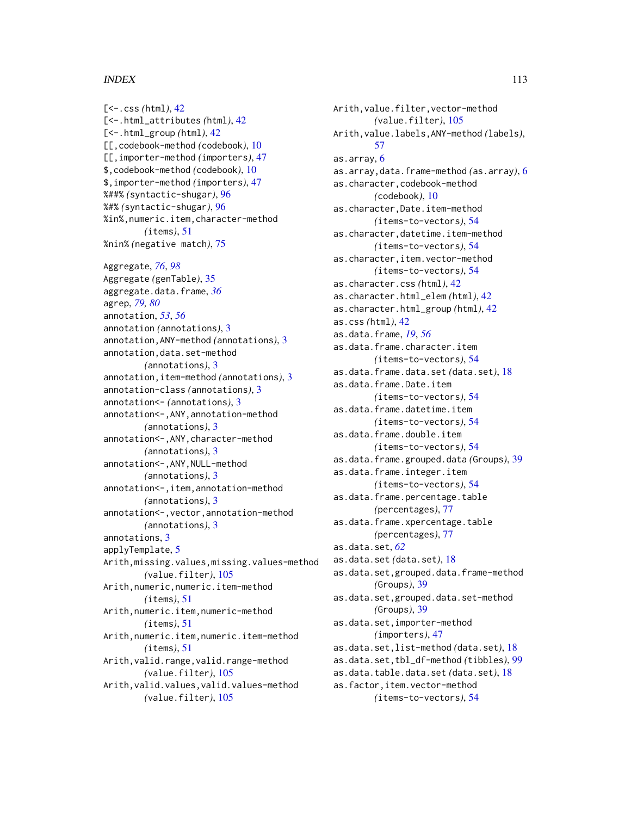[<-.css *(*html*)*, [42](#page-41-0) [<-.html\_attributes *(*html*)*, [42](#page-41-0) [<-.html\_group *(*html*)*, [42](#page-41-0) [[,codebook-method *(*codebook*)*, [10](#page-9-0) [[,importer-method *(*importers*)*, [47](#page-46-0) \$,codebook-method *(*codebook*)*, [10](#page-9-0) \$,importer-method *(*importers*)*, [47](#page-46-0) %##% *(*syntactic-shugar*)*, [96](#page-95-0) %#% *(*syntactic-shugar*)*, [96](#page-95-0) %in%,numeric.item,character-method *(*items*)*, [51](#page-50-0) %nin% *(*negative match*)*, [75](#page-74-0) Aggregate, *[76](#page-75-0)*, *[98](#page-97-0)* Aggregate *(*genTable*)*, [35](#page-34-0) aggregate.data.frame, *[36](#page-35-0)* agrep, *[79,](#page-78-0) [80](#page-79-0)* annotation, *[53](#page-52-0)*, *[56](#page-55-0)* annotation *(*annotations*)*, [3](#page-2-0) annotation,ANY-method *(*annotations*)*, [3](#page-2-0) annotation,data.set-method *(*annotations*)*, [3](#page-2-0) annotation,item-method *(*annotations*)*, [3](#page-2-0) annotation-class *(*annotations*)*, [3](#page-2-0) annotation<- *(*annotations*)*, [3](#page-2-0) annotation<-,ANY,annotation-method *(*annotations*)*, [3](#page-2-0) annotation<-,ANY,character-method *(*annotations*)*, [3](#page-2-0) annotation<-,ANY,NULL-method *(*annotations*)*, [3](#page-2-0) annotation<-,item,annotation-method *(*annotations*)*, [3](#page-2-0) annotation<-,vector,annotation-method *(*annotations*)*, [3](#page-2-0) annotations, [3](#page-2-0) applyTemplate, [5](#page-4-0) Arith,missing.values,missing.values-method *(*value.filter*)*, [105](#page-104-0) Arith,numeric,numeric.item-method *(*items*)*, [51](#page-50-0) Arith,numeric.item,numeric-method *(*items*)*, [51](#page-50-0) Arith,numeric.item,numeric.item-method *(*items*)*, [51](#page-50-0) Arith,valid.range,valid.range-method *(*value.filter*)*, [105](#page-104-0) Arith,valid.values,valid.values-method *(*value.filter*)*, [105](#page-104-0)

Arith,value.filter,vector-method *(*value.filter*)*, [105](#page-104-0) Arith,value.labels,ANY-method *(*labels*)*, [57](#page-56-0) as.array, [6](#page-5-0) as.array,data.frame-method *(*as.array*)*, [6](#page-5-0) as.character,codebook-method *(*codebook*)*, [10](#page-9-0) as.character,Date.item-method *(*items-to-vectors*)*, [54](#page-53-0) as.character,datetime.item-method *(*items-to-vectors*)*, [54](#page-53-0) as.character,item.vector-method *(*items-to-vectors*)*, [54](#page-53-0) as.character.css *(*html*)*, [42](#page-41-0) as.character.html\_elem *(*html*)*, [42](#page-41-0) as.character.html\_group *(*html*)*, [42](#page-41-0) as.css *(*html*)*, [42](#page-41-0) as.data.frame, *[19](#page-18-0)*, *[56](#page-55-0)* as.data.frame.character.item *(*items-to-vectors*)*, [54](#page-53-0) as.data.frame.data.set *(*data.set*)*, [18](#page-17-0) as.data.frame.Date.item *(*items-to-vectors*)*, [54](#page-53-0) as.data.frame.datetime.item *(*items-to-vectors*)*, [54](#page-53-0) as.data.frame.double.item *(*items-to-vectors*)*, [54](#page-53-0) as.data.frame.grouped.data *(*Groups*)*, [39](#page-38-0) as.data.frame.integer.item *(*items-to-vectors*)*, [54](#page-53-0) as.data.frame.percentage.table *(*percentages*)*, [77](#page-76-0) as.data.frame.xpercentage.table *(*percentages*)*, [77](#page-76-0) as.data.set, *[62](#page-61-0)* as.data.set *(*data.set*)*, [18](#page-17-0) as.data.set,grouped.data.frame-method *(*Groups*)*, [39](#page-38-0) as.data.set,grouped.data.set-method *(*Groups*)*, [39](#page-38-0) as.data.set,importer-method *(*importers*)*, [47](#page-46-0) as.data.set,list-method *(*data.set*)*, [18](#page-17-0) as.data.set,tbl\_df-method *(*tibbles*)*, [99](#page-98-0) as.data.table.data.set *(*data.set*)*, [18](#page-17-0) as.factor,item.vector-method *(*items-to-vectors*)*, [54](#page-53-0)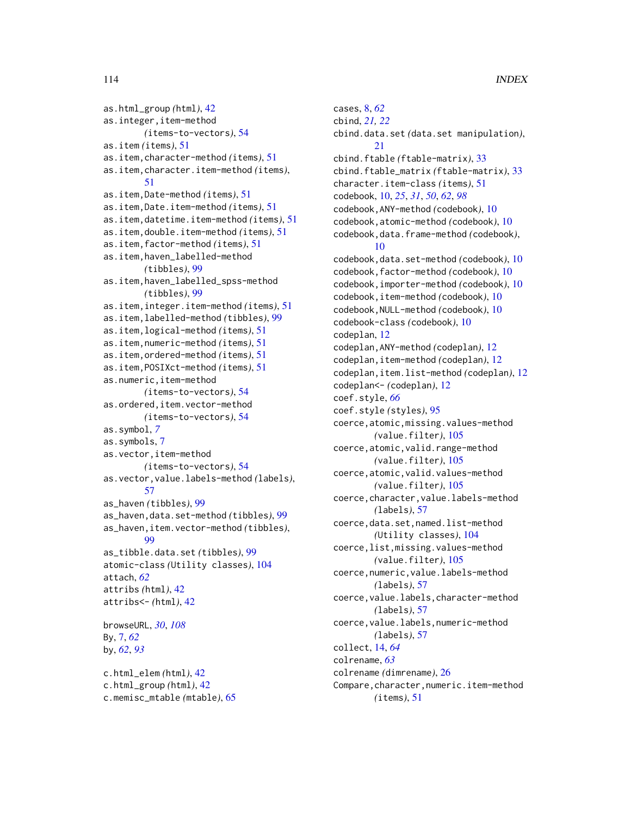as.html\_group *(*html*)*, [42](#page-41-0) as.integer,item-method *(*items-to-vectors*)*, [54](#page-53-0) as.item *(*items*)*, [51](#page-50-0) as.item,character-method *(*items*)*, [51](#page-50-0) as.item,character.item-method *(*items*)*, [51](#page-50-0) as.item,Date-method *(*items*)*, [51](#page-50-0) as.item,Date.item-method *(*items*)*, [51](#page-50-0) as.item,datetime.item-method *(*items*)*, [51](#page-50-0) as.item,double.item-method *(*items*)*, [51](#page-50-0) as.item,factor-method *(*items*)*, [51](#page-50-0) as.item,haven\_labelled-method *(*tibbles*)*, [99](#page-98-0) as.item,haven\_labelled\_spss-method *(*tibbles*)*, [99](#page-98-0) as.item,integer.item-method *(*items*)*, [51](#page-50-0) as.item,labelled-method *(*tibbles*)*, [99](#page-98-0) as.item,logical-method *(*items*)*, [51](#page-50-0) as.item,numeric-method *(*items*)*, [51](#page-50-0) as.item,ordered-method *(*items*)*, [51](#page-50-0) as.item,POSIXct-method *(*items*)*, [51](#page-50-0) as.numeric,item-method *(*items-to-vectors*)*, [54](#page-53-0) as.ordered,item.vector-method *(*items-to-vectors*)*, [54](#page-53-0) as.symbol, *[7](#page-6-0)* as.symbols, [7](#page-6-0) as.vector,item-method *(*items-to-vectors*)*, [54](#page-53-0) as.vector,value.labels-method *(*labels*)*, [57](#page-56-0) as\_haven *(*tibbles*)*, [99](#page-98-0) as\_haven,data.set-method *(*tibbles*)*, [99](#page-98-0) as\_haven,item.vector-method *(*tibbles*)*, **[99](#page-98-0)** as\_tibble.data.set *(*tibbles*)*, [99](#page-98-0) atomic-class *(*Utility classes*)*, [104](#page-103-0) attach, *[62](#page-61-0)* attribs *(*html*)*, [42](#page-41-0) attribs<- *(*html*)*, [42](#page-41-0) browseURL, *[30](#page-29-0)*, *[108](#page-107-0)* By, [7,](#page-6-0) *[62](#page-61-0)* by, *[62](#page-61-0)*, *[93](#page-92-0)* c.html\_elem *(*html*)*, [42](#page-41-0) c.html\_group *(*html*)*, [42](#page-41-0)

```
c.memisc_mtable (mtable), 65
```
cases, [8,](#page-7-0) *[62](#page-61-0)* cbind, *[21,](#page-20-0) [22](#page-21-0)* cbind.data.set *(*data.set manipulation*)*, [21](#page-20-0) cbind.ftable *(*ftable-matrix*)*, [33](#page-32-0) cbind.ftable\_matrix *(*ftable-matrix*)*, [33](#page-32-0) character.item-class *(*items*)*, [51](#page-50-0) codebook, [10,](#page-9-0) *[25](#page-24-0)*, *[31](#page-30-0)*, *[50](#page-49-0)*, *[62](#page-61-0)*, *[98](#page-97-0)* codebook,ANY-method *(*codebook*)*, [10](#page-9-0) codebook,atomic-method *(*codebook*)*, [10](#page-9-0) codebook,data.frame-method *(*codebook*)*, [10](#page-9-0) codebook,data.set-method *(*codebook*)*, [10](#page-9-0) codebook,factor-method *(*codebook*)*, [10](#page-9-0) codebook,importer-method *(*codebook*)*, [10](#page-9-0) codebook,item-method *(*codebook*)*, [10](#page-9-0) codebook,NULL-method *(*codebook*)*, [10](#page-9-0) codebook-class *(*codebook*)*, [10](#page-9-0) codeplan, [12](#page-11-0) codeplan,ANY-method *(*codeplan*)*, [12](#page-11-0) codeplan,item-method *(*codeplan*)*, [12](#page-11-0) codeplan,item.list-method *(*codeplan*)*, [12](#page-11-0) codeplan<- *(*codeplan*)*, [12](#page-11-0) coef.style, *[66](#page-65-0)* coef.style *(*styles*)*, [95](#page-94-0) coerce,atomic,missing.values-method *(*value.filter*)*, [105](#page-104-0) coerce,atomic,valid.range-method *(*value.filter*)*, [105](#page-104-0) coerce,atomic,valid.values-method *(*value.filter*)*, [105](#page-104-0) coerce,character,value.labels-method *(*labels*)*, [57](#page-56-0) coerce,data.set,named.list-method *(*Utility classes*)*, [104](#page-103-0) coerce,list,missing.values-method *(*value.filter*)*, [105](#page-104-0) coerce,numeric,value.labels-method *(*labels*)*, [57](#page-56-0) coerce,value.labels,character-method *(*labels*)*, [57](#page-56-0) coerce,value.labels,numeric-method *(*labels*)*, [57](#page-56-0) collect, [14,](#page-13-0) *[64](#page-63-0)* colrename, *[63](#page-62-0)* colrename *(*dimrename*)*, [26](#page-25-0) Compare, character, numeric.item-method *(*items*)*, [51](#page-50-0)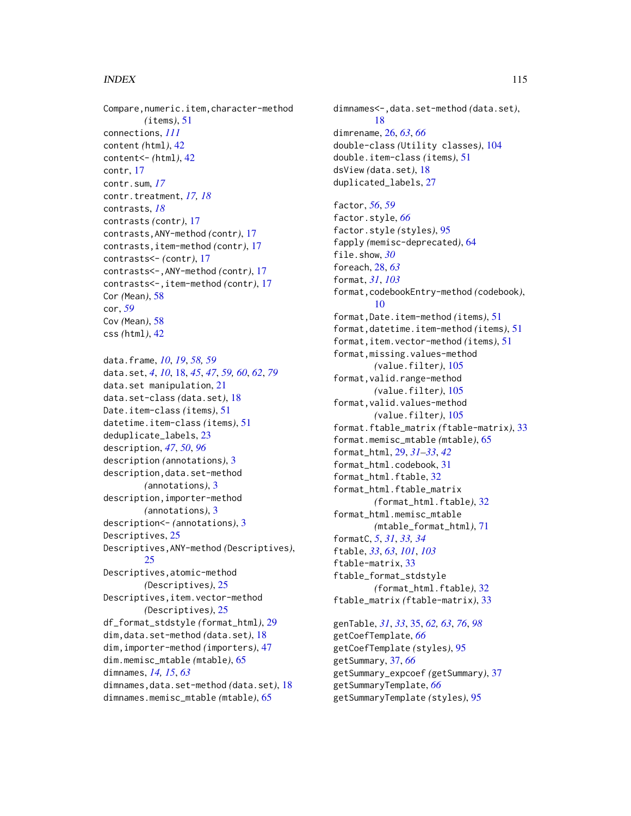Compare, numeric.item, character-method *(*items*)*, [51](#page-50-0) connections, *[111](#page-110-0)* content *(*html*)*, [42](#page-41-0) content<- *(*html*)*, [42](#page-41-0) contr, [17](#page-16-0) contr.sum, *[17](#page-16-0)* contr.treatment, *[17,](#page-16-0) [18](#page-17-0)* contrasts, *[18](#page-17-0)* contrasts *(*contr*)*, [17](#page-16-0) contrasts,ANY-method *(*contr*)*, [17](#page-16-0) contrasts,item-method *(*contr*)*, [17](#page-16-0) contrasts<- *(*contr*)*, [17](#page-16-0) contrasts<-,ANY-method *(*contr*)*, [17](#page-16-0) contrasts<-,item-method *(*contr*)*, [17](#page-16-0) Cor *(*Mean*)*, [58](#page-57-0) cor, *[59](#page-58-0)* Cov *(*Mean*)*, [58](#page-57-0) css *(*html*)*, [42](#page-41-0)

data.frame, *[10](#page-9-0)*, *[19](#page-18-0)*, *[58,](#page-57-0) [59](#page-58-0)* data.set, *[4](#page-3-0)*, *[10](#page-9-0)*, [18,](#page-17-0) *[45](#page-44-0)*, *[47](#page-46-0)*, *[59,](#page-58-0) [60](#page-59-0)*, *[62](#page-61-0)*, *[79](#page-78-0)* data.set manipulation, [21](#page-20-0) data.set-class *(*data.set*)*, [18](#page-17-0) Date.item-class *(*items*)*, [51](#page-50-0) datetime.item-class *(*items*)*, [51](#page-50-0) deduplicate\_labels, [23](#page-22-0) description, *[47](#page-46-0)*, *[50](#page-49-0)*, *[96](#page-95-0)* description *(*annotations*)*, [3](#page-2-0) description,data.set-method *(*annotations*)*, [3](#page-2-0) description,importer-method *(*annotations*)*, [3](#page-2-0) description<- *(*annotations*)*, [3](#page-2-0) Descriptives, [25](#page-24-0) Descriptives,ANY-method *(*Descriptives*)*, [25](#page-24-0) Descriptives,atomic-method *(*Descriptives*)*, [25](#page-24-0) Descriptives,item.vector-method *(*Descriptives*)*, [25](#page-24-0) df\_format\_stdstyle *(*format\_html*)*, [29](#page-28-0) dim,data.set-method *(*data.set*)*, [18](#page-17-0) dim,importer-method *(*importers*)*, [47](#page-46-0) dim.memisc\_mtable *(*mtable*)*, [65](#page-64-0) dimnames, *[14,](#page-13-0) [15](#page-14-0)*, *[63](#page-62-0)* dimnames,data.set-method *(*data.set*)*, [18](#page-17-0) dimnames.memisc\_mtable *(*mtable*)*, [65](#page-64-0)

dimnames<-,data.set-method *(*data.set*)*, [18](#page-17-0) dimrename, [26,](#page-25-0) *[63](#page-62-0)*, *[66](#page-65-0)* double-class *(*Utility classes*)*, [104](#page-103-0) double.item-class *(*items*)*, [51](#page-50-0) dsView *(*data.set*)*, [18](#page-17-0) duplicated\_labels, [27](#page-26-0) factor, *[56](#page-55-0)*, *[59](#page-58-0)* factor.style, *[66](#page-65-0)* factor.style *(*styles*)*, [95](#page-94-0) fapply *(*memisc-deprecated*)*, [64](#page-63-0) file.show, *[30](#page-29-0)* foreach, [28,](#page-27-0) *[63](#page-62-0)* format, *[31](#page-30-0)*, *[103](#page-102-0)* format,codebookEntry-method *(*codebook*)*, [10](#page-9-0) format,Date.item-method *(*items*)*, [51](#page-50-0) format,datetime.item-method *(*items*)*, [51](#page-50-0) format,item.vector-method *(*items*)*, [51](#page-50-0) format,missing.values-method *(*value.filter*)*, [105](#page-104-0) format,valid.range-method *(*value.filter*)*, [105](#page-104-0) format,valid.values-method *(*value.filter*)*, [105](#page-104-0) format.ftable\_matrix *(*ftable-matrix*)*, [33](#page-32-0) format.memisc\_mtable *(*mtable*)*, [65](#page-64-0) format\_html, [29,](#page-28-0) *[31](#page-30-0)[–33](#page-32-0)*, *[42](#page-41-0)* format\_html.codebook, [31](#page-30-0) format\_html.ftable, [32](#page-31-0) format\_html.ftable\_matrix *(*format\_html.ftable*)*, [32](#page-31-0) format\_html.memisc\_mtable *(*mtable\_format\_html*)*, [71](#page-70-0) formatC, *[5](#page-4-0)*, *[31](#page-30-0)*, *[33,](#page-32-0) [34](#page-33-0)* ftable, *[33](#page-32-0)*, *[63](#page-62-0)*, *[101](#page-100-0)*, *[103](#page-102-0)* ftable-matrix, [33](#page-32-0) ftable\_format\_stdstyle *(*format\_html.ftable*)*, [32](#page-31-0) ftable\_matrix *(*ftable-matrix*)*, [33](#page-32-0)

genTable, *[31](#page-30-0)*, *[33](#page-32-0)*, [35,](#page-34-0) *[62,](#page-61-0) [63](#page-62-0)*, *[76](#page-75-0)*, *[98](#page-97-0)* getCoefTemplate, *[66](#page-65-0)* getCoefTemplate *(*styles*)*, [95](#page-94-0) getSummary, [37,](#page-36-0) *[66](#page-65-0)* getSummary\_expcoef *(*getSummary*)*, [37](#page-36-0) getSummaryTemplate, *[66](#page-65-0)* getSummaryTemplate *(*styles*)*, [95](#page-94-0)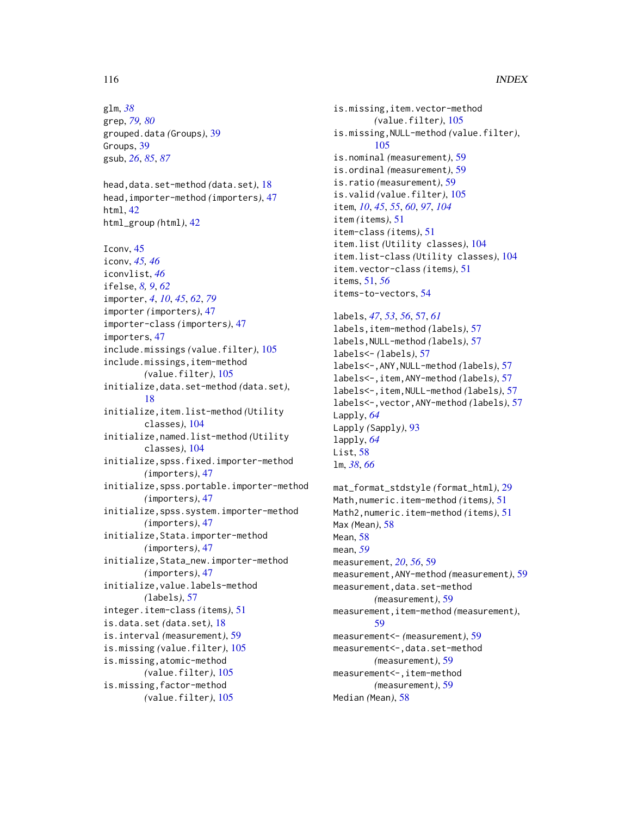glm, *[38](#page-37-0)* grep, *[79,](#page-78-0) [80](#page-79-0)* grouped.data *(*Groups*)*, [39](#page-38-0) Groups, [39](#page-38-0) gsub, *[26](#page-25-0)*, *[85](#page-84-0)*, *[87](#page-86-0)*

head,data.set-method *(*data.set*)*, [18](#page-17-0) head,importer-method *(*importers*)*, [47](#page-46-0) html, [42](#page-41-0) html\_group *(*html*)*, [42](#page-41-0)

Iconv, [45](#page-44-0) iconv, *[45,](#page-44-0) [46](#page-45-0)* iconvlist, *[46](#page-45-0)* ifelse, *[8,](#page-7-0) [9](#page-8-0)*, *[62](#page-61-0)* importer, *[4](#page-3-0)*, *[10](#page-9-0)*, *[45](#page-44-0)*, *[62](#page-61-0)*, *[79](#page-78-0)* importer *(*importers*)*, [47](#page-46-0) importer-class *(*importers*)*, [47](#page-46-0) importers, [47](#page-46-0) include.missings *(*value.filter*)*, [105](#page-104-0) include.missings,item-method *(*value.filter*)*, [105](#page-104-0) initialize,data.set-method *(*data.set*)*, [18](#page-17-0) initialize,item.list-method *(*Utility classes*)*, [104](#page-103-0) initialize,named.list-method *(*Utility classes*)*, [104](#page-103-0) initialize,spss.fixed.importer-method *(*importers*)*, [47](#page-46-0) initialize,spss.portable.importer-method *(*importers*)*, [47](#page-46-0) initialize,spss.system.importer-method *(*importers*)*, [47](#page-46-0) initialize,Stata.importer-method *(*importers*)*, [47](#page-46-0) initialize,Stata\_new.importer-method *(*importers*)*, [47](#page-46-0) initialize,value.labels-method *(*labels*)*, [57](#page-56-0) integer.item-class *(*items*)*, [51](#page-50-0) is.data.set *(*data.set*)*, [18](#page-17-0) is.interval *(*measurement*)*, [59](#page-58-0) is.missing *(*value.filter*)*, [105](#page-104-0) is.missing,atomic-method *(*value.filter*)*, [105](#page-104-0) is.missing,factor-method *(*value.filter*)*, [105](#page-104-0)

is.missing,item.vector-method *(*value.filter*)*, [105](#page-104-0) is.missing,NULL-method *(*value.filter*)*, [105](#page-104-0) is.nominal *(*measurement*)*, [59](#page-58-0) is.ordinal *(*measurement*)*, [59](#page-58-0) is.ratio *(*measurement*)*, [59](#page-58-0) is.valid *(*value.filter*)*, [105](#page-104-0) item, *[10](#page-9-0)*, *[45](#page-44-0)*, *[55](#page-54-0)*, *[60](#page-59-0)*, *[97](#page-96-0)*, *[104](#page-103-0)* item *(*items*)*, [51](#page-50-0) item-class *(*items*)*, [51](#page-50-0) item.list *(*Utility classes*)*, [104](#page-103-0) item.list-class *(*Utility classes*)*, [104](#page-103-0) item.vector-class *(*items*)*, [51](#page-50-0) items, [51,](#page-50-0) *[56](#page-55-0)* items-to-vectors, [54](#page-53-0)

labels, *[47](#page-46-0)*, *[53](#page-52-0)*, *[56](#page-55-0)*, [57,](#page-56-0) *[61](#page-60-0)* labels,item-method *(*labels*)*, [57](#page-56-0) labels,NULL-method *(*labels*)*, [57](#page-56-0) labels<- *(*labels*)*, [57](#page-56-0) labels<-,ANY,NULL-method *(*labels*)*, [57](#page-56-0) labels<-,item,ANY-method *(*labels*)*, [57](#page-56-0) labels<-,item,NULL-method *(*labels*)*, [57](#page-56-0) labels<-,vector,ANY-method *(*labels*)*, [57](#page-56-0) Lapply, *[64](#page-63-0)* Lapply *(*Sapply*)*, [93](#page-92-0) lapply, *[64](#page-63-0)* List, [58](#page-57-0) lm, *[38](#page-37-0)*, *[66](#page-65-0)*

mat\_format\_stdstyle *(*format\_html*)*, [29](#page-28-0) Math,numeric.item-method *(*items*)*, [51](#page-50-0) Math2,numeric.item-method *(*items*)*, [51](#page-50-0) Max *(*Mean*)*, [58](#page-57-0) Mean, [58](#page-57-0) mean, *[59](#page-58-0)* measurement, *[20](#page-19-0)*, *[56](#page-55-0)*, [59](#page-58-0) measurement,ANY-method *(*measurement*)*, [59](#page-58-0) measurement,data.set-method *(*measurement*)*, [59](#page-58-0) measurement,item-method *(*measurement*)*, [59](#page-58-0) measurement<- *(*measurement*)*, [59](#page-58-0) measurement<-,data.set-method *(*measurement*)*, [59](#page-58-0) measurement<-,item-method *(*measurement*)*, [59](#page-58-0) Median *(*Mean*)*, [58](#page-57-0)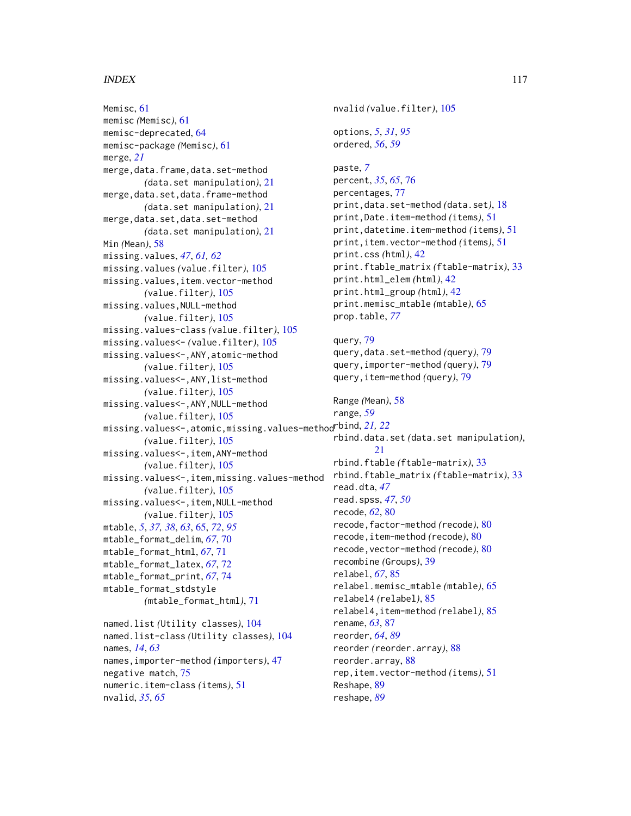Memisc, [61](#page-60-0) memisc *(*Memisc*)*, [61](#page-60-0) memisc-deprecated, [64](#page-63-0) memisc-package *(*Memisc*)*, [61](#page-60-0) merge, *[21](#page-20-0)* merge,data.frame,data.set-method *(*data.set manipulation*)*, [21](#page-20-0) merge,data.set,data.frame-method *(*data.set manipulation*)*, [21](#page-20-0) merge,data.set,data.set-method *(*data.set manipulation*)*, [21](#page-20-0) Min *(*Mean*)*, [58](#page-57-0) missing.values, *[47](#page-46-0)*, *[61,](#page-60-0) [62](#page-61-0)* missing.values *(*value.filter*)*, [105](#page-104-0) missing.values,item.vector-method *(*value.filter*)*, [105](#page-104-0) missing.values,NULL-method *(*value.filter*)*, [105](#page-104-0) missing.values-class *(*value.filter*)*, [105](#page-104-0) missing.values<- *(*value.filter*)*, [105](#page-104-0) missing.values<-,ANY,atomic-method *(*value.filter*)*, [105](#page-104-0) missing.values<-,ANY,list-method *(*value.filter*)*, [105](#page-104-0) missing.values<-,ANY,NULL-method *(*value.filter*)*, [105](#page-104-0) missing.values<-,atomic,missing.values-method rbind, *[21,](#page-20-0) [22](#page-21-0) (*value.filter*)*, [105](#page-104-0) missing.values<-,item,ANY-method *(*value.filter*)*, [105](#page-104-0) missing.values<-,item,missing.values-method *(*value.filter*)*, [105](#page-104-0) missing.values<-,item,NULL-method *(*value.filter*)*, [105](#page-104-0) mtable, *[5](#page-4-0)*, *[37,](#page-36-0) [38](#page-37-0)*, *[63](#page-62-0)*, [65,](#page-64-0) *[72](#page-71-0)*, *[95](#page-94-0)* mtable\_format\_delim, *[67](#page-66-0)*, [70](#page-69-0) mtable\_format\_html, *[67](#page-66-0)*, [71](#page-70-0) mtable\_format\_latex, *[67](#page-66-0)*, [72](#page-71-0) mtable\_format\_print, *[67](#page-66-0)*, [74](#page-73-0) mtable\_format\_stdstyle *(*mtable\_format\_html*)*, [71](#page-70-0) named.list *(*Utility classes*)*, [104](#page-103-0) named.list-class *(*Utility classes*)*, [104](#page-103-0) names, *[14](#page-13-0)*, *[63](#page-62-0)* names,importer-method *(*importers*)*, [47](#page-46-0) negative match, [75](#page-74-0) numeric.item-class *(*items*)*, [51](#page-50-0)

```
nvalid, 35, 65
```
nvalid *(*value.filter*)*, [105](#page-104-0) options, *[5](#page-4-0)*, *[31](#page-30-0)*, *[95](#page-94-0)* ordered, *[56](#page-55-0)*, *[59](#page-58-0)* paste, *[7](#page-6-0)* percent, *[35](#page-34-0)*, *[65](#page-64-0)*, [76](#page-75-0) percentages, [77](#page-76-0) print,data.set-method *(*data.set*)*, [18](#page-17-0) print,Date.item-method *(*items*)*, [51](#page-50-0) print,datetime.item-method *(*items*)*, [51](#page-50-0) print,item.vector-method *(*items*)*, [51](#page-50-0) print.css *(*html*)*, [42](#page-41-0) print.ftable\_matrix *(*ftable-matrix*)*, [33](#page-32-0) print.html\_elem *(*html*)*, [42](#page-41-0) print.html\_group *(*html*)*, [42](#page-41-0) print.memisc\_mtable *(*mtable*)*, [65](#page-64-0) prop.table, *[77](#page-76-0)* query, [79](#page-78-0) query,data.set-method *(*query*)*, [79](#page-78-0) query,importer-method *(*query*)*, [79](#page-78-0) query,item-method *(*query*)*, [79](#page-78-0) Range *(*Mean*)*, [58](#page-57-0) range, *[59](#page-58-0)* rbind.data.set *(*data.set manipulation*)*, [21](#page-20-0) rbind.ftable *(*ftable-matrix*)*, [33](#page-32-0) rbind.ftable\_matrix *(*ftable-matrix*)*, [33](#page-32-0) read.dta, *[47](#page-46-0)* read.spss, *[47](#page-46-0)*, *[50](#page-49-0)* recode, *[62](#page-61-0)*, [80](#page-79-0) recode,factor-method *(*recode*)*, [80](#page-79-0) recode,item-method *(*recode*)*, [80](#page-79-0) recode,vector-method *(*recode*)*, [80](#page-79-0) recombine *(*Groups*)*, [39](#page-38-0) relabel, *[67](#page-66-0)*, [85](#page-84-0) relabel.memisc\_mtable *(*mtable*)*, [65](#page-64-0) relabel4 *(*relabel*)*, [85](#page-84-0) relabel4,item-method *(*relabel*)*, [85](#page-84-0) rename, *[63](#page-62-0)*, [87](#page-86-0) reorder, *[64](#page-63-0)*, *[89](#page-88-0)* reorder *(*reorder.array*)*, [88](#page-87-0)

reorder.array, [88](#page-87-0)

Reshape, [89](#page-88-0) reshape, *[89](#page-88-0)*

rep,item.vector-method *(*items*)*, [51](#page-50-0)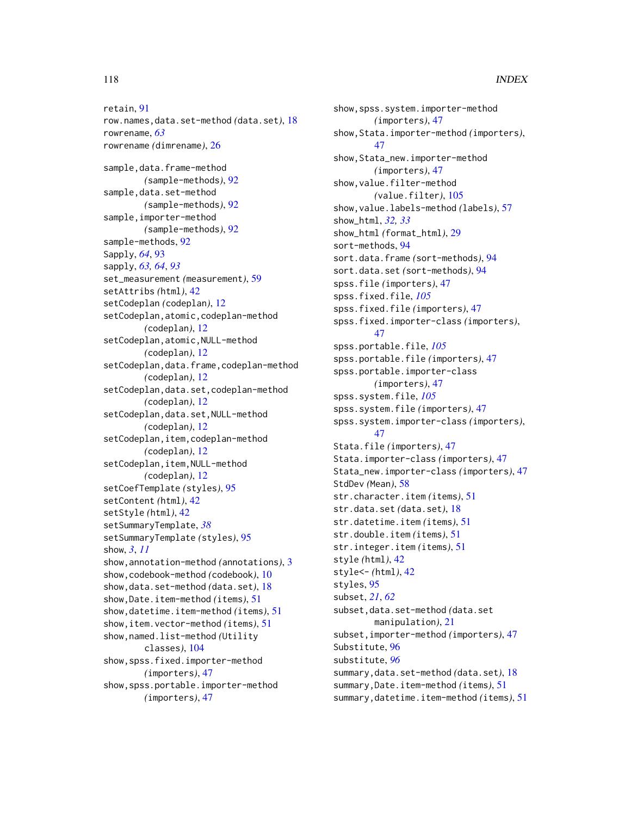row.names,data.set-method *(*data.set*)*, [18](#page-17-0) rowrename, *[63](#page-62-0)* rowrename *(*dimrename*)*, [26](#page-25-0) sample, data.frame-method *(*sample-methods*)*, [92](#page-91-0) sample, data.set-method *(*sample-methods*)*, [92](#page-91-0) sample,importer-method *(*sample-methods*)*, [92](#page-91-0) sample-methods, [92](#page-91-0) Sapply, *[64](#page-63-0)*, [93](#page-92-0) sapply, *[63,](#page-62-0) [64](#page-63-0)*, *[93](#page-92-0)* set\_measurement *(*measurement*)*, [59](#page-58-0) setAttribs *(*html*)*, [42](#page-41-0) setCodeplan *(*codeplan*)*, [12](#page-11-0) setCodeplan,atomic,codeplan-method *(*codeplan*)*, [12](#page-11-0) setCodeplan,atomic,NULL-method *(*codeplan*)*, [12](#page-11-0) setCodeplan,data.frame,codeplan-method *(*codeplan*)*, [12](#page-11-0) setCodeplan,data.set,codeplan-method *(*codeplan*)*, [12](#page-11-0) setCodeplan,data.set,NULL-method *(*codeplan*)*, [12](#page-11-0) setCodeplan,item,codeplan-method *(*codeplan*)*, [12](#page-11-0) setCodeplan, item, NULL-method *(*codeplan*)*, [12](#page-11-0) setCoefTemplate *(*styles*)*, [95](#page-94-0) setContent *(*html*)*, [42](#page-41-0) setStyle *(*html*)*, [42](#page-41-0) setSummaryTemplate, *[38](#page-37-0)* setSummaryTemplate *(*styles*)*, [95](#page-94-0) show, *[3](#page-2-0)*, *[11](#page-10-0)* show,annotation-method *(*annotations*)*, [3](#page-2-0) show,codebook-method *(*codebook*)*, [10](#page-9-0) show,data.set-method *(*data.set*)*, [18](#page-17-0) show,Date.item-method *(*items*)*, [51](#page-50-0) show,datetime.item-method *(*items*)*, [51](#page-50-0) show,item.vector-method *(*items*)*, [51](#page-50-0) show,named.list-method *(*Utility classes*)*, [104](#page-103-0) show,spss.fixed.importer-method *(*importers*)*, [47](#page-46-0) show,spss.portable.importer-method *(*importers*)*, [47](#page-46-0)

show,spss.system.importer-method *(*importers*)*, [47](#page-46-0) show,Stata.importer-method *(*importers*)*, [47](#page-46-0) show,Stata\_new.importer-method *(*importers*)*, [47](#page-46-0) show,value.filter-method *(*value.filter*)*, [105](#page-104-0) show,value.labels-method *(*labels*)*, [57](#page-56-0) show\_html, *[32,](#page-31-0) [33](#page-32-0)* show\_html *(*format\_html*)*, [29](#page-28-0) sort-methods, [94](#page-93-0) sort.data.frame *(*sort-methods*)*, [94](#page-93-0) sort.data.set *(*sort-methods*)*, [94](#page-93-0) spss.file *(*importers*)*, [47](#page-46-0) spss.fixed.file, *[105](#page-104-0)* spss.fixed.file *(*importers*)*, [47](#page-46-0) spss.fixed.importer-class *(*importers*)*, [47](#page-46-0) spss.portable.file, *[105](#page-104-0)* spss.portable.file *(*importers*)*, [47](#page-46-0) spss.portable.importer-class *(*importers*)*, [47](#page-46-0) spss.system.file, *[105](#page-104-0)* spss.system.file *(*importers*)*, [47](#page-46-0) spss.system.importer-class *(*importers*)*, [47](#page-46-0) Stata.file *(*importers*)*, [47](#page-46-0) Stata.importer-class *(*importers*)*, [47](#page-46-0) Stata\_new.importer-class *(*importers*)*, [47](#page-46-0) StdDev *(*Mean*)*, [58](#page-57-0) str.character.item *(*items*)*, [51](#page-50-0) str.data.set *(*data.set*)*, [18](#page-17-0) str.datetime.item *(*items*)*, [51](#page-50-0) str.double.item *(*items*)*, [51](#page-50-0) str.integer.item *(*items*)*, [51](#page-50-0) style *(*html*)*, [42](#page-41-0) style<- *(*html*)*, [42](#page-41-0) styles, [95](#page-94-0) subset, *[21](#page-20-0)*, *[62](#page-61-0)* subset,data.set-method *(*data.set manipulation*)*, [21](#page-20-0) subset,importer-method *(*importers*)*, [47](#page-46-0) Substitute, [96](#page-95-0) substitute, *[96](#page-95-0)* summary,data.set-method *(*data.set*)*, [18](#page-17-0) summary,Date.item-method *(*items*)*, [51](#page-50-0) summary,datetime.item-method *(*items*)*, [51](#page-50-0)

retain, [91](#page-90-0)